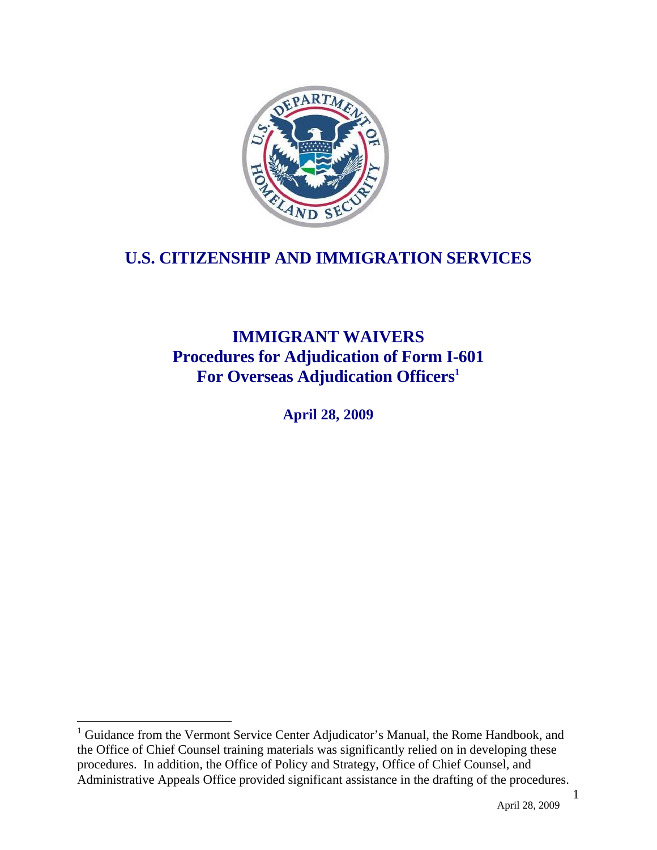

# **U.S. CITIZENSHIP AND IMMIGRATION SERVICES**

# **IMMIGRANT WAIVERS Procedures for Adjudication of Form I-601 For Overseas Adjudication Officers1**

**April 28, 2009**

1

<sup>&</sup>lt;sup>1</sup> Guidance from the Vermont Service Center Adjudicator's Manual, the Rome Handbook, and the Office of Chief Counsel training materials was significantly relied on in developing these procedures. In addition, the Office of Policy and Strategy, Office of Chief Counsel, and Administrative Appeals Office provided significant assistance in the drafting of the procedures.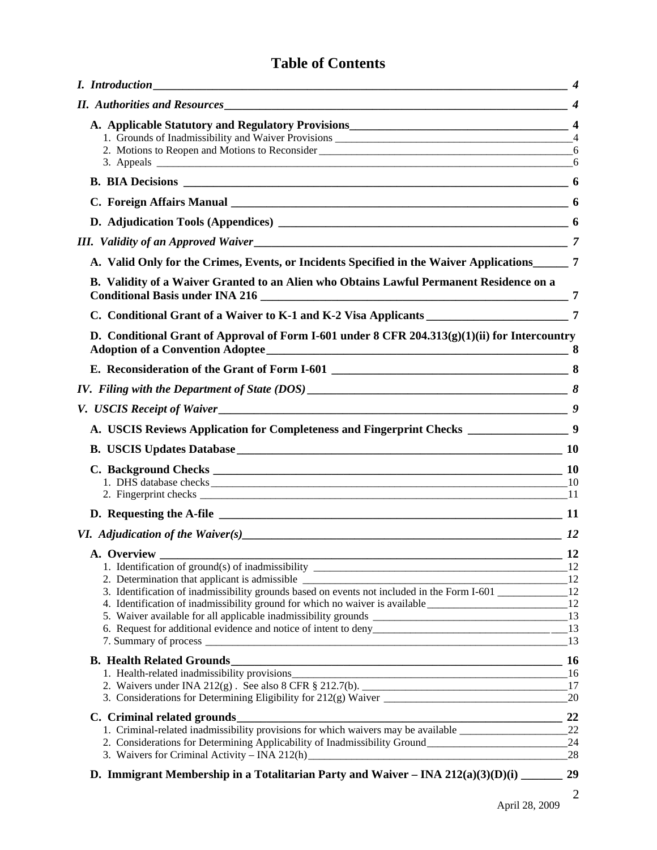# **Table of Contents**

| III. Validity of an Approved Waiver                                                                                                 |     |
|-------------------------------------------------------------------------------------------------------------------------------------|-----|
| A. Valid Only for the Crimes, Events, or Incidents Specified in the Waiver Applications______ 7                                     |     |
| B. Validity of a Waiver Granted to an Alien who Obtains Lawful Permanent Residence on a                                             |     |
|                                                                                                                                     |     |
| D. Conditional Grant of Approval of Form I-601 under 8 CFR $204.313(g)(1)(ii)$ for Intercountry<br>Adoption of a Convention Adoptee |     |
|                                                                                                                                     |     |
|                                                                                                                                     |     |
| V. USCIS Receipt of Waiver                                                                                                          |     |
| A. USCIS Reviews Application for Completeness and Fingerprint Checks ____________________9                                          |     |
|                                                                                                                                     |     |
|                                                                                                                                     |     |
|                                                                                                                                     |     |
|                                                                                                                                     |     |
|                                                                                                                                     |     |
|                                                                                                                                     |     |
|                                                                                                                                     |     |
|                                                                                                                                     |     |
|                                                                                                                                     |     |
| 3. Identification of inadmissibility grounds based on events not included in the Form I-601 ______________12                        |     |
| 4. Identification of inadmissibility ground for which no waiver is available _________________________________12                    |     |
|                                                                                                                                     |     |
|                                                                                                                                     | 13  |
|                                                                                                                                     |     |
|                                                                                                                                     | _16 |
|                                                                                                                                     | 17  |
|                                                                                                                                     | 20  |
|                                                                                                                                     | 22  |
|                                                                                                                                     |     |
| 2. Considerations for Determining Applicability of Inadmissibility Ground___________________________                                | 24  |
|                                                                                                                                     | 28  |
|                                                                                                                                     | 29  |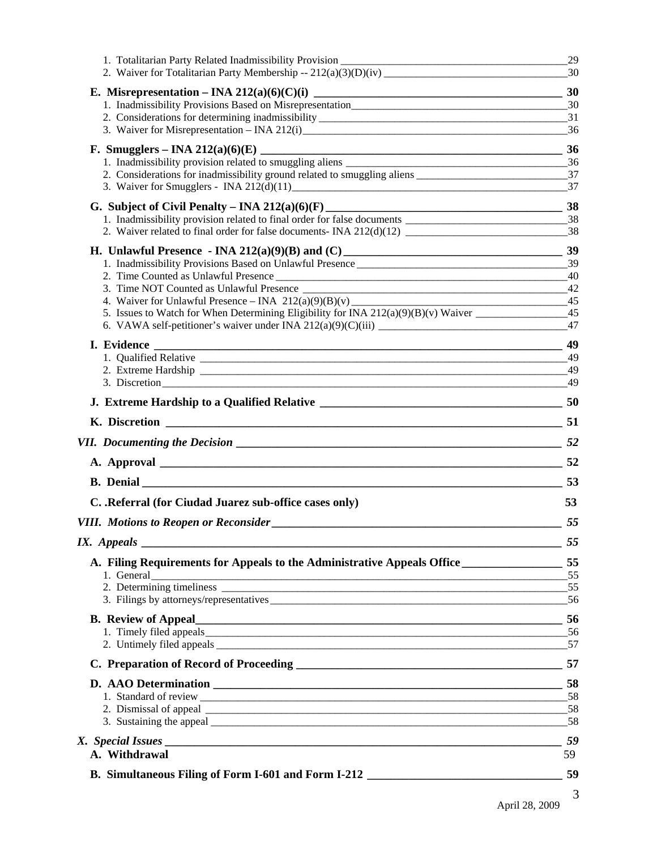|                                                                                                              | 29                                                                                                                                                                                                                                                                                                                                                                                        |
|--------------------------------------------------------------------------------------------------------------|-------------------------------------------------------------------------------------------------------------------------------------------------------------------------------------------------------------------------------------------------------------------------------------------------------------------------------------------------------------------------------------------|
|                                                                                                              |                                                                                                                                                                                                                                                                                                                                                                                           |
|                                                                                                              |                                                                                                                                                                                                                                                                                                                                                                                           |
|                                                                                                              |                                                                                                                                                                                                                                                                                                                                                                                           |
|                                                                                                              |                                                                                                                                                                                                                                                                                                                                                                                           |
|                                                                                                              |                                                                                                                                                                                                                                                                                                                                                                                           |
| 2. Considerations for inadmissibility ground related to smuggling aliens 27                                  |                                                                                                                                                                                                                                                                                                                                                                                           |
|                                                                                                              | 37                                                                                                                                                                                                                                                                                                                                                                                        |
|                                                                                                              |                                                                                                                                                                                                                                                                                                                                                                                           |
| 1. Inadmissibility provision related to final order for false documents __________________________________38 |                                                                                                                                                                                                                                                                                                                                                                                           |
|                                                                                                              |                                                                                                                                                                                                                                                                                                                                                                                           |
|                                                                                                              |                                                                                                                                                                                                                                                                                                                                                                                           |
|                                                                                                              |                                                                                                                                                                                                                                                                                                                                                                                           |
|                                                                                                              | 40<br>42                                                                                                                                                                                                                                                                                                                                                                                  |
|                                                                                                              |                                                                                                                                                                                                                                                                                                                                                                                           |
|                                                                                                              |                                                                                                                                                                                                                                                                                                                                                                                           |
|                                                                                                              | 47                                                                                                                                                                                                                                                                                                                                                                                        |
|                                                                                                              |                                                                                                                                                                                                                                                                                                                                                                                           |
|                                                                                                              |                                                                                                                                                                                                                                                                                                                                                                                           |
|                                                                                                              | 49                                                                                                                                                                                                                                                                                                                                                                                        |
|                                                                                                              |                                                                                                                                                                                                                                                                                                                                                                                           |
|                                                                                                              |                                                                                                                                                                                                                                                                                                                                                                                           |
|                                                                                                              |                                                                                                                                                                                                                                                                                                                                                                                           |
|                                                                                                              |                                                                                                                                                                                                                                                                                                                                                                                           |
|                                                                                                              |                                                                                                                                                                                                                                                                                                                                                                                           |
|                                                                                                              |                                                                                                                                                                                                                                                                                                                                                                                           |
| C. . Referral (for Ciudad Juarez sub-office cases only)                                                      | 53                                                                                                                                                                                                                                                                                                                                                                                        |
|                                                                                                              | 55                                                                                                                                                                                                                                                                                                                                                                                        |
| IX. Appeals                                                                                                  | 55                                                                                                                                                                                                                                                                                                                                                                                        |
| A. Filing Requirements for Appeals to the Administrative Appeals Office ________________________55           |                                                                                                                                                                                                                                                                                                                                                                                           |
| 1. General                                                                                                   |                                                                                                                                                                                                                                                                                                                                                                                           |
|                                                                                                              |                                                                                                                                                                                                                                                                                                                                                                                           |
|                                                                                                              |                                                                                                                                                                                                                                                                                                                                                                                           |
|                                                                                                              |                                                                                                                                                                                                                                                                                                                                                                                           |
|                                                                                                              |                                                                                                                                                                                                                                                                                                                                                                                           |
|                                                                                                              |                                                                                                                                                                                                                                                                                                                                                                                           |
|                                                                                                              |                                                                                                                                                                                                                                                                                                                                                                                           |
|                                                                                                              |                                                                                                                                                                                                                                                                                                                                                                                           |
|                                                                                                              |                                                                                                                                                                                                                                                                                                                                                                                           |
|                                                                                                              |                                                                                                                                                                                                                                                                                                                                                                                           |
|                                                                                                              |                                                                                                                                                                                                                                                                                                                                                                                           |
| A. Withdrawal                                                                                                | 59                                                                                                                                                                                                                                                                                                                                                                                        |
|                                                                                                              |                                                                                                                                                                                                                                                                                                                                                                                           |
|                                                                                                              | 3<br>$\overline{1}$ $\overline{1}$ $\overline{2}$ $\overline{2}$ $\overline{2}$ $\overline{2}$ $\overline{2}$ $\overline{2}$ $\overline{2}$ $\overline{2}$ $\overline{2}$ $\overline{2}$ $\overline{2}$ $\overline{2}$ $\overline{2}$ $\overline{2}$ $\overline{2}$ $\overline{2}$ $\overline{2}$ $\overline{2}$ $\overline{2}$ $\overline{2}$ $\overline{2}$ $\overline{2}$ $\overline{$ |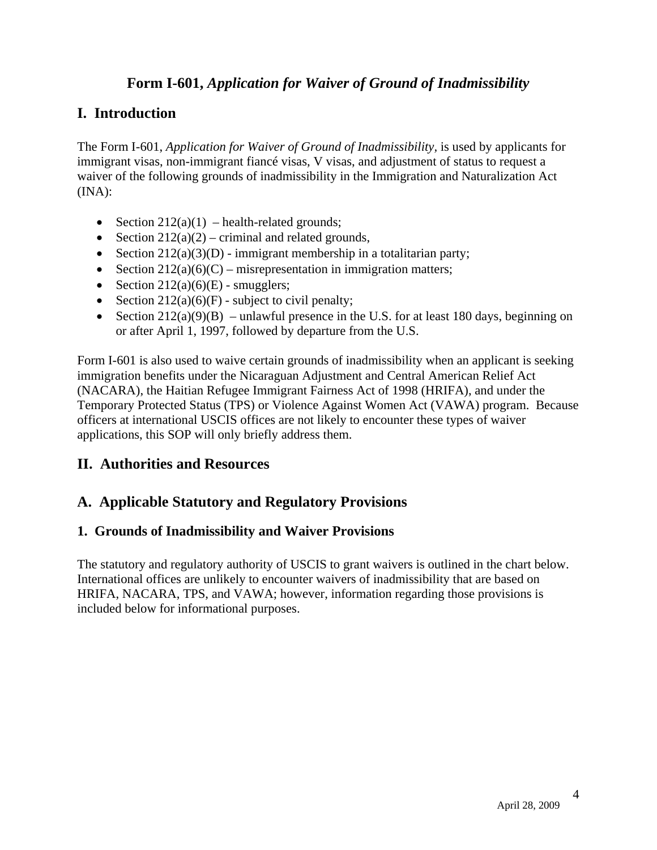# **Form I-601,** *Application for Waiver of Ground of Inadmissibility*

# **I. Introduction**

The Form I-601, *Application for Waiver of Ground of Inadmissibility,* is used by applicants for immigrant visas, non-immigrant fiancé visas, V visas, and adjustment of status to request a waiver of the following grounds of inadmissibility in the Immigration and Naturalization Act (INA):

- Section  $212(a)(1)$  health-related grounds;
- Section  $212(a)(2)$  criminal and related grounds,
- Section  $212(a)(3)(D)$  immigrant membership in a totalitarian party;
- Section  $212(a)(6)(C)$  misrepresentation in immigration matters;
- Section  $212(a)(6)(E)$  smugglers;
- Section  $212(a)(6)(F)$  subject to civil penalty;
- Section  $212(a)(9)(B)$  unlawful presence in the U.S. for at least 180 days, beginning on or after April 1, 1997, followed by departure from the U.S.

Form I-601 is also used to waive certain grounds of inadmissibility when an applicant is seeking immigration benefits under the Nicaraguan Adjustment and Central American Relief Act (NACARA), the Haitian Refugee Immigrant Fairness Act of 1998 (HRIFA), and under the Temporary Protected Status (TPS) or Violence Against Women Act (VAWA) program. Because officers at international USCIS offices are not likely to encounter these types of waiver applications, this SOP will only briefly address them.

# **II. Authorities and Resources**

# **A. Applicable Statutory and Regulatory Provisions**

## **1. Grounds of Inadmissibility and Waiver Provisions**

The statutory and regulatory authority of USCIS to grant waivers is outlined in the chart below. International offices are unlikely to encounter waivers of inadmissibility that are based on HRIFA, NACARA, TPS, and VAWA; however, information regarding those provisions is included below for informational purposes.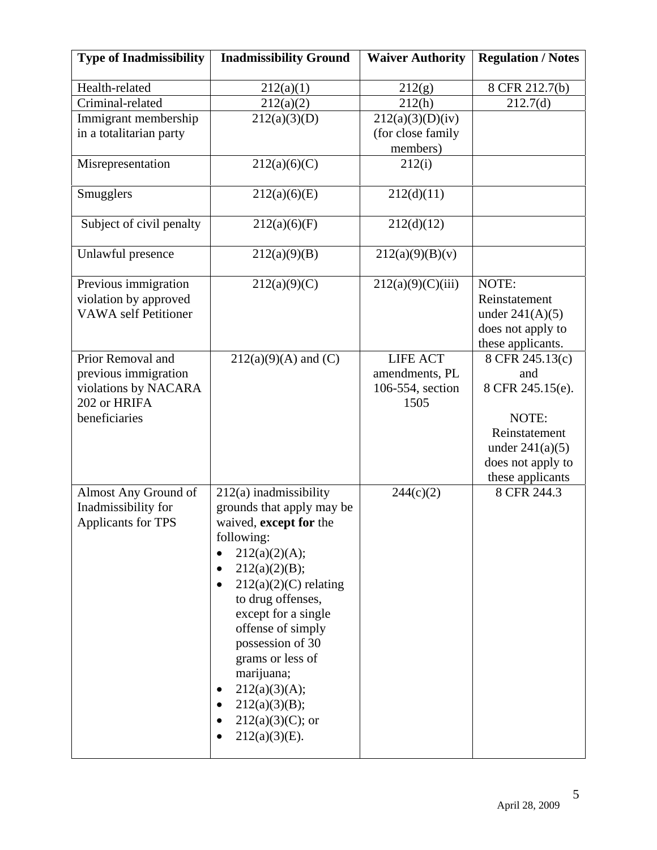| <b>Type of Inadmissibility</b>                                                                     | <b>Inadmissibility Ground</b>                                                                                                                                                                                                                                                                                                                                               | <b>Waiver Authority</b>                                       | <b>Regulation / Notes</b>                                                                                      |
|----------------------------------------------------------------------------------------------------|-----------------------------------------------------------------------------------------------------------------------------------------------------------------------------------------------------------------------------------------------------------------------------------------------------------------------------------------------------------------------------|---------------------------------------------------------------|----------------------------------------------------------------------------------------------------------------|
| Health-related                                                                                     | 212(a)(1)                                                                                                                                                                                                                                                                                                                                                                   | 212(g)                                                        | 8 CFR 212.7(b)                                                                                                 |
| Criminal-related                                                                                   | 212(a)(2)                                                                                                                                                                                                                                                                                                                                                                   | 212(h)                                                        | 212.7(d)                                                                                                       |
| Immigrant membership                                                                               | 212(a)(3)(D)                                                                                                                                                                                                                                                                                                                                                                | 212(a)(3)(D)(iv)                                              |                                                                                                                |
| in a totalitarian party                                                                            |                                                                                                                                                                                                                                                                                                                                                                             | (for close family                                             |                                                                                                                |
|                                                                                                    |                                                                                                                                                                                                                                                                                                                                                                             | members)                                                      |                                                                                                                |
| Misrepresentation                                                                                  | 212(a)(6)(C)                                                                                                                                                                                                                                                                                                                                                                | 212(i)                                                        |                                                                                                                |
| Smugglers                                                                                          | 212(a)(6)(E)                                                                                                                                                                                                                                                                                                                                                                | 212(d)(11)                                                    |                                                                                                                |
| Subject of civil penalty                                                                           | 212(a)(6)(F)                                                                                                                                                                                                                                                                                                                                                                | 212(d)(12)                                                    |                                                                                                                |
| Unlawful presence                                                                                  | 212(a)(9)(B)                                                                                                                                                                                                                                                                                                                                                                | 212(a)(9)(B)(v)                                               |                                                                                                                |
| Previous immigration<br>violation by approved<br><b>VAWA</b> self Petitioner                       | 212(a)(9)(C)                                                                                                                                                                                                                                                                                                                                                                | 212(a)(9)(C)(iii)                                             | NOTE:<br>Reinstatement<br>under $241(A)(5)$<br>does not apply to<br>these applicants.                          |
| Prior Removal and<br>previous immigration<br>violations by NACARA<br>202 or HRIFA<br>beneficiaries | $212(a)(9)(A)$ and (C)                                                                                                                                                                                                                                                                                                                                                      | <b>LIFE ACT</b><br>amendments, PL<br>106-554, section<br>1505 | 8 CFR 245.13(c)<br>and<br>8 CFR 245.15(e).<br>NOTE:<br>Reinstatement<br>under $241(a)(5)$<br>does not apply to |
| Almost Any Ground of<br>Inadmissibility for<br>Applicants for TPS                                  | $212(a)$ inadmissibility<br>grounds that apply may be<br>waived, except for the<br>following:<br>212(a)(2)(A);<br>$\bullet$<br>212(a)(2)(B);<br>$212(a)(2)(C)$ relating<br>to drug offenses,<br>except for a single<br>offense of simply<br>possession of 30<br>grams or less of<br>marijuana;<br>212(a)(3)(A);<br>212(a)(3)(B);<br>$212(a)(3)(C)$ ; or<br>$212(a)(3)(E)$ . | 244(c)(2)                                                     | these applicants<br>8 CFR 244.3                                                                                |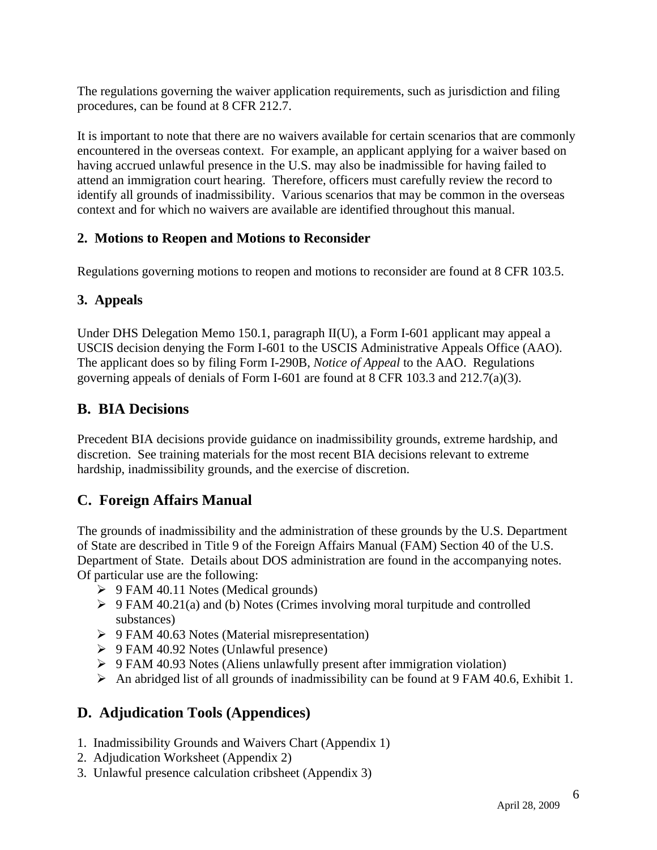The regulations governing the waiver application requirements, such as jurisdiction and filing procedures, can be found at 8 CFR 212.7.

It is important to note that there are no waivers available for certain scenarios that are commonly encountered in the overseas context. For example, an applicant applying for a waiver based on having accrued unlawful presence in the U.S. may also be inadmissible for having failed to attend an immigration court hearing. Therefore, officers must carefully review the record to identify all grounds of inadmissibility. Various scenarios that may be common in the overseas context and for which no waivers are available are identified throughout this manual.

#### **2. Motions to Reopen and Motions to Reconsider**

Regulations governing motions to reopen and motions to reconsider are found at 8 CFR 103.5.

## **3. Appeals**

Under DHS Delegation Memo 150.1, paragraph II(U), a Form I-601 applicant may appeal a USCIS decision denying the Form I-601 to the USCIS Administrative Appeals Office (AAO). The applicant does so by filing Form I-290B, *Notice of Appeal* to the AAO. Regulations governing appeals of denials of Form I-601 are found at 8 CFR 103.3 and 212.7(a)(3).

# **B. BIA Decisions**

Precedent BIA decisions provide guidance on inadmissibility grounds, extreme hardship, and discretion. See training materials for the most recent BIA decisions relevant to extreme hardship, inadmissibility grounds, and the exercise of discretion.

# **C. Foreign Affairs Manual**

The grounds of inadmissibility and the administration of these grounds by the U.S. Department of State are described in Title 9 of the Foreign Affairs Manual (FAM) Section 40 of the U.S. Department of State. Details about DOS administration are found in the accompanying notes. Of particular use are the following:

- $\triangleright$  9 FAM 40.11 Notes (Medical grounds)
- $\triangleright$  9 FAM 40.21(a) and (b) Notes (Crimes involving moral turpitude and controlled substances)
- ¾ 9 FAM 40.63 Notes (Material misrepresentation)
- ¾ 9 FAM 40.92 Notes (Unlawful presence)
- ¾ 9 FAM 40.93 Notes (Aliens unlawfully present after immigration violation)
- $\triangleright$  An abridged list of all grounds of inadmissibility can be found at 9 FAM 40.6, Exhibit 1.

# **D. Adjudication Tools (Appendices)**

- 1. Inadmissibility Grounds and Waivers Chart (Appendix 1)
- 2. Adjudication Worksheet (Appendix 2)
- 3. Unlawful presence calculation cribsheet (Appendix 3)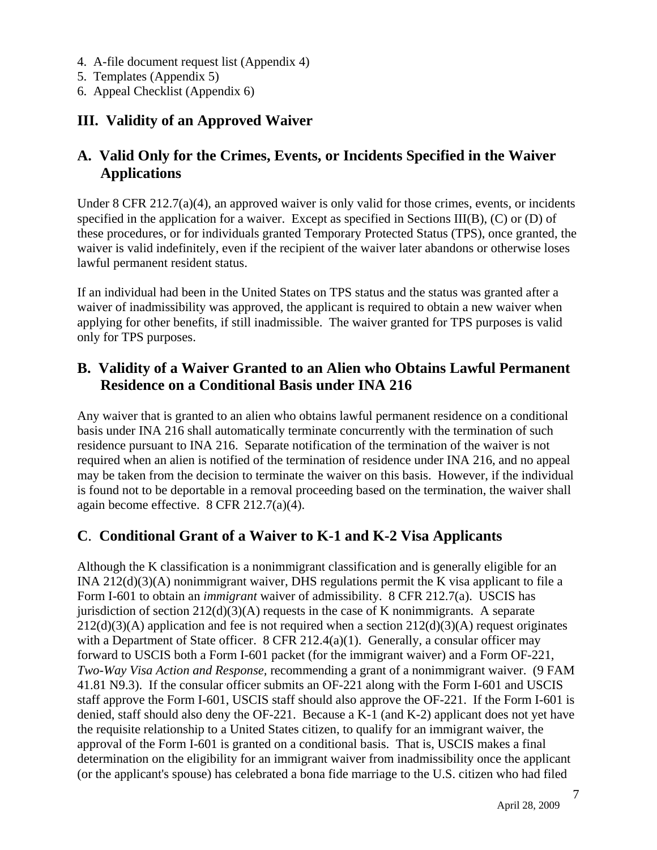- 4. A-file document request list (Appendix 4)
- 5. Templates (Appendix 5)
- 6. Appeal Checklist (Appendix 6)

## **III. Validity of an Approved Waiver**

## **A. Valid Only for the Crimes, Events, or Incidents Specified in the Waiver Applications**

Under 8 CFR 212.7(a)(4), an approved waiver is only valid for those crimes, events, or incidents specified in the application for a waiver. Except as specified in Sections III(B), (C) or (D) of these procedures, or for individuals granted Temporary Protected Status (TPS), once granted, the waiver is valid indefinitely, even if the recipient of the waiver later abandons or otherwise loses lawful permanent resident status.

If an individual had been in the United States on TPS status and the status was granted after a waiver of inadmissibility was approved, the applicant is required to obtain a new waiver when applying for other benefits, if still inadmissible. The waiver granted for TPS purposes is valid only for TPS purposes.

## **B. Validity of a Waiver Granted to an Alien who Obtains Lawful Permanent Residence on a Conditional Basis under INA 216**

Any waiver that is granted to an alien who obtains lawful permanent residence on a conditional basis under INA 216 shall automatically terminate concurrently with the termination of such residence pursuant to INA 216. Separate notification of the termination of the waiver is not required when an alien is notified of the termination of residence under INA 216, and no appeal may be taken from the decision to terminate the waiver on this basis. However, if the individual is found not to be deportable in a removal proceeding based on the termination, the waiver shall again become effective. 8 CFR 212.7(a)(4).

# **C**. **Conditional Grant of a Waiver to K-1 and K-2 Visa Applicants**

Although the K classification is a nonimmigrant classification and is generally eligible for an INA 212(d)(3)(A) nonimmigrant waiver, DHS regulations permit the K visa applicant to file a Form I-601 to obtain an *immigrant* waiver of admissibility. 8 CFR 212.7(a). USCIS has jurisdiction of section  $212(d)(3)(A)$  requests in the case of K nonimmigrants. A separate  $212(d)(3)(A)$  application and fee is not required when a section  $212(d)(3)(A)$  request originates with a Department of State officer.  $8$  CFR 212.4(a)(1). Generally, a consular officer may forward to USCIS both a Form I-601 packet (for the immigrant waiver) and a Form OF-221, *Two-Way Visa Action and Response,* recommending a grant of a nonimmigrant waiver. (9 FAM 41.81 N9.3). If the consular officer submits an OF-221 along with the Form I-601 and USCIS staff approve the Form I-601, USCIS staff should also approve the OF-221. If the Form I-601 is denied, staff should also deny the OF-221. Because a K-1 (and K-2) applicant does not yet have the requisite relationship to a United States citizen, to qualify for an immigrant waiver, the approval of the Form I-601 is granted on a conditional basis. That is, USCIS makes a final determination on the eligibility for an immigrant waiver from inadmissibility once the applicant (or the applicant's spouse) has celebrated a bona fide marriage to the U.S. citizen who had filed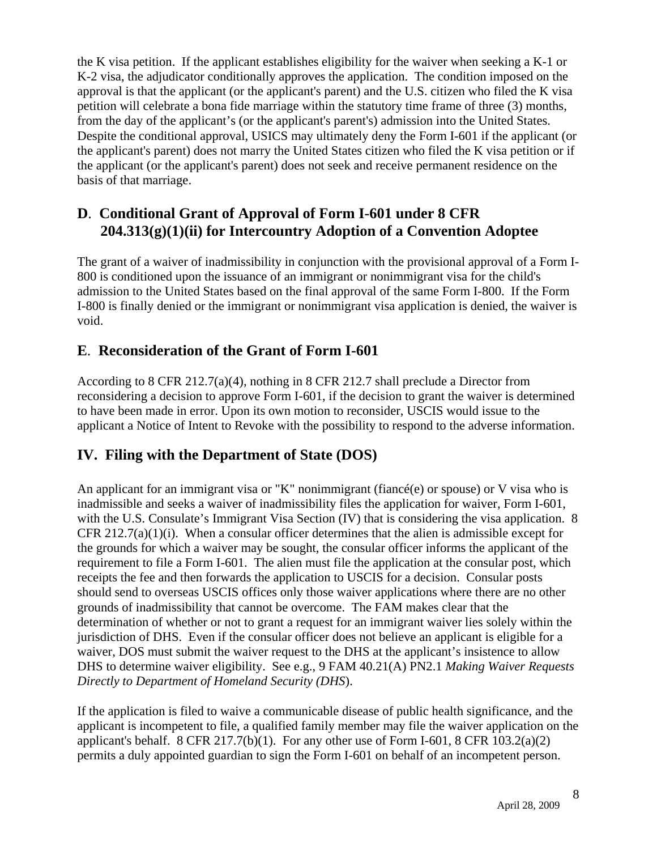the K visa petition. If the applicant establishes eligibility for the waiver when seeking a K-1 or K-2 visa, the adjudicator conditionally approves the application. The condition imposed on the approval is that the applicant (or the applicant's parent) and the U.S. citizen who filed the K visa petition will celebrate a bona fide marriage within the statutory time frame of three (3) months, from the day of the applicant's (or the applicant's parent's) admission into the United States. Despite the conditional approval, USICS may ultimately deny the Form I-601 if the applicant (or the applicant's parent) does not marry the United States citizen who filed the K visa petition or if the applicant (or the applicant's parent) does not seek and receive permanent residence on the basis of that marriage.

# **D**. **Conditional Grant of Approval of Form I-601 under 8 CFR 204.313(g)(1)(ii) for Intercountry Adoption of a Convention Adoptee**

The grant of a waiver of inadmissibility in conjunction with the provisional approval of a Form I-800 is conditioned upon the issuance of an immigrant or nonimmigrant visa for the child's admission to the United States based on the final approval of the same Form I-800. If the Form I-800 is finally denied or the immigrant or nonimmigrant visa application is denied, the waiver is void.

## **E**. **Reconsideration of the Grant of Form I-601**

According to 8 CFR 212.7(a)(4), nothing in 8 CFR 212.7 shall preclude a Director from reconsidering a decision to approve Form I-601, if the decision to grant the waiver is determined to have been made in error. Upon its own motion to reconsider, USCIS would issue to the applicant a Notice of Intent to Revoke with the possibility to respond to the adverse information.

# **IV. Filing with the Department of State (DOS)**

An applicant for an immigrant visa or "K" nonimmigrant (fiance  $(e)$  or spouse) or V visa who is inadmissible and seeks a waiver of inadmissibility files the application for waiver, Form I-601, with the U.S. Consulate's Immigrant Visa Section (IV) that is considering the visa application. 8 CFR 212.7(a)(1)(i). When a consular officer determines that the alien is admissible except for the grounds for which a waiver may be sought, the consular officer informs the applicant of the requirement to file a Form I-601. The alien must file the application at the consular post, which receipts the fee and then forwards the application to USCIS for a decision. Consular posts should send to overseas USCIS offices only those waiver applications where there are no other grounds of inadmissibility that cannot be overcome. The FAM makes clear that the determination of whether or not to grant a request for an immigrant waiver lies solely within the jurisdiction of DHS. Even if the consular officer does not believe an applicant is eligible for a waiver, DOS must submit the waiver request to the DHS at the applicant's insistence to allow DHS to determine waiver eligibility. See e.g., 9 FAM 40.21(A) PN2.1 *Making Waiver Requests Directly to Department of Homeland Security (DHS*).

If the application is filed to waive a communicable disease of public health significance, and the applicant is incompetent to file, a qualified family member may file the waiver application on the applicant's behalf. 8 CFR 217.7(b)(1). For any other use of Form I-601, 8 CFR 103.2(a)(2) permits a duly appointed guardian to sign the Form I-601 on behalf of an incompetent person.

8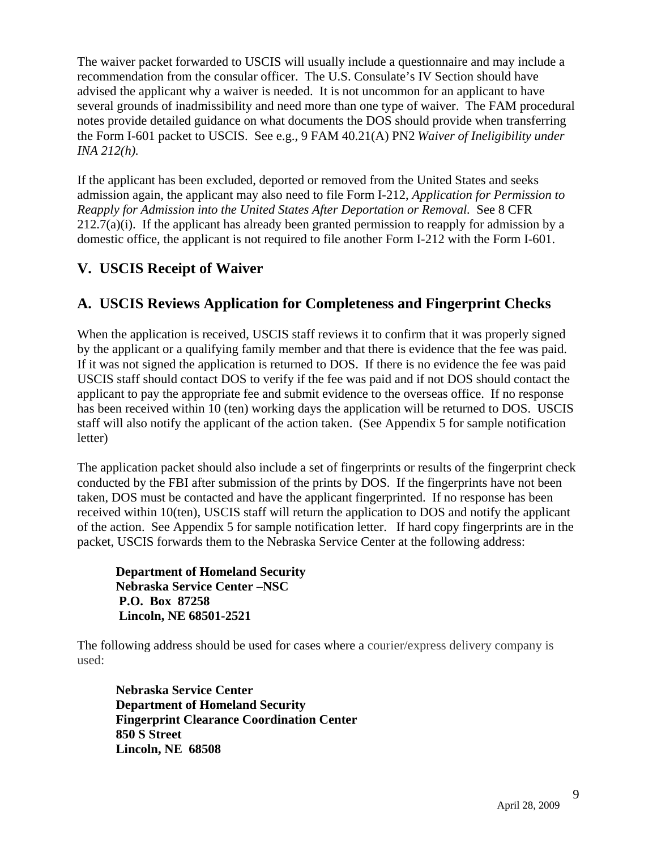The waiver packet forwarded to USCIS will usually include a questionnaire and may include a recommendation from the consular officer. The U.S. Consulate's IV Section should have advised the applicant why a waiver is needed. It is not uncommon for an applicant to have several grounds of inadmissibility and need more than one type of waiver. The FAM procedural notes provide detailed guidance on what documents the DOS should provide when transferring the Form I-601 packet to USCIS. See e.g., 9 FAM 40.21(A) PN2 *Waiver of Ineligibility under INA 212(h).* 

If the applicant has been excluded, deported or removed from the United States and seeks admission again, the applicant may also need to file Form I-212, *Application for Permission to Reapply for Admission into the United States After Deportation or Removal.* See 8 CFR  $212.7(a)(i)$ . If the applicant has already been granted permission to reapply for admission by a domestic office, the applicant is not required to file another Form I-212 with the Form I-601.

# **V. USCIS Receipt of Waiver**

# **A. USCIS Reviews Application for Completeness and Fingerprint Checks**

When the application is received, USCIS staff reviews it to confirm that it was properly signed by the applicant or a qualifying family member and that there is evidence that the fee was paid. If it was not signed the application is returned to DOS. If there is no evidence the fee was paid USCIS staff should contact DOS to verify if the fee was paid and if not DOS should contact the applicant to pay the appropriate fee and submit evidence to the overseas office. If no response has been received within 10 (ten) working days the application will be returned to DOS. USCIS staff will also notify the applicant of the action taken. (See Appendix 5 for sample notification letter)

The application packet should also include a set of fingerprints or results of the fingerprint check conducted by the FBI after submission of the prints by DOS. If the fingerprints have not been taken, DOS must be contacted and have the applicant fingerprinted. If no response has been received within 10(ten), USCIS staff will return the application to DOS and notify the applicant of the action. See Appendix 5 for sample notification letter. If hard copy fingerprints are in the packet, USCIS forwards them to the Nebraska Service Center at the following address:

**Department of Homeland Security Nebraska Service Center –NSC P.O. Box 87258 Lincoln, NE 68501-2521** 

The following address should be used for cases where a courier/express delivery company is used:

**Nebraska Service Center Department of Homeland Security Fingerprint Clearance Coordination Center 850 S Street Lincoln, NE 68508**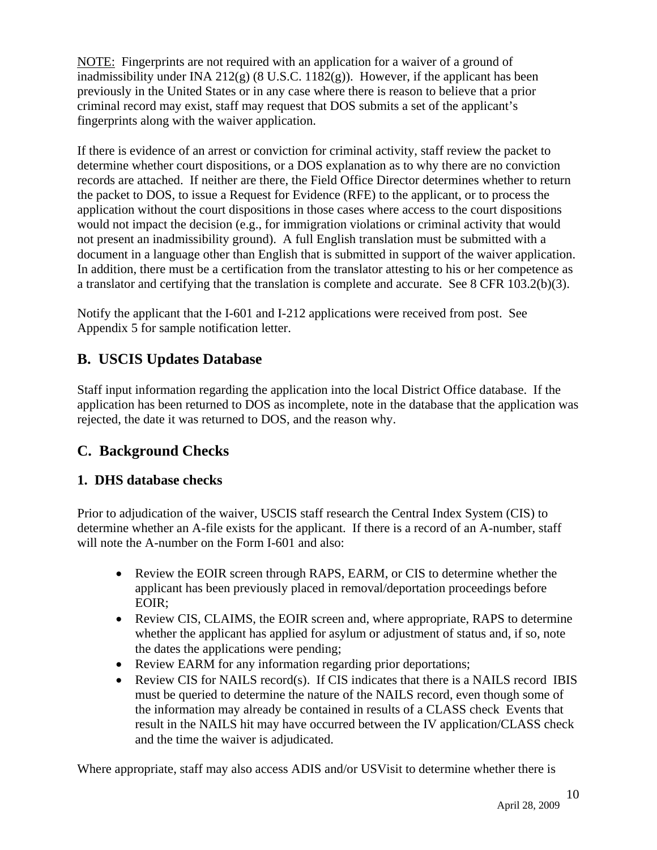NOTE: Fingerprints are not required with an application for a waiver of a ground of inadmissibility under INA 212 $(g)$  (8 U.S.C. 1182 $(g)$ ). However, if the applicant has been previously in the United States or in any case where there is reason to believe that a prior criminal record may exist, staff may request that DOS submits a set of the applicant's fingerprints along with the waiver application.

If there is evidence of an arrest or conviction for criminal activity, staff review the packet to determine whether court dispositions, or a DOS explanation as to why there are no conviction records are attached. If neither are there, the Field Office Director determines whether to return the packet to DOS, to issue a Request for Evidence (RFE) to the applicant, or to process the application without the court dispositions in those cases where access to the court dispositions would not impact the decision (e.g., for immigration violations or criminal activity that would not present an inadmissibility ground). A full English translation must be submitted with a document in a language other than English that is submitted in support of the waiver application. In addition, there must be a certification from the translator attesting to his or her competence as a translator and certifying that the translation is complete and accurate. See 8 CFR 103.2(b)(3).

Notify the applicant that the I-601 and I-212 applications were received from post. See Appendix 5 for sample notification letter.

# **B. USCIS Updates Database**

Staff input information regarding the application into the local District Office database. If the application has been returned to DOS as incomplete, note in the database that the application was rejected, the date it was returned to DOS, and the reason why.

# **C. Background Checks**

# **1. DHS database checks**

Prior to adjudication of the waiver, USCIS staff research the Central Index System (CIS) to determine whether an A-file exists for the applicant. If there is a record of an A-number, staff will note the A-number on the Form I-601 and also:

- Review the EOIR screen through RAPS, EARM, or CIS to determine whether the applicant has been previously placed in removal/deportation proceedings before EOIR;
- Review CIS, CLAIMS, the EOIR screen and, where appropriate, RAPS to determine whether the applicant has applied for asylum or adjustment of status and, if so, note the dates the applications were pending;
- Review EARM for any information regarding prior deportations;
- Review CIS for NAILS record(s). If CIS indicates that there is a NAILS record IBIS must be queried to determine the nature of the NAILS record, even though some of the information may already be contained in results of a CLASS check Events that result in the NAILS hit may have occurred between the IV application/CLASS check and the time the waiver is adjudicated.

Where appropriate, staff may also access ADIS and/or USVisit to determine whether there is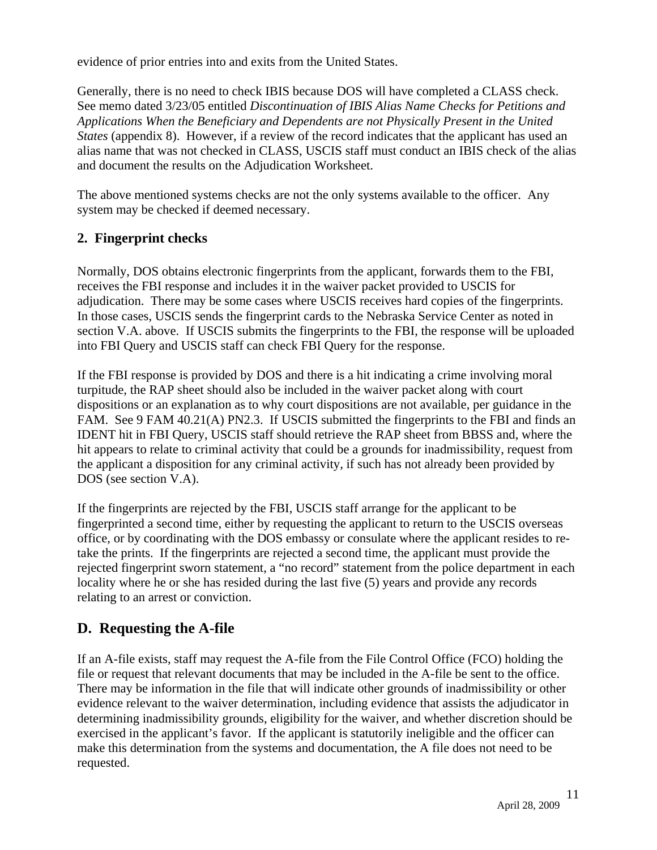evidence of prior entries into and exits from the United States.

Generally, there is no need to check IBIS because DOS will have completed a CLASS check. See memo dated 3/23/05 entitled *Discontinuation of IBIS Alias Name Checks for Petitions and Applications When the Beneficiary and Dependents are not Physically Present in the United States* (appendix 8). However, if a review of the record indicates that the applicant has used an alias name that was not checked in CLASS, USCIS staff must conduct an IBIS check of the alias and document the results on the Adjudication Worksheet.

The above mentioned systems checks are not the only systems available to the officer. Any system may be checked if deemed necessary.

## **2. Fingerprint checks**

Normally, DOS obtains electronic fingerprints from the applicant, forwards them to the FBI, receives the FBI response and includes it in the waiver packet provided to USCIS for adjudication. There may be some cases where USCIS receives hard copies of the fingerprints. In those cases, USCIS sends the fingerprint cards to the Nebraska Service Center as noted in section V.A. above. If USCIS submits the fingerprints to the FBI, the response will be uploaded into FBI Query and USCIS staff can check FBI Query for the response.

If the FBI response is provided by DOS and there is a hit indicating a crime involving moral turpitude, the RAP sheet should also be included in the waiver packet along with court dispositions or an explanation as to why court dispositions are not available, per guidance in the FAM. See 9 FAM 40.21(A) PN2.3. If USCIS submitted the fingerprints to the FBI and finds an IDENT hit in FBI Query, USCIS staff should retrieve the RAP sheet from BBSS and, where the hit appears to relate to criminal activity that could be a grounds for inadmissibility, request from the applicant a disposition for any criminal activity, if such has not already been provided by DOS (see section V.A).

If the fingerprints are rejected by the FBI, USCIS staff arrange for the applicant to be fingerprinted a second time, either by requesting the applicant to return to the USCIS overseas office, or by coordinating with the DOS embassy or consulate where the applicant resides to retake the prints. If the fingerprints are rejected a second time, the applicant must provide the rejected fingerprint sworn statement, a "no record" statement from the police department in each locality where he or she has resided during the last five (5) years and provide any records relating to an arrest or conviction.

# **D. Requesting the A-file**

If an A-file exists, staff may request the A-file from the File Control Office (FCO) holding the file or request that relevant documents that may be included in the A-file be sent to the office. There may be information in the file that will indicate other grounds of inadmissibility or other evidence relevant to the waiver determination, including evidence that assists the adjudicator in determining inadmissibility grounds, eligibility for the waiver, and whether discretion should be exercised in the applicant's favor. If the applicant is statutorily ineligible and the officer can make this determination from the systems and documentation, the A file does not need to be requested.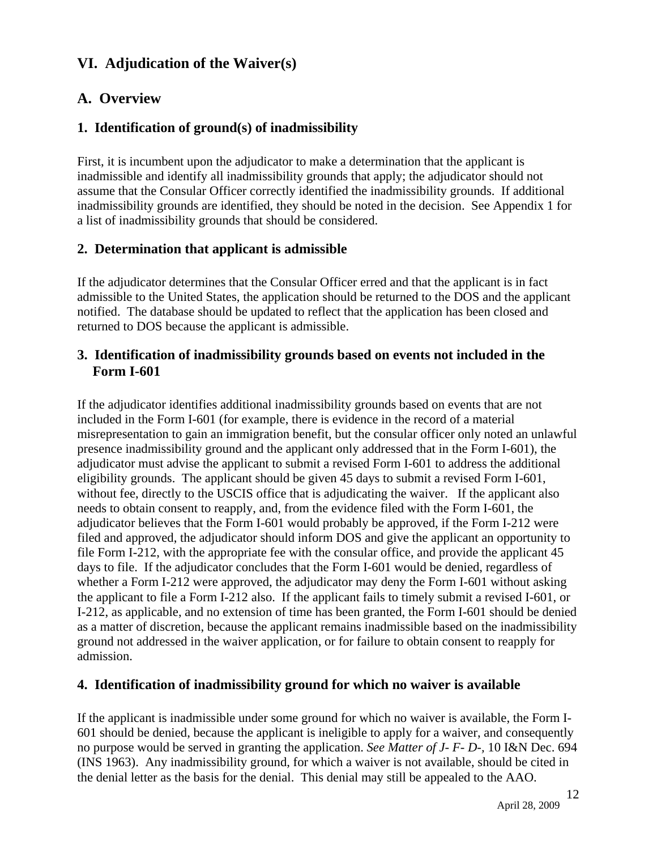# **VI. Adjudication of the Waiver(s)**

# **A. Overview**

## **1. Identification of ground(s) of inadmissibility**

First, it is incumbent upon the adjudicator to make a determination that the applicant is inadmissible and identify all inadmissibility grounds that apply; the adjudicator should not assume that the Consular Officer correctly identified the inadmissibility grounds. If additional inadmissibility grounds are identified, they should be noted in the decision. See Appendix 1 for a list of inadmissibility grounds that should be considered.

## **2. Determination that applicant is admissible**

If the adjudicator determines that the Consular Officer erred and that the applicant is in fact admissible to the United States, the application should be returned to the DOS and the applicant notified. The database should be updated to reflect that the application has been closed and returned to DOS because the applicant is admissible.

#### **3. Identification of inadmissibility grounds based on events not included in the Form I-601**

If the adjudicator identifies additional inadmissibility grounds based on events that are not included in the Form I-601 (for example, there is evidence in the record of a material misrepresentation to gain an immigration benefit, but the consular officer only noted an unlawful presence inadmissibility ground and the applicant only addressed that in the Form I-601), the adjudicator must advise the applicant to submit a revised Form I-601 to address the additional eligibility grounds. The applicant should be given 45 days to submit a revised Form I-601, without fee, directly to the USCIS office that is adjudicating the waiver. If the applicant also needs to obtain consent to reapply, and, from the evidence filed with the Form I-601, the adjudicator believes that the Form I-601 would probably be approved, if the Form I-212 were filed and approved, the adjudicator should inform DOS and give the applicant an opportunity to file Form I-212, with the appropriate fee with the consular office, and provide the applicant 45 days to file. If the adjudicator concludes that the Form I-601 would be denied, regardless of whether a Form I-212 were approved, the adjudicator may deny the Form I-601 without asking the applicant to file a Form I-212 also. If the applicant fails to timely submit a revised I-601, or I-212, as applicable, and no extension of time has been granted, the Form I-601 should be denied as a matter of discretion, because the applicant remains inadmissible based on the inadmissibility ground not addressed in the waiver application, or for failure to obtain consent to reapply for admission.

## **4. Identification of inadmissibility ground for which no waiver is available**

If the applicant is inadmissible under some ground for which no waiver is available, the Form I-601 should be denied, because the applicant is ineligible to apply for a waiver, and consequently no purpose would be served in granting the application. *See Matter of J- F- D-,* 10 I&N Dec. 694 (INS 1963). Any inadmissibility ground, for which a waiver is not available, should be cited in the denial letter as the basis for the denial. This denial may still be appealed to the AAO.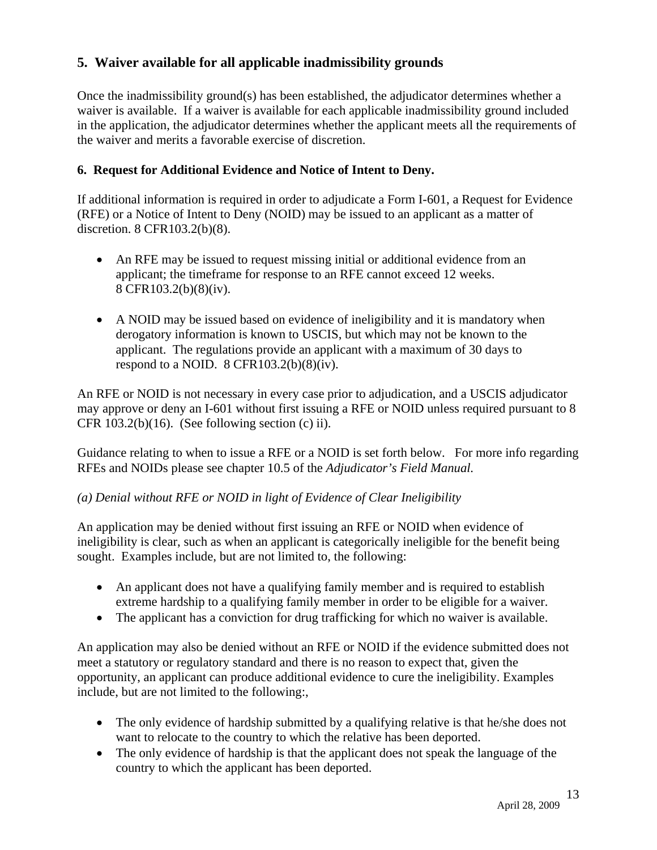## **5. Waiver available for all applicable inadmissibility grounds**

Once the inadmissibility ground(s) has been established, the adjudicator determines whether a waiver is available. If a waiver is available for each applicable inadmissibility ground included in the application, the adjudicator determines whether the applicant meets all the requirements of the waiver and merits a favorable exercise of discretion.

#### **6. Request for Additional Evidence and Notice of Intent to Deny.**

If additional information is required in order to adjudicate a Form I-601, a Request for Evidence (RFE) or a Notice of Intent to Deny (NOID) may be issued to an applicant as a matter of discretion. 8 CFR103.2(b)(8).

- An RFE may be issued to request missing initial or additional evidence from an applicant; the timeframe for response to an RFE cannot exceed 12 weeks. 8 CFR103.2(b)(8)(iv).
- A NOID may be issued based on evidence of ineligibility and it is mandatory when derogatory information is known to USCIS, but which may not be known to the applicant. The regulations provide an applicant with a maximum of 30 days to respond to a NOID.  $8 \text{ CFR}103.2(b)(8)(iv)$ .

An RFE or NOID is not necessary in every case prior to adjudication, and a USCIS adjudicator may approve or deny an I-601 without first issuing a RFE or NOID unless required pursuant to 8 CFR  $103.2(b)(16)$ . (See following section (c) ii).

Guidance relating to when to issue a RFE or a NOID is set forth below. For more info regarding RFEs and NOIDs please see chapter 10.5 of the *Adjudicator's Field Manual.* 

#### *(a) Denial without RFE or NOID in light of Evidence of Clear Ineligibility*

An application may be denied without first issuing an RFE or NOID when evidence of ineligibility is clear, such as when an applicant is categorically ineligible for the benefit being sought. Examples include, but are not limited to, the following:

- An applicant does not have a qualifying family member and is required to establish extreme hardship to a qualifying family member in order to be eligible for a waiver.
- The applicant has a conviction for drug trafficking for which no waiver is available.

An application may also be denied without an RFE or NOID if the evidence submitted does not meet a statutory or regulatory standard and there is no reason to expect that, given the opportunity, an applicant can produce additional evidence to cure the ineligibility. Examples include, but are not limited to the following:,

- The only evidence of hardship submitted by a qualifying relative is that he/she does not want to relocate to the country to which the relative has been deported.
- The only evidence of hardship is that the applicant does not speak the language of the country to which the applicant has been deported.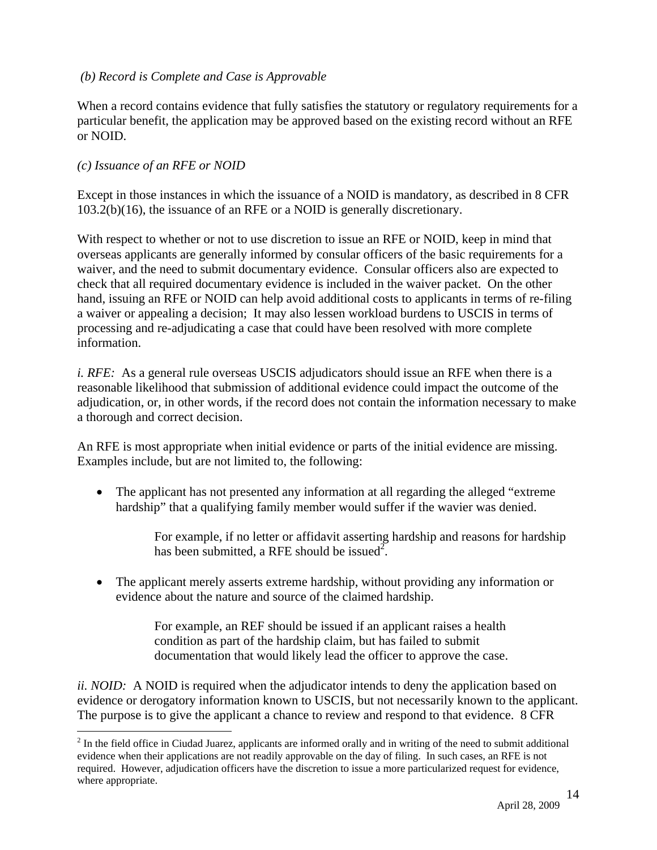#### *(b) Record is Complete and Case is Approvable*

When a record contains evidence that fully satisfies the statutory or regulatory requirements for a particular benefit, the application may be approved based on the existing record without an RFE or NOID.

#### *(c) Issuance of an RFE or NOID*

 $\overline{a}$ 

Except in those instances in which the issuance of a NOID is mandatory, as described in 8 CFR 103.2(b)(16), the issuance of an RFE or a NOID is generally discretionary.

With respect to whether or not to use discretion to issue an RFE or NOID, keep in mind that overseas applicants are generally informed by consular officers of the basic requirements for a waiver, and the need to submit documentary evidence. Consular officers also are expected to check that all required documentary evidence is included in the waiver packet. On the other hand, issuing an RFE or NOID can help avoid additional costs to applicants in terms of re-filing a waiver or appealing a decision; It may also lessen workload burdens to USCIS in terms of processing and re-adjudicating a case that could have been resolved with more complete information.

*i. RFE:* As a general rule overseas USCIS adjudicators should issue an RFE when there is a reasonable likelihood that submission of additional evidence could impact the outcome of the adjudication, or, in other words, if the record does not contain the information necessary to make a thorough and correct decision.

An RFE is most appropriate when initial evidence or parts of the initial evidence are missing. Examples include, but are not limited to, the following:

• The applicant has not presented any information at all regarding the alleged "extreme" hardship" that a qualifying family member would suffer if the wavier was denied.

> For example, if no letter or affidavit asserting hardship and reasons for hardship has been submitted, a RFE should be issued<sup>2</sup>.

• The applicant merely asserts extreme hardship, without providing any information or evidence about the nature and source of the claimed hardship.

> For example, an REF should be issued if an applicant raises a health condition as part of the hardship claim, but has failed to submit documentation that would likely lead the officer to approve the case.

*ii. NOID:* A NOID is required when the adjudicator intends to deny the application based on evidence or derogatory information known to USCIS, but not necessarily known to the applicant. The purpose is to give the applicant a chance to review and respond to that evidence. 8 CFR

 $2<sup>2</sup>$  In the field office in Ciudad Juarez, applicants are informed orally and in writing of the need to submit additional evidence when their applications are not readily approvable on the day of filing. In such cases, an RFE is not required. However, adjudication officers have the discretion to issue a more particularized request for evidence, where appropriate.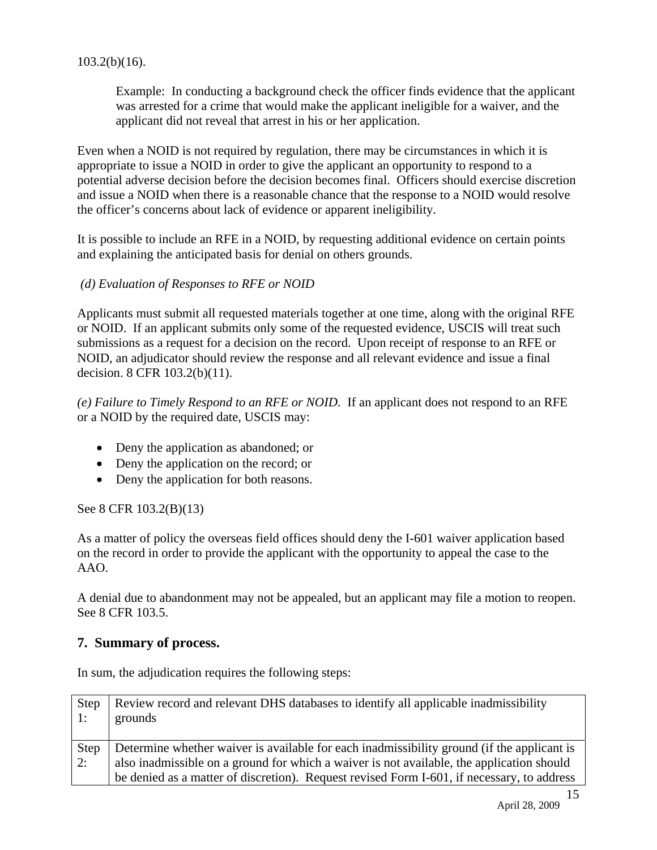#### $103.2(b)(16)$ .

Example: In conducting a background check the officer finds evidence that the applicant was arrested for a crime that would make the applicant ineligible for a waiver, and the applicant did not reveal that arrest in his or her application.

Even when a NOID is not required by regulation, there may be circumstances in which it is appropriate to issue a NOID in order to give the applicant an opportunity to respond to a potential adverse decision before the decision becomes final. Officers should exercise discretion and issue a NOID when there is a reasonable chance that the response to a NOID would resolve the officer's concerns about lack of evidence or apparent ineligibility.

It is possible to include an RFE in a NOID, by requesting additional evidence on certain points and explaining the anticipated basis for denial on others grounds.

#### *(d) Evaluation of Responses to RFE or NOID*

Applicants must submit all requested materials together at one time, along with the original RFE or NOID. If an applicant submits only some of the requested evidence, USCIS will treat such submissions as a request for a decision on the record. Upon receipt of response to an RFE or NOID, an adjudicator should review the response and all relevant evidence and issue a final decision. 8 CFR 103.2(b)(11).

*(e) Failure to Timely Respond to an RFE or NOID.* If an applicant does not respond to an RFE or a NOID by the required date, USCIS may:

- Deny the application as abandoned; or
- Deny the application on the record; or
- Deny the application for both reasons.

See 8 CFR 103.2(B)(13)

As a matter of policy the overseas field offices should deny the I-601 waiver application based on the record in order to provide the applicant with the opportunity to appeal the case to the AAO.

A denial due to abandonment may not be appealed, but an applicant may file a motion to reopen. See 8 CFR 103.5.

#### **7. Summary of process.**

In sum, the adjudication requires the following steps:

| Step<br>$\cdot$ 1: | Review record and relevant DHS databases to identify all applicable inadmissibility<br>grounds |
|--------------------|------------------------------------------------------------------------------------------------|
| Step               | Determine whether waiver is available for each inadmissibility ground (if the applicant is     |
| 2:                 | also inadmissible on a ground for which a waiver is not available, the application should      |
|                    | be denied as a matter of discretion). Request revised Form I-601, if necessary, to address     |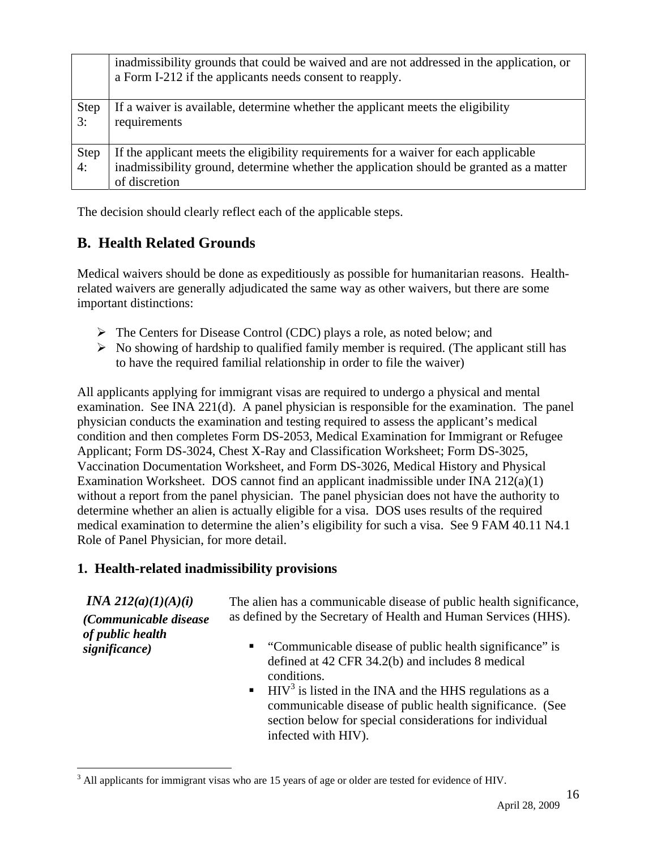|                   | inadmissibility grounds that could be waived and are not addressed in the application, or<br>a Form I-212 if the applicants needs consent to reapply.                                            |
|-------------------|--------------------------------------------------------------------------------------------------------------------------------------------------------------------------------------------------|
| <b>Step</b><br>3: | If a waiver is available, determine whether the applicant meets the eligibility<br>requirements                                                                                                  |
| <b>Step</b><br>4: | If the applicant meets the eligibility requirements for a waiver for each applicable<br>inadmissibility ground, determine whether the application should be granted as a matter<br>of discretion |

The decision should clearly reflect each of the applicable steps.

## **B. Health Related Grounds**

Medical waivers should be done as expeditiously as possible for humanitarian reasons. Healthrelated waivers are generally adjudicated the same way as other waivers, but there are some important distinctions:

- $\triangleright$  The Centers for Disease Control (CDC) plays a role, as noted below; and
- $\triangleright$  No showing of hardship to qualified family member is required. (The applicant still has to have the required familial relationship in order to file the waiver)

All applicants applying for immigrant visas are required to undergo a physical and mental examination. See INA 221(d). A panel physician is responsible for the examination. The panel physician conducts the examination and testing required to assess the applicant's medical condition and then completes Form DS-2053, Medical Examination for Immigrant or Refugee Applicant; Form DS-3024, Chest X-Ray and Classification Worksheet; Form DS-3025, Vaccination Documentation Worksheet, and Form DS-3026, Medical History and Physical Examination Worksheet. DOS cannot find an applicant inadmissible under INA  $212(a)(1)$ without a report from the panel physician. The panel physician does not have the authority to determine whether an alien is actually eligible for a visa. DOS uses results of the required medical examination to determine the alien's eligibility for such a visa. See 9 FAM 40.11 N4.1 Role of Panel Physician, for more detail.

#### **1. Health-related inadmissibility provisions**

## *INA 212(a)(1)(A)(i)*

*(Communicable disease of public health significance)* 

The alien has a communicable disease of public health significance, as defined by the Secretary of Health and Human Services (HHS).

- "Communicable disease of public health significance" is defined at 42 CFR 34.2(b) and includes 8 medical conditions.
- $\blacksquare$  HIV<sup>3</sup> is listed in the INA and the HHS regulations as a communicable disease of public health significance. (See section below for special considerations for individual infected with HIV).

 $\overline{a}$  $3$  All applicants for immigrant visas who are 15 years of age or older are tested for evidence of HIV.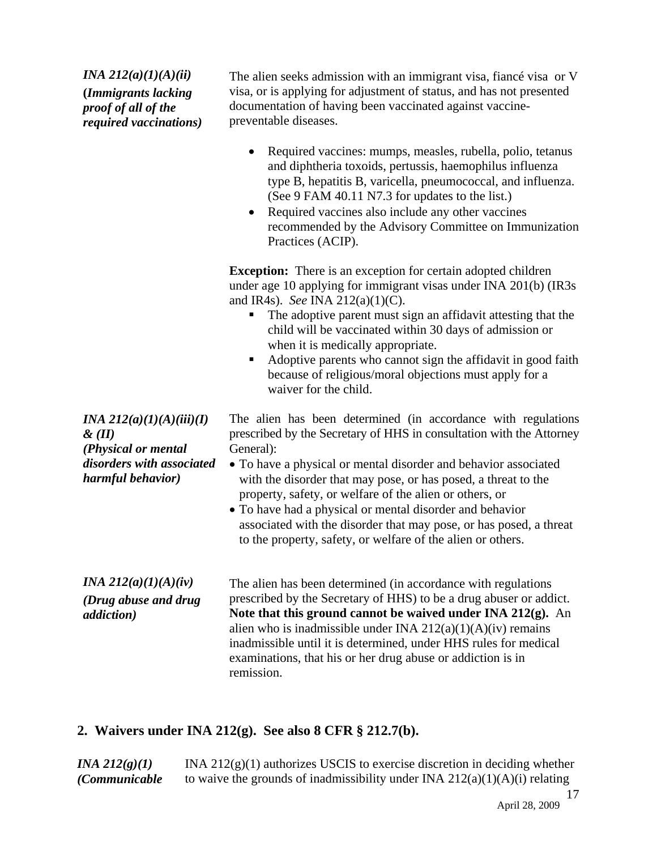*INA 212(a)(1)(A)(ii)*  **(***Immigrants lacking proof of all of the required vaccinations)*

The alien seeks admission with an immigrant visa, fiancé visa or V visa, or is applying for adjustment of status, and has not presented documentation of having been vaccinated against vaccinepreventable diseases.

- Required vaccines: mumps, measles, rubella, polio, tetanus and diphtheria toxoids, pertussis, haemophilus influenza type B, hepatitis B, varicella, pneumococcal, and influenza. (See 9 FAM 40.11 N7.3 for updates to the list.)
- Required vaccines also include any other vaccines recommended by the Advisory Committee on Immunization Practices (ACIP).

**Exception:** There is an exception for certain adopted children under age 10 applying for immigrant visas under INA 201(b) (IR3s and IR4s). *See* INA 212(a)(1)(C).

- The adoptive parent must sign an affidavit attesting that the child will be vaccinated within 30 days of admission or when it is medically appropriate.
- Adoptive parents who cannot sign the affidavit in good faith because of religious/moral objections must apply for a waiver for the child.

The alien has been determined (in accordance with regulations prescribed by the Secretary of HHS in consultation with the Attorney General):

- To have a physical or mental disorder and behavior associated with the disorder that may pose, or has posed, a threat to the property, safety, or welfare of the alien or others, or
- To have had a physical or mental disorder and behavior associated with the disorder that may pose, or has posed, a threat to the property, safety, or welfare of the alien or others.

*INA 212(a)(1)(A)(iv) (Drug abuse and drug addiction)*  The alien has been determined (in accordance with regulations prescribed by the Secretary of HHS) to be a drug abuser or addict. **Note that this ground cannot be waived under INA 212(g).** An alien who is inadmissible under INA  $212(a)(1)(A)(iv)$  remains inadmissible until it is determined, under HHS rules for medical examinations, that his or her drug abuse or addiction is in remission.

## **2. Waivers under INA 212(g). See also 8 CFR § 212.7(b).**

17 *INA 212(g)(1) (Communicable*  INA  $212(g)(1)$  authorizes USCIS to exercise discretion in deciding whether to waive the grounds of inadmissibility under INA  $212(a)(1)(A)(i)$  relating

*INA 212(a)(1)(A)(iii)(I) & (II) (Physical or mental disorders with associated harmful behavior)*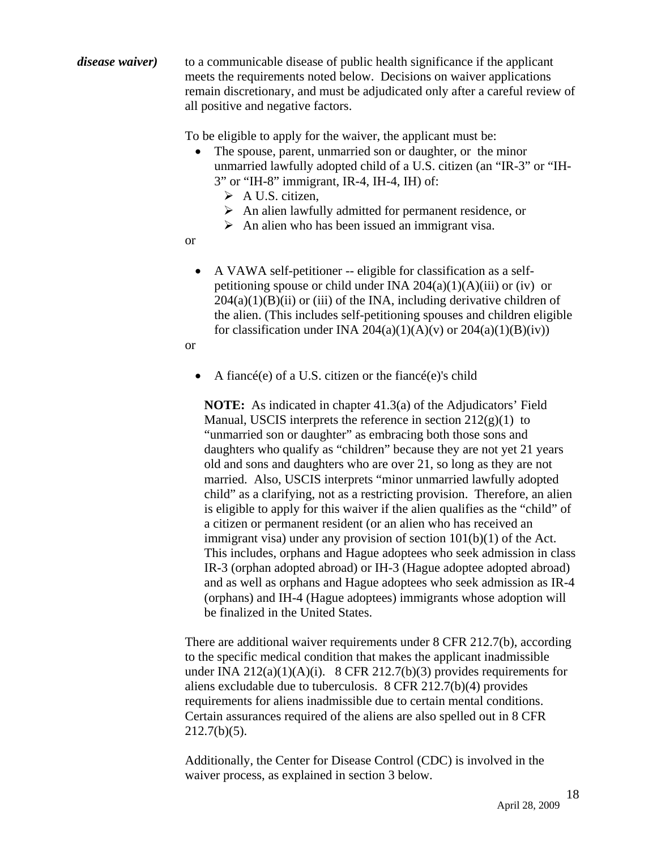*disease waiver*) to a communicable disease of public health significance if the applicant meets the requirements noted below. Decisions on waiver applications remain discretionary, and must be adjudicated only after a careful review of all positive and negative factors.

To be eligible to apply for the waiver, the applicant must be:

- The spouse, parent, unmarried son or daughter, or the minor unmarried lawfully adopted child of a U.S. citizen (an "IR-3" or "IH-3" or "IH-8" immigrant, IR-4, IH-4, IH) of:
	- $\triangleright$  A U.S. citizen,
	- $\triangleright$  An alien lawfully admitted for permanent residence, or
	- $\triangleright$  An alien who has been issued an immigrant visa.

or

• A VAWA self-petitioner -- eligible for classification as a selfpetitioning spouse or child under INA  $204(a)(1)(A)(iii)$  or (iv) or  $204(a)(1)(B)(ii)$  or (iii) of the INA, including derivative children of the alien. (This includes self-petitioning spouses and children eligible for classification under INA 204(a)(1)(A)(v) or  $204(a)(1)(B)(iv)$ )

or

• A fiance (e) of a U.S. citizen or the fiance (e)'s child

**NOTE:** As indicated in chapter 41.3(a) of the Adjudicators' Field Manual, USCIS interprets the reference in section  $212(g)(1)$  to "unmarried son or daughter" as embracing both those sons and daughters who qualify as "children" because they are not yet 21 years old and sons and daughters who are over 21, so long as they are not married. Also, USCIS interprets "minor unmarried lawfully adopted child" as a clarifying, not as a restricting provision. Therefore, an alien is eligible to apply for this waiver if the alien qualifies as the "child" of a citizen or permanent resident (or an alien who has received an immigrant visa) under any provision of section 101(b)(1) of the Act. This includes, orphans and Hague adoptees who seek admission in class IR-3 (orphan adopted abroad) or IH-3 (Hague adoptee adopted abroad) and as well as orphans and Hague adoptees who seek admission as IR-4 (orphans) and IH-4 (Hague adoptees) immigrants whose adoption will be finalized in the United States.

There are additional waiver requirements under 8 CFR 212.7(b), according to the specific medical condition that makes the applicant inadmissible under INA 212(a)(1)(A)(i). 8 CFR 212.7(b)(3) provides requirements for aliens excludable due to tuberculosis. 8 CFR 212.7(b)(4) provides requirements for aliens inadmissible due to certain mental conditions. Certain assurances required of the aliens are also spelled out in 8 CFR  $212.7(b)(5)$ .

Additionally, the Center for Disease Control (CDC) is involved in the waiver process, as explained in section 3 below.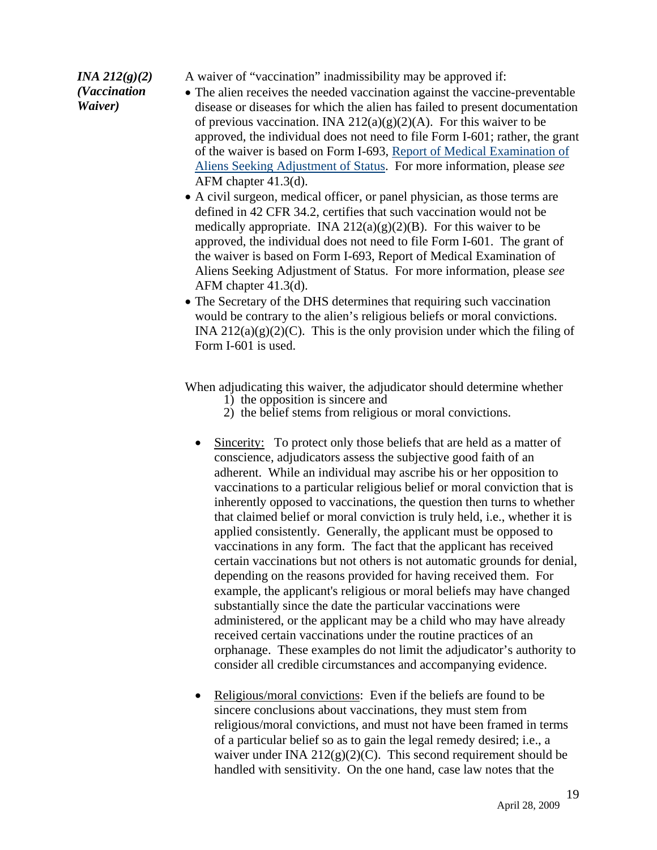# *INA 212(g)(2)*

A waiver of "vaccination" inadmissibility may be approved if:

#### *(Vaccination Waiver)*

- The alien receives the needed vaccination against the vaccine-preventable disease or diseases for which the alien has failed to present documentation of previous vaccination. INA  $212(a)(g)(2)(A)$ . For this waiver to be approved, the individual does not need to file Form I-601; rather, the grant of the waiver is based on Form I-693, Report of Medical Examination of Aliens Seeking Adjustment of Status. For more information, please *see*  AFM chapter 41.3(d).
- A civil surgeon, medical officer, or panel physician, as those terms are defined in 42 CFR 34.2, certifies that such vaccination would not be medically appropriate. INA  $212(a)(g)(2)(B)$ . For this waiver to be approved, the individual does not need to file Form I-601. The grant of the waiver is based on Form I-693, Report of Medical Examination of Aliens Seeking Adjustment of Status. For more information, please *see* AFM chapter 41.3(d).
- The Secretary of the DHS determines that requiring such vaccination would be contrary to the alien's religious beliefs or moral convictions. INA  $212(a)(g)(2)(C)$ . This is the only provision under which the filing of Form I-601 is used.

When adjudicating this waiver, the adjudicator should determine whether

- 1) the opposition is sincere and
- 2) the belief stems from religious or moral convictions.
- Sincerity: To protect only those beliefs that are held as a matter of conscience, adjudicators assess the subjective good faith of an adherent. While an individual may ascribe his or her opposition to vaccinations to a particular religious belief or moral conviction that is inherently opposed to vaccinations, the question then turns to whether that claimed belief or moral conviction is truly held, i.e., whether it is applied consistently. Generally, the applicant must be opposed to vaccinations in any form. The fact that the applicant has received certain vaccinations but not others is not automatic grounds for denial, depending on the reasons provided for having received them. For example, the applicant's religious or moral beliefs may have changed substantially since the date the particular vaccinations were administered, or the applicant may be a child who may have already received certain vaccinations under the routine practices of an orphanage. These examples do not limit the adjudicator's authority to consider all credible circumstances and accompanying evidence.
- Religious/moral convictions: Even if the beliefs are found to be sincere conclusions about vaccinations, they must stem from religious/moral convictions, and must not have been framed in terms of a particular belief so as to gain the legal remedy desired; i.e., a waiver under INA  $212(g)(2)(C)$ . This second requirement should be handled with sensitivity. On the one hand, case law notes that the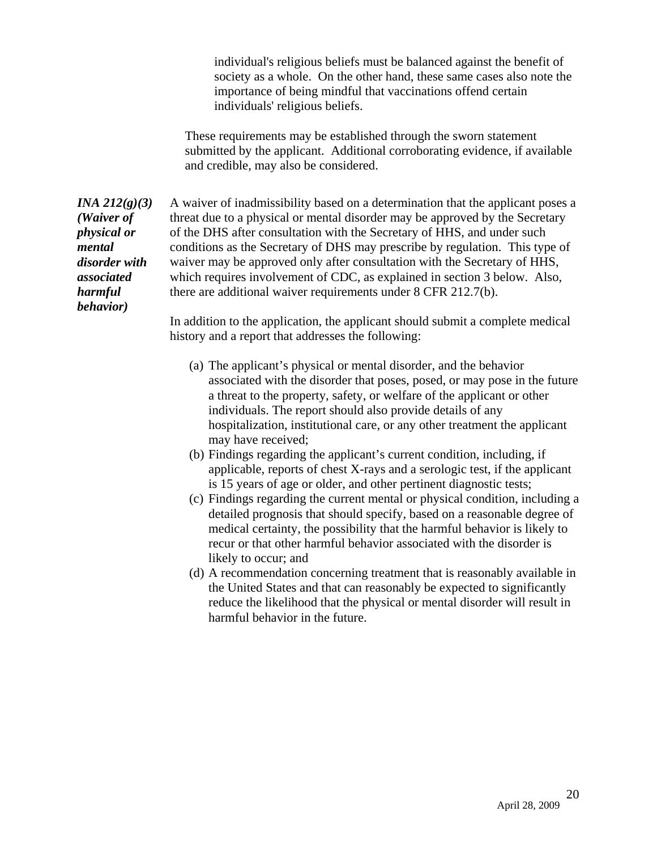individual's religious beliefs must be balanced against the benefit of society as a whole. On the other hand, these same cases also note the importance of being mindful that vaccinations offend certain individuals' religious beliefs.

These requirements may be established through the sworn statement submitted by the applicant. Additional corroborating evidence, if available and credible, may also be considered.

*INA 212(g)(3)*  A waiver of inadmissibility based on a determination that the applicant poses a threat due to a physical or mental disorder may be approved by the Secretary of the DHS after consultation with the Secretary of HHS, and under such conditions as the Secretary of DHS may prescribe by regulation. This type of waiver may be approved only after consultation with the Secretary of HHS, which requires involvement of CDC, as explained in section 3 below. Also, there are additional waiver requirements under 8 CFR 212.7(b).

> In addition to the application, the applicant should submit a complete medical history and a report that addresses the following:

- (a) The applicant's physical or mental disorder, and the behavior associated with the disorder that poses, posed, or may pose in the future a threat to the property, safety, or welfare of the applicant or other individuals. The report should also provide details of any hospitalization, institutional care, or any other treatment the applicant may have received;
- (b) Findings regarding the applicant's current condition, including, if applicable, reports of chest X-rays and a serologic test, if the applicant is 15 years of age or older, and other pertinent diagnostic tests;
- (c) Findings regarding the current mental or physical condition, including a detailed prognosis that should specify, based on a reasonable degree of medical certainty, the possibility that the harmful behavior is likely to recur or that other harmful behavior associated with the disorder is likely to occur; and
- (d) A recommendation concerning treatment that is reasonably available in the United States and that can reasonably be expected to significantly reduce the likelihood that the physical or mental disorder will result in harmful behavior in the future.

*(Waiver of physical or mental disorder with associated harmful behavior)*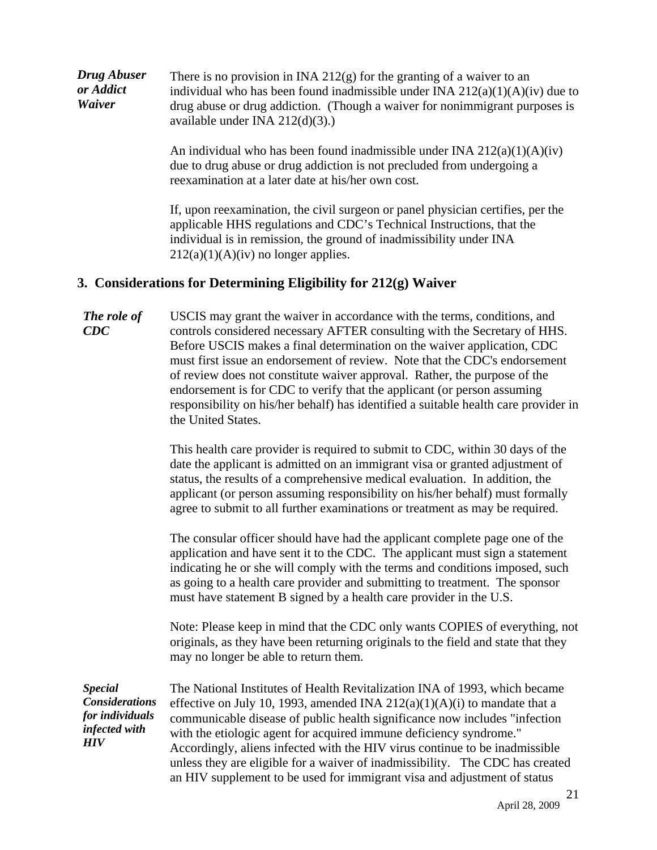| Drug Abuser | There is no provision in INA 212 $(g)$ for the granting of a waiver to an      |
|-------------|--------------------------------------------------------------------------------|
| or Addict   | individual who has been found inadmissible under INA $212(a)(1)(A)(iv)$ due to |
| Waiver      | drug abuse or drug addiction. (Though a waiver for nonimmigrant purposes is    |
|             | available under INA $212(d)(3)$ .)                                             |

An individual who has been found inadmissible under INA  $212(a)(1)(A)(iv)$ due to drug abuse or drug addiction is not precluded from undergoing a reexamination at a later date at his/her own cost.

If, upon reexamination, the civil surgeon or panel physician certifies, per the applicable HHS regulations and CDC's Technical Instructions, that the individual is in remission, the ground of inadmissibility under INA  $212(a)(1)(A)(iv)$  no longer applies.

#### **3. Considerations for Determining Eligibility for 212(g) Waiver**

*The role of CDC*  USCIS may grant the waiver in accordance with the terms, conditions, and controls considered necessary AFTER consulting with the Secretary of HHS. Before USCIS makes a final determination on the waiver application, CDC must first issue an endorsement of review. Note that the CDC's endorsement of review does not constitute waiver approval. Rather, the purpose of the endorsement is for CDC to verify that the applicant (or person assuming responsibility on his/her behalf) has identified a suitable health care provider in the United States.

> This health care provider is required to submit to CDC, within 30 days of the date the applicant is admitted on an immigrant visa or granted adjustment of status, the results of a comprehensive medical evaluation. In addition, the applicant (or person assuming responsibility on his/her behalf) must formally agree to submit to all further examinations or treatment as may be required.

> The consular officer should have had the applicant complete page one of the application and have sent it to the CDC. The applicant must sign a statement indicating he or she will comply with the terms and conditions imposed, such as going to a health care provider and submitting to treatment. The sponsor must have statement B signed by a health care provider in the U.S.

Note: Please keep in mind that the CDC only wants COPIES of everything, not originals, as they have been returning originals to the field and state that they may no longer be able to return them.

*Special Considerations for individuals infected with HIV* 

The National Institutes of Health Revitalization INA of 1993, which became effective on July 10, 1993, amended INA  $212(a)(1)(A)(i)$  to mandate that a communicable disease of public health significance now includes "infection with the etiologic agent for acquired immune deficiency syndrome." Accordingly, aliens infected with the HIV virus continue to be inadmissible unless they are eligible for a waiver of inadmissibility. The CDC has created an HIV supplement to be used for immigrant visa and adjustment of status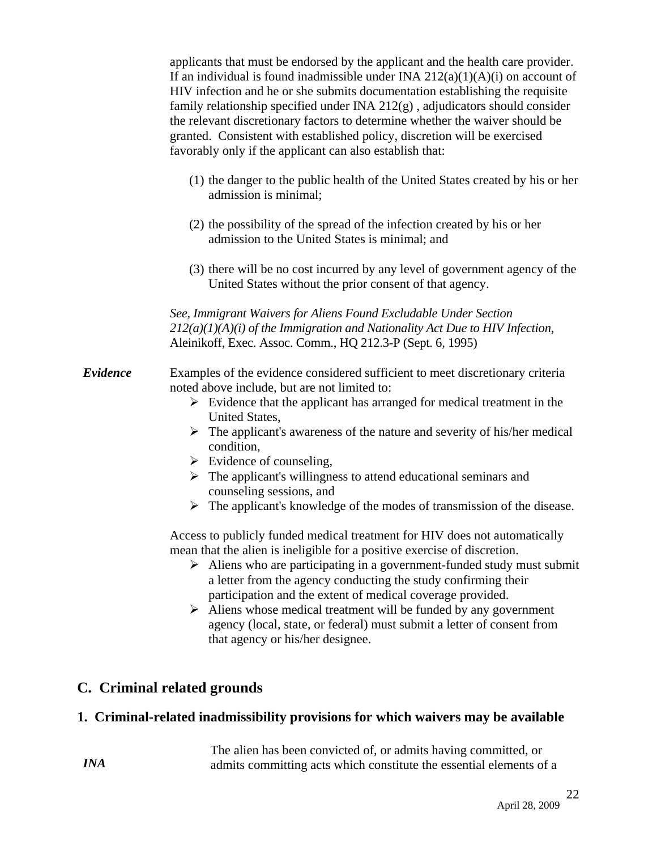applicants that must be endorsed by the applicant and the health care provider. If an individual is found inadmissible under INA  $212(a)(1)(A)(i)$  on account of HIV infection and he or she submits documentation establishing the requisite family relationship specified under INA 212(g) , adjudicators should consider the relevant discretionary factors to determine whether the waiver should be granted. Consistent with established policy, discretion will be exercised favorably only if the applicant can also establish that:

- (1) the danger to the public health of the United States created by his or her admission is minimal;
- (2) the possibility of the spread of the infection created by his or her admission to the United States is minimal; and
- (3) there will be no cost incurred by any level of government agency of the United States without the prior consent of that agency.

*See, Immigrant Waivers for Aliens Found Excludable Under Section 212(a)(1)(A)(i) of the Immigration and Nationality Act Due to HIV Infection*, Aleinikoff, Exec. Assoc. Comm., HQ 212.3-P (Sept. 6, 1995)

- *Evidence* Examples of the evidence considered sufficient to meet discretionary criteria noted above include, but are not limited to:
	- $\triangleright$  Evidence that the applicant has arranged for medical treatment in the United States,
	- $\triangleright$  The applicant's awareness of the nature and severity of his/her medical condition,
	- $\triangleright$  Evidence of counseling,
	- $\triangleright$  The applicant's willingness to attend educational seminars and counseling sessions, and
	- $\triangleright$  The applicant's knowledge of the modes of transmission of the disease.

Access to publicly funded medical treatment for HIV does not automatically mean that the alien is ineligible for a positive exercise of discretion.

- $\triangleright$  Aliens who are participating in a government-funded study must submit a letter from the agency conducting the study confirming their participation and the extent of medical coverage provided.
- $\triangleright$  Aliens whose medical treatment will be funded by any government agency (local, state, or federal) must submit a letter of consent from that agency or his/her designee.

## **C. Criminal related grounds**

*INA* 

#### **1. Criminal-related inadmissibility provisions for which waivers may be available**

The alien has been convicted of, or admits having committed, or admits committing acts which constitute the essential elements of a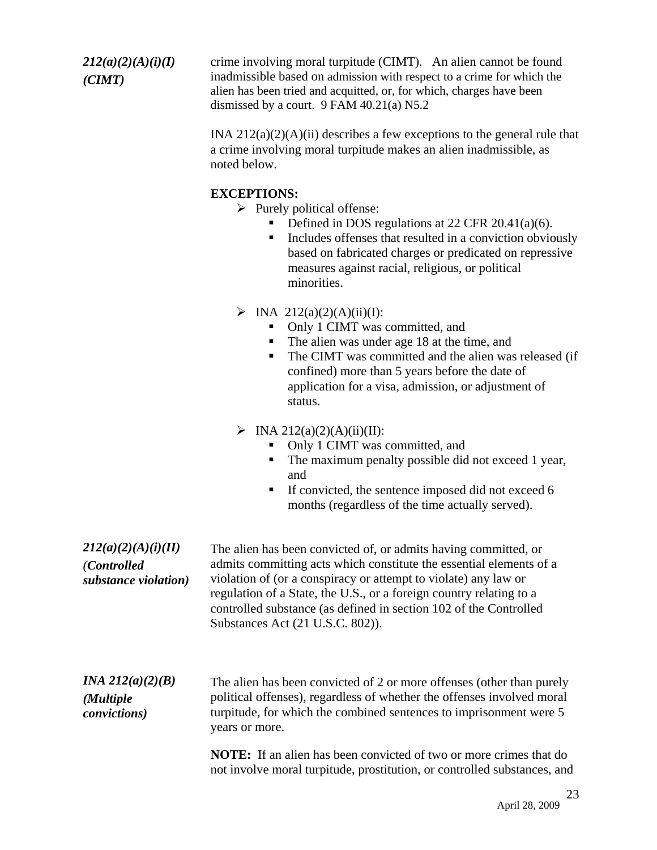*212(a)(2)(A)(i)(I) (CIMT)* 

crime involving moral turpitude (CIMT). An alien cannot be found inadmissible based on admission with respect to a crime for which the alien has been tried and acquitted, or, for which, charges have been dismissed by a court. 9 FAM 40.21(a) N5.2

INA  $212(a)(2)(A)(ii)$  describes a few exceptions to the general rule that a crime involving moral turpitude makes an alien inadmissible, as noted below.

#### **EXCEPTIONS:**

 $\triangleright$  Purely political offense:

- Defined in DOS regulations at 22 CFR  $20.41(a)(6)$ .
- Includes offenses that resulted in a conviction obviously based on fabricated charges or predicated on repressive measures against racial, religious, or political minorities.
- $\triangleright$  INA 212(a)(2)(A)(ii)(I):
	- Only 1 CIMT was committed, and
	- The alien was under age 18 at the time, and
	- The CIMT was committed and the alien was released (if confined) more than 5 years before the date of application for a visa, admission, or adjustment of status.

#### $\triangleright$  INA 212(a)(2)(A)(ii)(II):

- Only 1 CIMT was committed, and
- The maximum penalty possible did not exceed 1 year, and
- $\blacksquare$  If convicted, the sentence imposed did not exceed 6 months (regardless of the time actually served).

*212(a)(2)(A)(i)(II) (Controlled substance violation)* The alien has been convicted of, or admits having committed, or admits committing acts which constitute the essential elements of a violation of (or a conspiracy or attempt to violate) any law or regulation of a State, the U.S., or a foreign country relating to a controlled substance (as defined in section 102 of the Controlled Substances Act (21 U.S.C. 802)).

*INA 212(a)(2)(B) (Multiple convictions)*  The alien has been convicted of 2 or more offenses (other than purely political offenses), regardless of whether the offenses involved moral turpitude, for which the combined sentences to imprisonment were 5 years or more.

> **NOTE:** If an alien has been convicted of two or more crimes that do not involve moral turpitude, prostitution, or controlled substances, and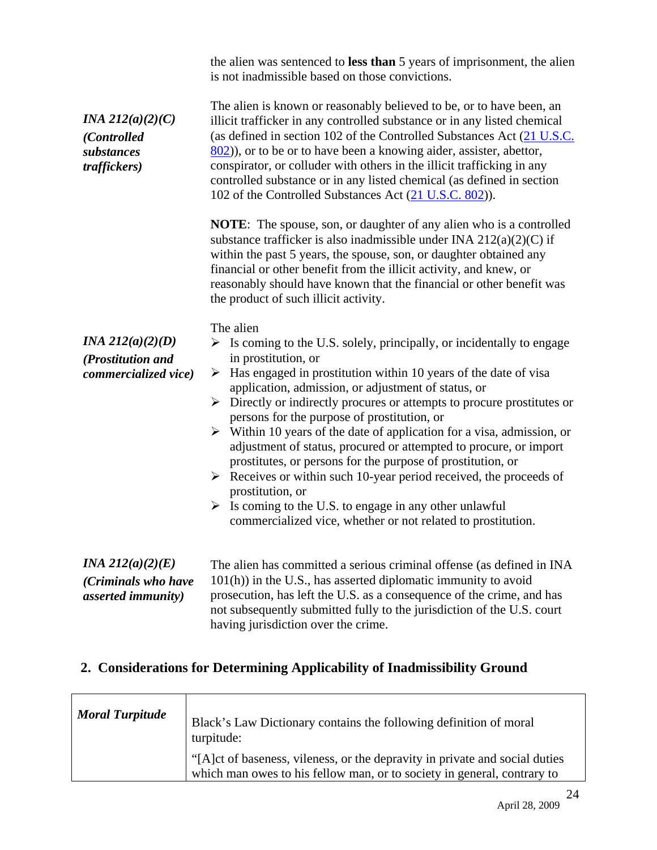|                                                                        | the alien was sentenced to less than 5 years of imprisonment, the alien<br>is not inadmissible based on those convictions.                                                                                                                                                                                                                                                                                                                                                                                                                                                                                                                                                                                                                                                                                                                                |
|------------------------------------------------------------------------|-----------------------------------------------------------------------------------------------------------------------------------------------------------------------------------------------------------------------------------------------------------------------------------------------------------------------------------------------------------------------------------------------------------------------------------------------------------------------------------------------------------------------------------------------------------------------------------------------------------------------------------------------------------------------------------------------------------------------------------------------------------------------------------------------------------------------------------------------------------|
| <i>INA 212(a)(2)(C)</i><br>(Controlled<br>substances<br>traffickers)   | The alien is known or reasonably believed to be, or to have been, an<br>illicit trafficker in any controlled substance or in any listed chemical<br>(as defined in section 102 of the Controlled Substances Act (21 U.S.C.<br>$802$ ), or to be or to have been a knowing aider, assister, abettor,<br>conspirator, or colluder with others in the illicit trafficking in any<br>controlled substance or in any listed chemical (as defined in section<br>102 of the Controlled Substances Act (21 U.S.C. 802)).                                                                                                                                                                                                                                                                                                                                          |
|                                                                        | <b>NOTE:</b> The spouse, son, or daughter of any alien who is a controlled<br>substance trafficker is also inadmissible under INA $212(a)(2)(C)$ if<br>within the past 5 years, the spouse, son, or daughter obtained any<br>financial or other benefit from the illicit activity, and knew, or<br>reasonably should have known that the financial or other benefit was<br>the product of such illicit activity.                                                                                                                                                                                                                                                                                                                                                                                                                                          |
| <i>INA</i> $212(a)(2)(D)$<br>(Prostitution and<br>commercialized vice) | The alien<br>Is coming to the U.S. solely, principally, or incidentally to engage<br>➤<br>in prostitution, or<br>Has engaged in prostitution within 10 years of the date of visa<br>➤<br>application, admission, or adjustment of status, or<br>$\triangleright$ Directly or indirectly procures or attempts to procure prostitutes or<br>persons for the purpose of prostitution, or<br>$\triangleright$ Within 10 years of the date of application for a visa, admission, or<br>adjustment of status, procured or attempted to procure, or import<br>prostitutes, or persons for the purpose of prostitution, or<br>$\triangleright$ Receives or within such 10-year period received, the proceeds of<br>prostitution, or<br>Is coming to the U.S. to engage in any other unlawful<br>➤<br>commercialized vice, whether or not related to prostitution. |
| <i>INA</i> $212(a)(2)(E)$<br>(Criminals who have<br>asserted immunity) | The alien has committed a serious criminal offense (as defined in INA<br>$101(h)$ ) in the U.S., has asserted diplomatic immunity to avoid<br>prosecution, has left the U.S. as a consequence of the crime, and has<br>not subsequently submitted fully to the jurisdiction of the U.S. court<br>having jurisdiction over the crime.                                                                                                                                                                                                                                                                                                                                                                                                                                                                                                                      |

# **2. Considerations for Determining Applicability of Inadmissibility Ground**

| <b>Moral Turpitude</b> | Black's Law Dictionary contains the following definition of moral<br>turpitude:                                                                        |
|------------------------|--------------------------------------------------------------------------------------------------------------------------------------------------------|
|                        | "[A]ct of baseness, vileness, or the depravity in private and social duties<br>which man owes to his fellow man, or to society in general, contrary to |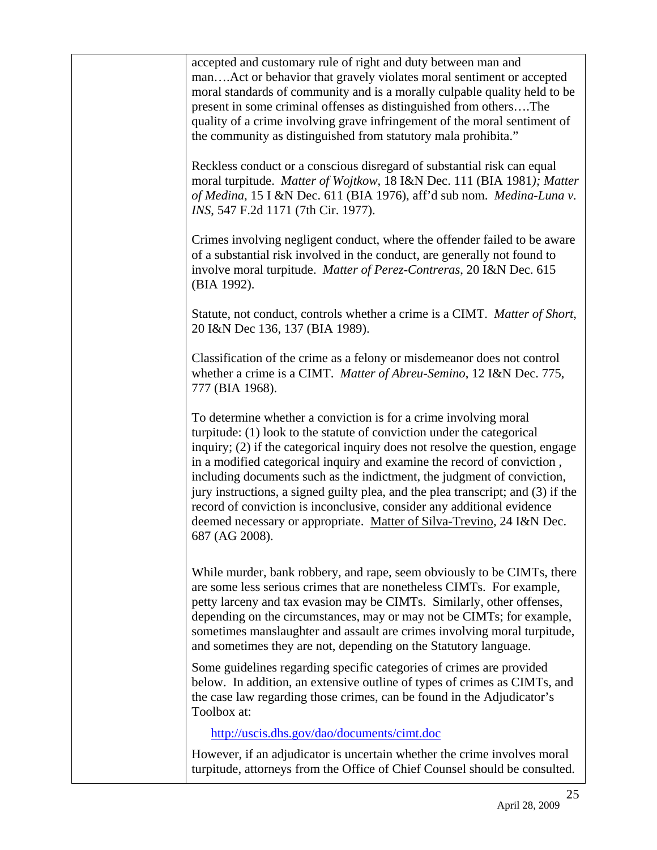| accepted and customary rule of right and duty between man and<br>manAct or behavior that gravely violates moral sentiment or accepted<br>moral standards of community and is a morally culpable quality held to be<br>present in some criminal offenses as distinguished from othersThe<br>quality of a crime involving grave infringement of the moral sentiment of<br>the community as distinguished from statutory mala prohibita."                                                                                                                                                                                                     |
|--------------------------------------------------------------------------------------------------------------------------------------------------------------------------------------------------------------------------------------------------------------------------------------------------------------------------------------------------------------------------------------------------------------------------------------------------------------------------------------------------------------------------------------------------------------------------------------------------------------------------------------------|
| Reckless conduct or a conscious disregard of substantial risk can equal<br>moral turpitude. Matter of Wojtkow, 18 I&N Dec. 111 (BIA 1981); Matter<br>of Medina, 15 I &N Dec. 611 (BIA 1976), aff'd sub nom. Medina-Luna v.<br>INS, 547 F.2d 1171 (7th Cir. 1977).                                                                                                                                                                                                                                                                                                                                                                          |
| Crimes involving negligent conduct, where the offender failed to be aware<br>of a substantial risk involved in the conduct, are generally not found to<br>involve moral turpitude. Matter of Perez-Contreras, 20 I&N Dec. 615<br>(BIA 1992).                                                                                                                                                                                                                                                                                                                                                                                               |
| Statute, not conduct, controls whether a crime is a CIMT. Matter of Short,<br>20 I&N Dec 136, 137 (BIA 1989).                                                                                                                                                                                                                                                                                                                                                                                                                                                                                                                              |
| Classification of the crime as a felony or misdemeanor does not control<br>whether a crime is a CIMT. Matter of Abreu-Semino, 12 I&N Dec. 775,<br>777 (BIA 1968).                                                                                                                                                                                                                                                                                                                                                                                                                                                                          |
| To determine whether a conviction is for a crime involving moral<br>turpitude: (1) look to the statute of conviction under the categorical<br>inquiry; (2) if the categorical inquiry does not resolve the question, engage<br>in a modified categorical inquiry and examine the record of conviction,<br>including documents such as the indictment, the judgment of conviction,<br>jury instructions, a signed guilty plea, and the plea transcript; and (3) if the<br>record of conviction is inconclusive, consider any additional evidence<br>deemed necessary or appropriate. Matter of Silva-Trevino, 24 I&N Dec.<br>687 (AG 2008). |
| While murder, bank robbery, and rape, seem obviously to be CIMTs, there<br>are some less serious crimes that are nonetheless CIMTs. For example,<br>petty larceny and tax evasion may be CIMTs. Similarly, other offenses,<br>depending on the circumstances, may or may not be CIMTs; for example,<br>sometimes manslaughter and assault are crimes involving moral turpitude,<br>and sometimes they are not, depending on the Statutory language.                                                                                                                                                                                        |
| Some guidelines regarding specific categories of crimes are provided<br>below. In addition, an extensive outline of types of crimes as CIMTs, and<br>the case law regarding those crimes, can be found in the Adjudicator's<br>Toolbox at:                                                                                                                                                                                                                                                                                                                                                                                                 |
| http://uscis.dhs.gov/dao/documents/cimt.doc                                                                                                                                                                                                                                                                                                                                                                                                                                                                                                                                                                                                |
| However, if an adjudicator is uncertain whether the crime involves moral<br>turpitude, attorneys from the Office of Chief Counsel should be consulted.                                                                                                                                                                                                                                                                                                                                                                                                                                                                                     |

J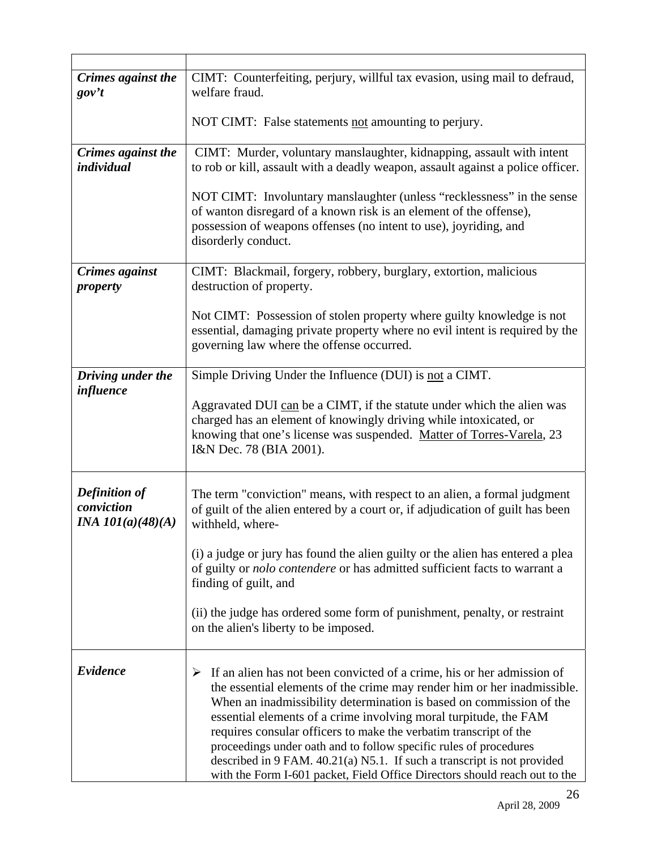| Crimes against the<br>gov't                               | CIMT: Counterfeiting, perjury, willful tax evasion, using mail to defraud,<br>welfare fraud.                                                                                                                                                                                                                                                                                                                                                                                                                                                                                                           |
|-----------------------------------------------------------|--------------------------------------------------------------------------------------------------------------------------------------------------------------------------------------------------------------------------------------------------------------------------------------------------------------------------------------------------------------------------------------------------------------------------------------------------------------------------------------------------------------------------------------------------------------------------------------------------------|
|                                                           | NOT CIMT: False statements not amounting to perjury.                                                                                                                                                                                                                                                                                                                                                                                                                                                                                                                                                   |
| Crimes against the<br>individual                          | CIMT: Murder, voluntary manslaughter, kidnapping, assault with intent<br>to rob or kill, assault with a deadly weapon, assault against a police officer.                                                                                                                                                                                                                                                                                                                                                                                                                                               |
|                                                           | NOT CIMT: Involuntary manslaughter (unless "recklessness" in the sense<br>of wanton disregard of a known risk is an element of the offense),<br>possession of weapons offenses (no intent to use), joyriding, and<br>disorderly conduct.                                                                                                                                                                                                                                                                                                                                                               |
| Crimes against<br>property                                | CIMT: Blackmail, forgery, robbery, burglary, extortion, malicious<br>destruction of property.                                                                                                                                                                                                                                                                                                                                                                                                                                                                                                          |
|                                                           | Not CIMT: Possession of stolen property where guilty knowledge is not<br>essential, damaging private property where no evil intent is required by the<br>governing law where the offense occurred.                                                                                                                                                                                                                                                                                                                                                                                                     |
| Driving under the                                         | Simple Driving Under the Influence (DUI) is not a CIMT.                                                                                                                                                                                                                                                                                                                                                                                                                                                                                                                                                |
| influence                                                 | Aggravated DUI can be a CIMT, if the statute under which the alien was<br>charged has an element of knowingly driving while intoxicated, or<br>knowing that one's license was suspended. Matter of Torres-Varela, 23<br>I&N Dec. 78 (BIA 2001).                                                                                                                                                                                                                                                                                                                                                        |
| <b>Definition of</b><br>conviction<br>INA $101(a)(48)(A)$ | The term "conviction" means, with respect to an alien, a formal judgment<br>of guilt of the alien entered by a court or, if adjudication of guilt has been<br>withheld, where-                                                                                                                                                                                                                                                                                                                                                                                                                         |
|                                                           | (i) a judge or jury has found the alien guilty or the alien has entered a plea<br>of guilty or nolo contendere or has admitted sufficient facts to warrant a<br>finding of guilt, and                                                                                                                                                                                                                                                                                                                                                                                                                  |
|                                                           | (ii) the judge has ordered some form of punishment, penalty, or restraint<br>on the alien's liberty to be imposed.                                                                                                                                                                                                                                                                                                                                                                                                                                                                                     |
| Evidence                                                  | If an alien has not been convicted of a crime, his or her admission of<br>➤<br>the essential elements of the crime may render him or her inadmissible.<br>When an inadmissibility determination is based on commission of the<br>essential elements of a crime involving moral turpitude, the FAM<br>requires consular officers to make the verbatim transcript of the<br>proceedings under oath and to follow specific rules of procedures<br>described in 9 FAM. $40.21(a)$ N5.1. If such a transcript is not provided<br>with the Form I-601 packet, Field Office Directors should reach out to the |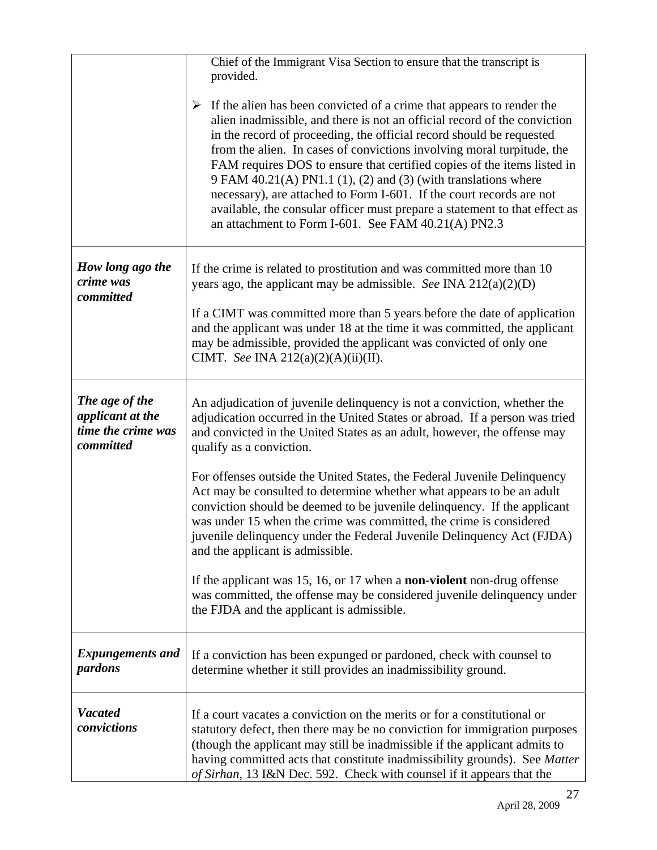|                                                                       | Chief of the Immigrant Visa Section to ensure that the transcript is<br>provided.                                                                                                                                                                                                                                                                                                                                                                                                                                                                                                                                                                                     |
|-----------------------------------------------------------------------|-----------------------------------------------------------------------------------------------------------------------------------------------------------------------------------------------------------------------------------------------------------------------------------------------------------------------------------------------------------------------------------------------------------------------------------------------------------------------------------------------------------------------------------------------------------------------------------------------------------------------------------------------------------------------|
|                                                                       | If the alien has been convicted of a crime that appears to render the<br>➤<br>alien inadmissible, and there is not an official record of the conviction<br>in the record of proceeding, the official record should be requested<br>from the alien. In cases of convictions involving moral turpitude, the<br>FAM requires DOS to ensure that certified copies of the items listed in<br>$9$ FAM 40.21(A) PN1.1 (1), (2) and (3) (with translations where<br>necessary), are attached to Form I-601. If the court records are not<br>available, the consular officer must prepare a statement to that effect as<br>an attachment to Form I-601. See FAM 40.21(A) PN2.3 |
| How long ago the<br>crime was<br>committed                            | If the crime is related to prostitution and was committed more than 10<br>years ago, the applicant may be admissible. See INA $212(a)(2)(D)$                                                                                                                                                                                                                                                                                                                                                                                                                                                                                                                          |
|                                                                       | If a CIMT was committed more than 5 years before the date of application<br>and the applicant was under 18 at the time it was committed, the applicant<br>may be admissible, provided the applicant was convicted of only one<br>CIMT. See INA 212(a)(2)(A)(ii)(II).                                                                                                                                                                                                                                                                                                                                                                                                  |
| The age of the<br>applicant at the<br>time the crime was<br>committed | An adjudication of juvenile delinquency is not a conviction, whether the<br>adjudication occurred in the United States or abroad. If a person was tried<br>and convicted in the United States as an adult, however, the offense may<br>qualify as a conviction.                                                                                                                                                                                                                                                                                                                                                                                                       |
|                                                                       | For offenses outside the United States, the Federal Juvenile Delinquency<br>Act may be consulted to determine whether what appears to be an adult<br>conviction should be deemed to be juvenile delinquency. If the applicant<br>was under 15 when the crime was committed, the crime is considered<br>juvenile delinquency under the Federal Juvenile Delinquency Act (FJDA)<br>and the applicant is admissible.                                                                                                                                                                                                                                                     |
|                                                                       | If the applicant was $15$ , 16, or 17 when a <b>non-violent</b> non-drug offense<br>was committed, the offense may be considered juvenile delinquency under<br>the FJDA and the applicant is admissible.                                                                                                                                                                                                                                                                                                                                                                                                                                                              |
| <b>Expungements and</b><br>pardons                                    | If a conviction has been expunged or pardoned, check with counsel to<br>determine whether it still provides an inadmissibility ground.                                                                                                                                                                                                                                                                                                                                                                                                                                                                                                                                |
| <b>Vacated</b><br>convictions                                         | If a court vacates a conviction on the merits or for a constitutional or<br>statutory defect, then there may be no conviction for immigration purposes<br>(though the applicant may still be inadmissible if the applicant admits to<br>having committed acts that constitute inadmissibility grounds). See Matter<br>of Sirhan, 13 I&N Dec. 592. Check with counsel if it appears that the                                                                                                                                                                                                                                                                           |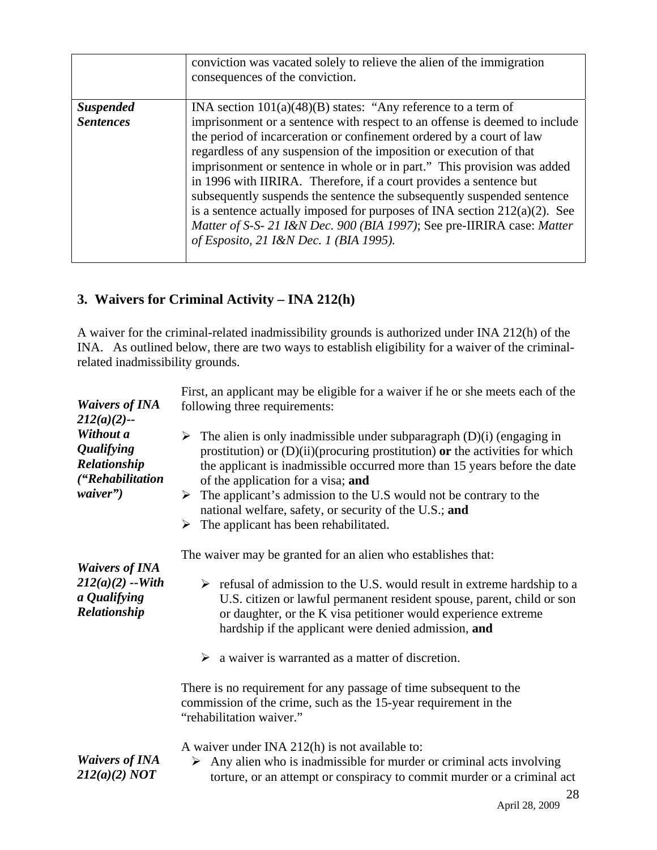|                  | conviction was vacated solely to relieve the alien of the immigration<br>consequences of the conviction.                                                                                                                                                                                                                                                                                                                                                                                                                                                                                                                                                 |
|------------------|----------------------------------------------------------------------------------------------------------------------------------------------------------------------------------------------------------------------------------------------------------------------------------------------------------------------------------------------------------------------------------------------------------------------------------------------------------------------------------------------------------------------------------------------------------------------------------------------------------------------------------------------------------|
| <b>Suspended</b> | INA section $101(a)(48)(B)$ states: "Any reference to a term of                                                                                                                                                                                                                                                                                                                                                                                                                                                                                                                                                                                          |
| <b>Sentences</b> | imprisonment or a sentence with respect to an offense is deemed to include<br>the period of incarceration or confinement ordered by a court of law<br>regardless of any suspension of the imposition or execution of that<br>imprisonment or sentence in whole or in part." This provision was added<br>in 1996 with IIRIRA. Therefore, if a court provides a sentence but<br>subsequently suspends the sentence the subsequently suspended sentence<br>is a sentence actually imposed for purposes of INA section $212(a)(2)$ . See<br>Matter of S-S- 21 I&N Dec. 900 (BIA 1997); See pre-IIRIRA case: Matter<br>of Esposito, 21 I&N Dec. 1 (BIA 1995). |

## **3. Waivers for Criminal Activity – INA 212(h)**

A waiver for the criminal-related inadmissibility grounds is authorized under INA 212(h) of the INA. As outlined below, there are two ways to establish eligibility for a waiver of the criminalrelated inadmissibility grounds.

| <b>Waivers of INA</b><br>$212(a)(2)$ --                                        | First, an applicant may be eligible for a waiver if he or she meets each of the<br>following three requirements:                                                                                                                                                                                                                                                                                                                                                     |
|--------------------------------------------------------------------------------|----------------------------------------------------------------------------------------------------------------------------------------------------------------------------------------------------------------------------------------------------------------------------------------------------------------------------------------------------------------------------------------------------------------------------------------------------------------------|
| Without a<br><b>Qualifying</b><br>Relationship<br>("Rehabilitation<br>waiver") | The alien is only inadmissible under subparagraph $(D)(i)$ (engaging in<br>➤<br>prostitution) or $(D)(ii)$ (procuring prostitution) or the activities for which<br>the applicant is inadmissible occurred more than 15 years before the date<br>of the application for a visa; and<br>The applicant's admission to the U.S would not be contrary to the<br>➤<br>national welfare, safety, or security of the U.S.; and<br>The applicant has been rehabilitated.<br>➤ |
| <b>Waivers of INA</b><br>$212(a)(2) - With$<br>a Qualifying<br>Relationship    | The waiver may be granted for an alien who establishes that:<br>$\triangleright$ refusal of admission to the U.S. would result in extreme hardship to a<br>U.S. citizen or lawful permanent resident spouse, parent, child or son<br>or daughter, or the K visa petitioner would experience extreme<br>hardship if the applicant were denied admission, and<br>$\triangleright$ a waiver is warranted as a matter of discretion.                                     |
|                                                                                | There is no requirement for any passage of time subsequent to the<br>commission of the crime, such as the 15-year requirement in the<br>"rehabilitation waiver."                                                                                                                                                                                                                                                                                                     |
| <b>Waivers of INA</b><br>212(a)(2) NOT                                         | A waiver under INA 212(h) is not available to:<br>$\triangleright$ Any alien who is inadmissible for murder or criminal acts involving<br>torture, or an attempt or conspiracy to commit murder or a criminal act<br>28                                                                                                                                                                                                                                              |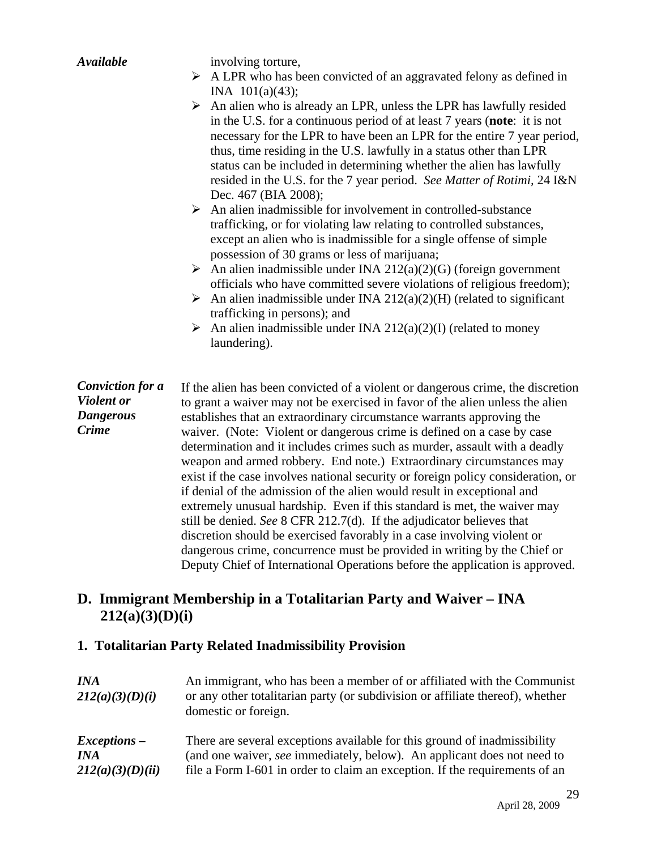| <b>Available</b>        | involving torture,                                                                                                                                                                                                                                                                                                                                                                                                                                                                            |  |  |
|-------------------------|-----------------------------------------------------------------------------------------------------------------------------------------------------------------------------------------------------------------------------------------------------------------------------------------------------------------------------------------------------------------------------------------------------------------------------------------------------------------------------------------------|--|--|
|                         | $\triangleright$ A LPR who has been convicted of an aggravated felony as defined in                                                                                                                                                                                                                                                                                                                                                                                                           |  |  |
|                         | INA $101(a)(43)$ ;                                                                                                                                                                                                                                                                                                                                                                                                                                                                            |  |  |
|                         | $\triangleright$ An alien who is already an LPR, unless the LPR has lawfully resided<br>in the U.S. for a continuous period of at least 7 years (note: it is not<br>necessary for the LPR to have been an LPR for the entire 7 year period,<br>thus, time residing in the U.S. lawfully in a status other than LPR<br>status can be included in determining whether the alien has lawfully<br>resided in the U.S. for the 7 year period. See Matter of Rotimi, 24 I&N<br>Dec. 467 (BIA 2008); |  |  |
|                         | $\triangleright$ An alien inadmissible for involvement in controlled-substance<br>trafficking, or for violating law relating to controlled substances,<br>except an alien who is inadmissible for a single offense of simple<br>possession of 30 grams or less of marijuana;                                                                                                                                                                                                                  |  |  |
|                         | An alien inadmissible under INA 212(a)(2)(G) (foreign government                                                                                                                                                                                                                                                                                                                                                                                                                              |  |  |
|                         | officials who have committed severe violations of religious freedom);                                                                                                                                                                                                                                                                                                                                                                                                                         |  |  |
|                         | An alien inadmissible under INA $212(a)(2)(H)$ (related to significant<br>≻                                                                                                                                                                                                                                                                                                                                                                                                                   |  |  |
|                         | trafficking in persons); and                                                                                                                                                                                                                                                                                                                                                                                                                                                                  |  |  |
|                         | An alien inadmissible under INA 212(a)(2)(I) (related to money<br>laundering).                                                                                                                                                                                                                                                                                                                                                                                                                |  |  |
| <b>Conviction for a</b> | If the alien has been convicted of a violent or dangerous crime, the discretion                                                                                                                                                                                                                                                                                                                                                                                                               |  |  |
| <b>Violent</b> or       | to grant a waiver may not be exercised in favor of the alien unless the alien                                                                                                                                                                                                                                                                                                                                                                                                                 |  |  |
| <b>Dangerous</b>        | establishes that an extraordinary circumstance warrants approving the                                                                                                                                                                                                                                                                                                                                                                                                                         |  |  |
| <b>Crime</b>            | waiver. (Note: Violent or dangerous crime is defined on a case by case                                                                                                                                                                                                                                                                                                                                                                                                                        |  |  |
|                         | determination and it includes crimes such as murder, assault with a deadly<br>weapon and armed robbery. End note.) Extraordinary circumstances may<br>exist if the case involves national security or foreign policy consideration, or                                                                                                                                                                                                                                                        |  |  |
|                         | if denial of the admission of the alien would result in exceptional and                                                                                                                                                                                                                                                                                                                                                                                                                       |  |  |
|                         | extremely unusual hardship. Even if this standard is met, the waiver may                                                                                                                                                                                                                                                                                                                                                                                                                      |  |  |
|                         | still be denied. See 8 CFR 212.7(d). If the adjudicator believes that                                                                                                                                                                                                                                                                                                                                                                                                                         |  |  |
|                         | discretion should be exercised favorably in a case involving violent or                                                                                                                                                                                                                                                                                                                                                                                                                       |  |  |
|                         | dangerous crime, concurrence must be provided in writing by the Chief or                                                                                                                                                                                                                                                                                                                                                                                                                      |  |  |
|                         | Deputy Chief of International Operations before the application is approved.                                                                                                                                                                                                                                                                                                                                                                                                                  |  |  |

# **D. Immigrant Membership in a Totalitarian Party and Waiver – INA 212(a)(3)(D)(i)**

# **1. Totalitarian Party Related Inadmissibility Provision**

| <i>INA</i><br>212(a)(3)(D)(i) | An immigrant, who has been a member of or affiliated with the Communist<br>or any other totalitarian party (or subdivision or affiliate thereof), whether<br>domestic or foreign. |
|-------------------------------|-----------------------------------------------------------------------------------------------------------------------------------------------------------------------------------|
| $Exceptions -$                | There are several exceptions available for this ground of inadmissibility                                                                                                         |
| <i>INA</i>                    | (and one waiver, see immediately, below). An applicant does not need to                                                                                                           |
| 212(a)(3)(D)(ii)              | file a Form I-601 in order to claim an exception. If the requirements of an                                                                                                       |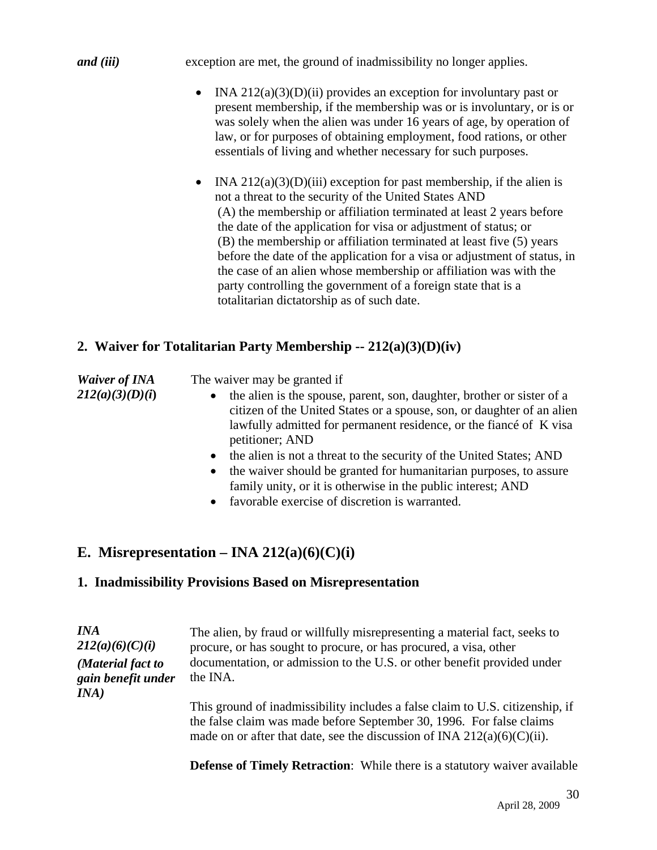*and (iii)* exception are met, the ground of inadmissibility no longer applies.

- INA  $212(a)(3)(D)(ii)$  provides an exception for involuntary past or present membership, if the membership was or is involuntary, or is or was solely when the alien was under 16 years of age, by operation of law, or for purposes of obtaining employment, food rations, or other essentials of living and whether necessary for such purposes.
- INA  $212(a)(3)(D)(iii)$  exception for past membership, if the alien is not a threat to the security of the United States AND (A) the membership or affiliation terminated at least 2 years before the date of the application for visa or adjustment of status; or (B) the membership or affiliation terminated at least five (5) years before the date of the application for a visa or adjustment of status, in the case of an alien whose membership or affiliation was with the party controlling the government of a foreign state that is a totalitarian dictatorship as of such date.

## **2. Waiver for Totalitarian Party Membership -- 212(a)(3)(D)(iv)**

| <b>Waiver of INA</b> | The waiver may be granted if                                                                                                                                                                                                                           |
|----------------------|--------------------------------------------------------------------------------------------------------------------------------------------------------------------------------------------------------------------------------------------------------|
| 212(a)(3)(D)(i)      | the alien is the spouse, parent, son, daughter, brother or sister of a<br>$\bullet$<br>citizen of the United States or a spouse, son, or daughter of an alien<br>lawfully admitted for permanent residence, or the fiance of K visa<br>petitioner; AND |
|                      | the alien is not a threat to the security of the United States; AND<br>$\bullet$                                                                                                                                                                       |
|                      | the waiver should be granted for humanitarian purposes, to assure<br>$\bullet$<br>family unity, or it is otherwise in the public interest; AND                                                                                                         |

• favorable exercise of discretion is warranted.

# **E.** Misrepresentation – INA 212(a)(6)(C)(i)

#### **1. Inadmissibility Provisions Based on Misrepresentation**

| <b>INA</b><br>212(a)(6)(C)(i)<br>(Material fact to<br>gain benefit under<br>INA) | The alien, by fraud or willfully misrepresenting a material fact, seeks to<br>procure, or has sought to procure, or has procured, a visa, other<br>documentation, or admission to the U.S. or other benefit provided under<br>the INA. |
|----------------------------------------------------------------------------------|----------------------------------------------------------------------------------------------------------------------------------------------------------------------------------------------------------------------------------------|
|                                                                                  | This ground of inadmissibility includes a false claim to U.S. citizenship, if<br>the false claim was made before September 30, 1996. For false claims<br>made on or after that date, see the discussion of INA $212(a)(6)(C)(ii)$ .    |

**Defense of Timely Retraction**: While there is a statutory waiver available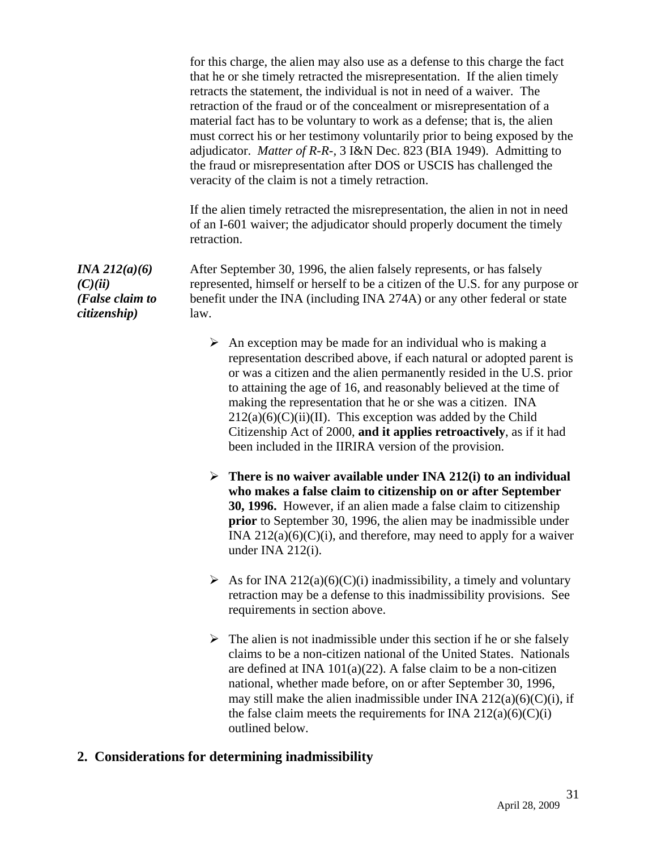for this charge, the alien may also use as a defense to this charge the fact that he or she timely retracted the misrepresentation. If the alien timely retracts the statement, the individual is not in need of a waiver. The retraction of the fraud or of the concealment or misrepresentation of a material fact has to be voluntary to work as a defense; that is, the alien must correct his or her testimony voluntarily prior to being exposed by the adjudicator. *Matter of R-R-,* 3 I&N Dec. 823 (BIA 1949). Admitting to the fraud or misrepresentation after DOS or USCIS has challenged the veracity of the claim is not a timely retraction.

If the alien timely retracted the misrepresentation, the alien in not in need of an I-601 waiver; the adjudicator should properly document the timely retraction.

After September 30, 1996, the alien falsely represents, or has falsely represented, himself or herself to be a citizen of the U.S. for any purpose or benefit under the INA (including INA 274A) or any other federal or state law.

- $\triangleright$  An exception may be made for an individual who is making a representation described above, if each natural or adopted parent is or was a citizen and the alien permanently resided in the U.S. prior to attaining the age of 16, and reasonably believed at the time of making the representation that he or she was a citizen. INA  $212(a)(6)(C)(ii)(II)$ . This exception was added by the Child Citizenship Act of 2000, **and it applies retroactively**, as if it had been included in the IIRIRA version of the provision.
- ¾ **There is no waiver available under INA 212(i) to an individual who makes a false claim to citizenship on or after September 30, 1996.** However, if an alien made a false claim to citizenship **prior** to September 30, 1996, the alien may be inadmissible under INA  $212(a)(6)(C)(i)$ , and therefore, may need to apply for a waiver under INA 212(i).
- $\triangleright$  As for INA 212(a)(6)(C)(i) inadmissibility, a timely and voluntary retraction may be a defense to this inadmissibility provisions. See requirements in section above.
- $\triangleright$  The alien is not inadmissible under this section if he or she falsely claims to be a non-citizen national of the United States. Nationals are defined at INA 101(a)(22). A false claim to be a non-citizen national, whether made before, on or after September 30, 1996, may still make the alien inadmissible under INA  $212(a)(6)(C)(i)$ , if the false claim meets the requirements for INA  $212(a)(6)(C)(i)$ outlined below.

#### **2. Considerations for determining inadmissibility**

*INA 212(a)(6)*   $(C)(ii)$ *(False claim to citizenship)*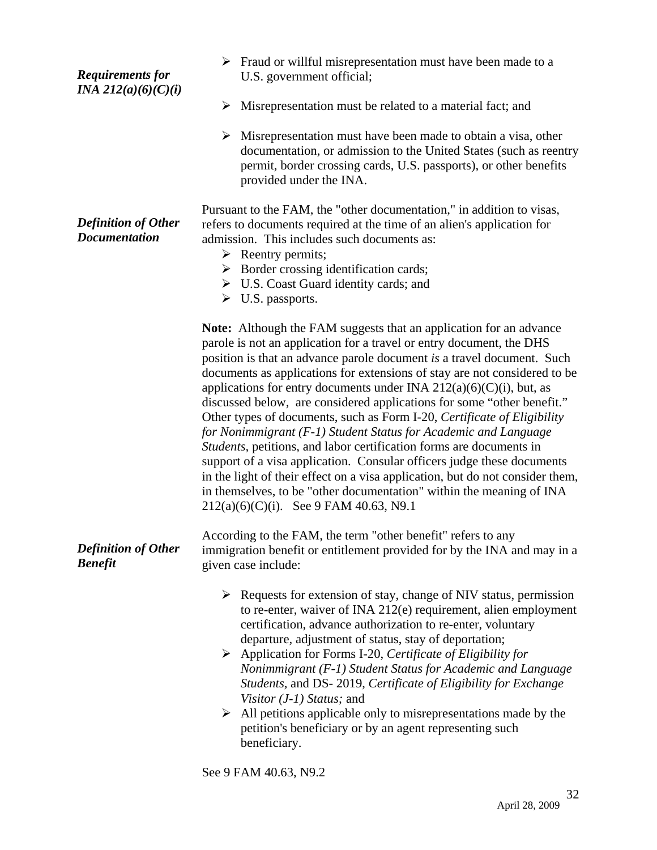| <b>Requirements for</b><br><i>INA 212(a)(6)(C)(i)</i> | $\triangleright$ Fraud or willful misrepresentation must have been made to a<br>U.S. government official;                                                                                                                                                                                                                                                                                                                                                                                                                                                                                                                                                                                                                                                                                                                                                                                                                                                  |
|-------------------------------------------------------|------------------------------------------------------------------------------------------------------------------------------------------------------------------------------------------------------------------------------------------------------------------------------------------------------------------------------------------------------------------------------------------------------------------------------------------------------------------------------------------------------------------------------------------------------------------------------------------------------------------------------------------------------------------------------------------------------------------------------------------------------------------------------------------------------------------------------------------------------------------------------------------------------------------------------------------------------------|
|                                                       | ➤<br>Misrepresentation must be related to a material fact; and                                                                                                                                                                                                                                                                                                                                                                                                                                                                                                                                                                                                                                                                                                                                                                                                                                                                                             |
|                                                       | $\triangleright$ Misrepresentation must have been made to obtain a visa, other<br>documentation, or admission to the United States (such as reentry<br>permit, border crossing cards, U.S. passports), or other benefits<br>provided under the INA.                                                                                                                                                                                                                                                                                                                                                                                                                                                                                                                                                                                                                                                                                                        |
| <b>Definition of Other</b><br><b>Documentation</b>    | Pursuant to the FAM, the "other documentation," in addition to visas,<br>refers to documents required at the time of an alien's application for<br>admission. This includes such documents as:<br>$\triangleright$ Reentry permits;<br>$\triangleright$ Border crossing identification cards;<br>$\triangleright$ U.S. Coast Guard identity cards; and<br>$\triangleright$ U.S. passports.                                                                                                                                                                                                                                                                                                                                                                                                                                                                                                                                                                 |
|                                                       | Note: Although the FAM suggests that an application for an advance<br>parole is not an application for a travel or entry document, the DHS<br>position is that an advance parole document is a travel document. Such<br>documents as applications for extensions of stay are not considered to be<br>applications for entry documents under INA $212(a)(6)(C)(i)$ , but, as<br>discussed below, are considered applications for some "other benefit."<br>Other types of documents, such as Form I-20, Certificate of Eligibility<br>for Nonimmigrant (F-1) Student Status for Academic and Language<br>Students, petitions, and labor certification forms are documents in<br>support of a visa application. Consular officers judge these documents<br>in the light of their effect on a visa application, but do not consider them,<br>in themselves, to be "other documentation" within the meaning of INA<br>$212(a)(6)(C)(i)$ . See 9 FAM 40.63, N9.1 |
| <b>Definition of Other</b><br><b>Benefit</b>          | According to the FAM, the term "other benefit" refers to any<br>immigration benefit or entitlement provided for by the INA and may in a<br>given case include:                                                                                                                                                                                                                                                                                                                                                                                                                                                                                                                                                                                                                                                                                                                                                                                             |
|                                                       | $\triangleright$ Requests for extension of stay, change of NIV status, permission<br>to re-enter, waiver of INA 212(e) requirement, alien employment<br>certification, advance authorization to re-enter, voluntary<br>departure, adjustment of status, stay of deportation;<br>$\triangleright$ Application for Forms I-20, Certificate of Eligibility for<br>Nonimmigrant (F-1) Student Status for Academic and Language<br>Students, and DS-2019, Certificate of Eligibility for Exchange<br>Visitor $(J-1)$ Status; and<br>All petitions applicable only to misrepresentations made by the<br>petition's beneficiary or by an agent representing such<br>beneficiary.                                                                                                                                                                                                                                                                                  |

See 9 FAM 40.63, N9.2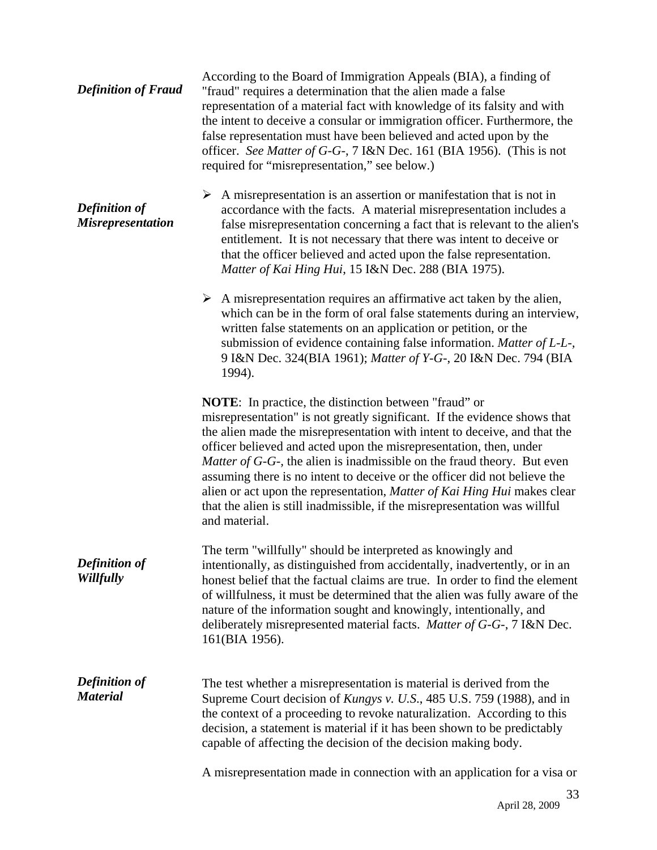| <b>Definition of Fraud</b>                       | According to the Board of Immigration Appeals (BIA), a finding of<br>"fraud" requires a determination that the alien made a false<br>representation of a material fact with knowledge of its falsity and with<br>the intent to deceive a consular or immigration officer. Furthermore, the<br>false representation must have been believed and acted upon by the<br>officer. See Matter of G-G-, 7 I&N Dec. 161 (BIA 1956). (This is not<br>required for "misrepresentation," see below.)                                                                                                                                               |
|--------------------------------------------------|-----------------------------------------------------------------------------------------------------------------------------------------------------------------------------------------------------------------------------------------------------------------------------------------------------------------------------------------------------------------------------------------------------------------------------------------------------------------------------------------------------------------------------------------------------------------------------------------------------------------------------------------|
| <b>Definition of</b><br><b>Misrepresentation</b> | $\triangleright$ A misrepresentation is an assertion or manifestation that is not in<br>accordance with the facts. A material misrepresentation includes a<br>false misrepresentation concerning a fact that is relevant to the alien's<br>entitlement. It is not necessary that there was intent to deceive or<br>that the officer believed and acted upon the false representation.<br>Matter of Kai Hing Hui, 15 I&N Dec. 288 (BIA 1975).                                                                                                                                                                                            |
|                                                  | $\triangleright$ A misrepresentation requires an affirmative act taken by the alien,<br>which can be in the form of oral false statements during an interview,<br>written false statements on an application or petition, or the<br>submission of evidence containing false information. Matter of L-L-,<br>9 I&N Dec. 324(BIA 1961); Matter of Y-G-, 20 I&N Dec. 794 (BIA<br>1994).                                                                                                                                                                                                                                                    |
|                                                  | <b>NOTE:</b> In practice, the distinction between "fraud" or<br>misrepresentation" is not greatly significant. If the evidence shows that<br>the alien made the misrepresentation with intent to deceive, and that the<br>officer believed and acted upon the misrepresentation, then, under<br><i>Matter of G-G-</i> , the alien is inadmissible on the fraud theory. But even<br>assuming there is no intent to deceive or the officer did not believe the<br>alien or act upon the representation, Matter of Kai Hing Hui makes clear<br>that the alien is still inadmissible, if the misrepresentation was willful<br>and material. |
| <b>Definition of</b><br>Willfully                | The term "willfully" should be interpreted as knowingly and<br>intentionally, as distinguished from accidentally, inadvertently, or in an<br>honest belief that the factual claims are true. In order to find the element<br>of willfulness, it must be determined that the alien was fully aware of the<br>nature of the information sought and knowingly, intentionally, and<br>deliberately misrepresented material facts. Matter of G-G-, 7 I&N Dec.<br>161(BIA 1956).                                                                                                                                                              |
| <b>Definition of</b><br><b>Material</b>          | The test whether a misrepresentation is material is derived from the<br>Supreme Court decision of <i>Kungys v. U.S.</i> , 485 U.S. 759 (1988), and in<br>the context of a proceeding to revoke naturalization. According to this<br>decision, a statement is material if it has been shown to be predictably<br>capable of affecting the decision of the decision making body.                                                                                                                                                                                                                                                          |
|                                                  | A misrepresentation made in connection with an application for a visa or                                                                                                                                                                                                                                                                                                                                                                                                                                                                                                                                                                |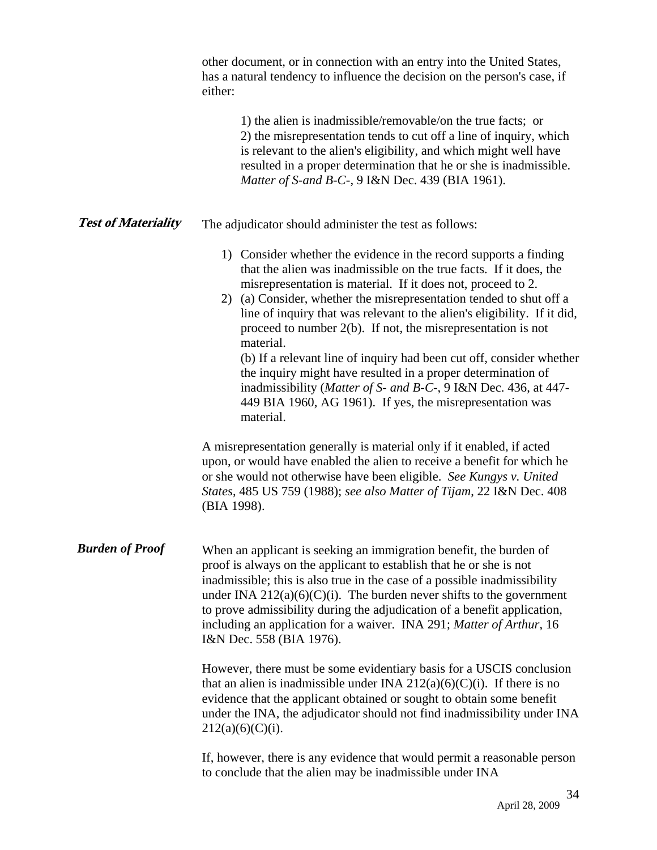|                            | other document, or in connection with an entry into the United States,<br>has a natural tendency to influence the decision on the person's case, if<br>either:                                                                                                                                                                                                                                                                                                                                                                                                                                                                                                                                                                                                                                            |
|----------------------------|-----------------------------------------------------------------------------------------------------------------------------------------------------------------------------------------------------------------------------------------------------------------------------------------------------------------------------------------------------------------------------------------------------------------------------------------------------------------------------------------------------------------------------------------------------------------------------------------------------------------------------------------------------------------------------------------------------------------------------------------------------------------------------------------------------------|
|                            | 1) the alien is inadmissible/removable/on the true facts; or<br>2) the misrepresentation tends to cut off a line of inquiry, which<br>is relevant to the alien's eligibility, and which might well have<br>resulted in a proper determination that he or she is inadmissible.<br>Matter of S-and B-C-, 9 I&N Dec. 439 (BIA 1961).                                                                                                                                                                                                                                                                                                                                                                                                                                                                         |
| <b>Test of Materiality</b> | The adjudicator should administer the test as follows:                                                                                                                                                                                                                                                                                                                                                                                                                                                                                                                                                                                                                                                                                                                                                    |
|                            | 1) Consider whether the evidence in the record supports a finding<br>that the alien was inadmissible on the true facts. If it does, the<br>misrepresentation is material. If it does not, proceed to 2.<br>2) (a) Consider, whether the misrepresentation tended to shut off a<br>line of inquiry that was relevant to the alien's eligibility. If it did,<br>proceed to number $2(b)$ . If not, the misrepresentation is not<br>material.<br>(b) If a relevant line of inquiry had been cut off, consider whether<br>the inquiry might have resulted in a proper determination of<br>inadmissibility (Matter of S- and B-C-, 9 I&N Dec. 436, at 447-<br>449 BIA 1960, AG 1961). If yes, the misrepresentation was<br>material.<br>A misrepresentation generally is material only if it enabled, if acted |
|                            | upon, or would have enabled the alien to receive a benefit for which he<br>or she would not otherwise have been eligible. See Kungys v. United<br>States, 485 US 759 (1988); see also Matter of Tijam, 22 I&N Dec. 408<br>(BIA 1998).                                                                                                                                                                                                                                                                                                                                                                                                                                                                                                                                                                     |
| <b>Burden of Proof</b>     | When an applicant is seeking an immigration benefit, the burden of<br>proof is always on the applicant to establish that he or she is not<br>inadmissible; this is also true in the case of a possible inadmissibility<br>under INA $212(a)(6)(C)(i)$ . The burden never shifts to the government<br>to prove admissibility during the adjudication of a benefit application,<br>including an application for a waiver. INA 291; Matter of Arthur, 16<br>I&N Dec. 558 (BIA 1976).                                                                                                                                                                                                                                                                                                                         |
|                            | However, there must be some evidentiary basis for a USCIS conclusion<br>that an alien is inadmissible under INA $212(a)(6)(C)(i)$ . If there is no<br>evidence that the applicant obtained or sought to obtain some benefit<br>under the INA, the adjudicator should not find inadmissibility under INA<br>$212(a)(6)(C)(i)$ .                                                                                                                                                                                                                                                                                                                                                                                                                                                                            |
|                            | If, however, there is any evidence that would permit a reasonable person<br>to conclude that the alien may be inadmissible under INA                                                                                                                                                                                                                                                                                                                                                                                                                                                                                                                                                                                                                                                                      |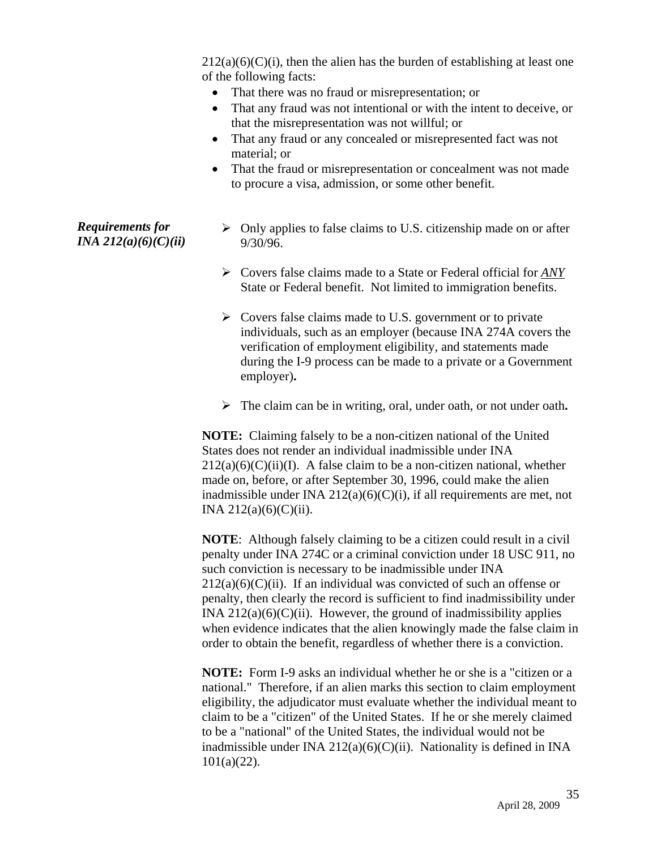$212(a)(6)(C)(i)$ , then the alien has the burden of establishing at least one of the following facts:

- That there was no fraud or misrepresentation; or
- That any fraud was not intentional or with the intent to deceive, or that the misrepresentation was not willful; or
- That any fraud or any concealed or misrepresented fact was not material; or
- That the fraud or misrepresentation or concealment was not made to procure a visa, admission, or some other benefit.

#### *Requirements for INA 212(a)(6)(C)(ii)*

- $\triangleright$  Only applies to false claims to U.S. citizenship made on or after 9/30/96.
- ¾ Covers false claims made to a State or Federal official for *ANY* State or Federal benefit. Not limited to immigration benefits.
- $\triangleright$  Covers false claims made to U.S. government or to private individuals, such as an employer (because INA 274A covers the verification of employment eligibility, and statements made during the I-9 process can be made to a private or a Government employer)**.**
- ¾ The claim can be in writing, oral, under oath, or not under oath**.**

**NOTE:** Claiming falsely to be a non-citizen national of the United States does not render an individual inadmissible under INA  $212(a)(6)(C)(ii)(I)$ . A false claim to be a non-citizen national, whether made on, before, or after September 30, 1996, could make the alien inadmissible under INA  $212(a)(6)(C)(i)$ , if all requirements are met, not INA  $212(a)(6)(C)(ii)$ .

**NOTE**: Although falsely claiming to be a citizen could result in a civil penalty under INA 274C or a criminal conviction under 18 USC 911, no such conviction is necessary to be inadmissible under INA  $212(a)(6)(C)(ii)$ . If an individual was convicted of such an offense or penalty, then clearly the record is sufficient to find inadmissibility under INA  $212(a)(6)(C)(ii)$ . However, the ground of inadmissibility applies when evidence indicates that the alien knowingly made the false claim in order to obtain the benefit, regardless of whether there is a conviction.

**NOTE:** Form I-9 asks an individual whether he or she is a "citizen or a national." Therefore, if an alien marks this section to claim employment eligibility, the adjudicator must evaluate whether the individual meant to claim to be a "citizen" of the United States. If he or she merely claimed to be a "national" of the United States, the individual would not be inadmissible under INA  $212(a)(6)(C)(ii)$ . Nationality is defined in INA 101(a)(22).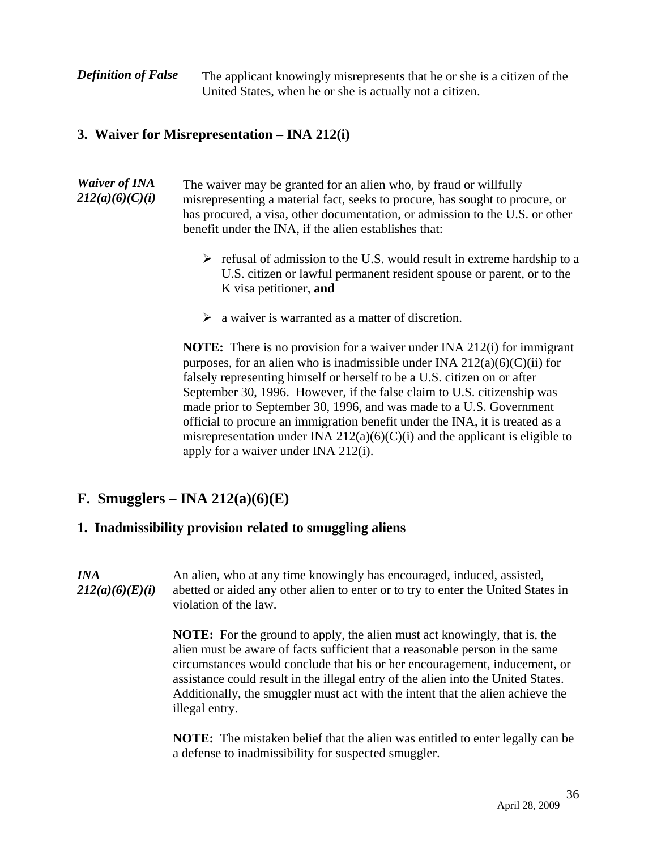**Definition of False** The applicant knowingly misrepresents that he or she is a citizen of the United States, when he or she is actually not a citizen.

#### **3. Waiver for Misrepresentation – INA 212(i)**

- *Waiver of INA 212(a)(6)(C)(i)*  The waiver may be granted for an alien who, by fraud or willfully misrepresenting a material fact, seeks to procure, has sought to procure, or has procured, a visa, other documentation, or admission to the U.S. or other benefit under the INA, if the alien establishes that:
	- $\triangleright$  refusal of admission to the U.S. would result in extreme hardship to a U.S. citizen or lawful permanent resident spouse or parent, or to the K visa petitioner, **and**
	- $\triangleright$  a waiver is warranted as a matter of discretion.

**NOTE:** There is no provision for a waiver under INA 212(i) for immigrant purposes, for an alien who is inadmissible under INA  $212(a)(6)(C)(ii)$  for falsely representing himself or herself to be a U.S. citizen on or after September 30, 1996. However, if the false claim to U.S. citizenship was made prior to September 30, 1996, and was made to a U.S. Government official to procure an immigration benefit under the INA, it is treated as a misrepresentation under INA  $212(a)(6)(C)(i)$  and the applicant is eligible to apply for a waiver under INA 212(i).

## **F. Smugglers – INA 212(a)(6)(E)**

#### **1. Inadmissibility provision related to smuggling aliens**

*INA 212(a)(6)(E)(i)*  An alien, who at any time knowingly has encouraged, induced, assisted, abetted or aided any other alien to enter or to try to enter the United States in violation of the law.

> **NOTE:** For the ground to apply, the alien must act knowingly, that is, the alien must be aware of facts sufficient that a reasonable person in the same circumstances would conclude that his or her encouragement, inducement, or assistance could result in the illegal entry of the alien into the United States. Additionally, the smuggler must act with the intent that the alien achieve the illegal entry.

**NOTE:** The mistaken belief that the alien was entitled to enter legally can be a defense to inadmissibility for suspected smuggler.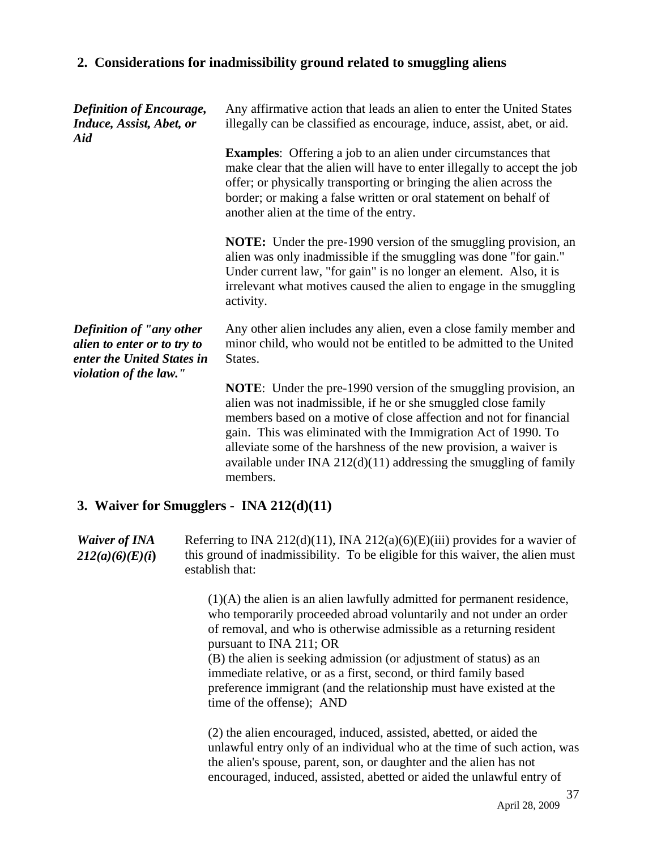#### **2. Considerations for inadmissibility ground related to smuggling aliens**

| <b>Definition of Encourage,</b><br>Induce, Assist, Abet, or<br>Aid                                              | Any affirmative action that leads an alien to enter the United States<br>illegally can be classified as encourage, induce, assist, abet, or aid.                                                                                                                                                                                                                                                                                         |
|-----------------------------------------------------------------------------------------------------------------|------------------------------------------------------------------------------------------------------------------------------------------------------------------------------------------------------------------------------------------------------------------------------------------------------------------------------------------------------------------------------------------------------------------------------------------|
|                                                                                                                 | <b>Examples:</b> Offering a job to an alien under circumstances that<br>make clear that the alien will have to enter illegally to accept the job<br>offer; or physically transporting or bringing the alien across the<br>border; or making a false written or oral statement on behalf of<br>another alien at the time of the entry.                                                                                                    |
|                                                                                                                 | <b>NOTE:</b> Under the pre-1990 version of the smuggling provision, an<br>alien was only inadmissible if the smuggling was done "for gain."<br>Under current law, "for gain" is no longer an element. Also, it is<br>irrelevant what motives caused the alien to engage in the smuggling<br>activity.                                                                                                                                    |
| Definition of "any other<br>alien to enter or to try to<br>enter the United States in<br>violation of the law." | Any other alien includes any alien, even a close family member and<br>minor child, who would not be entitled to be admitted to the United<br>States.                                                                                                                                                                                                                                                                                     |
|                                                                                                                 | <b>NOTE:</b> Under the pre-1990 version of the smuggling provision, an<br>alien was not inadmissible, if he or she smuggled close family<br>members based on a motive of close affection and not for financial<br>gain. This was eliminated with the Immigration Act of 1990. To<br>alleviate some of the harshness of the new provision, a waiver is<br>available under INA $212(d)(11)$ addressing the smuggling of family<br>members. |

#### **3. Waiver for Smugglers - INA 212(d)(11)**

*Waiver of INA 212(a)(6)(E)(i***)**  Referring to INA 212(d)(11), INA 212(a)(6)(E)(iii) provides for a wavier of this ground of inadmissibility. To be eligible for this waiver, the alien must establish that:

> (1)(A) the alien is an alien lawfully admitted for permanent residence, who temporarily proceeded abroad voluntarily and not under an order of removal, and who is otherwise admissible as a returning resident pursuant to INA 211; OR

(B) the alien is seeking admission (or adjustment of status) as an immediate relative, or as a first, second, or third family based preference immigrant (and the relationship must have existed at the time of the offense); AND

(2) the alien encouraged, induced, assisted, abetted, or aided the unlawful entry only of an individual who at the time of such action, was the alien's spouse, parent, son, or daughter and the alien has not encouraged, induced, assisted, abetted or aided the unlawful entry of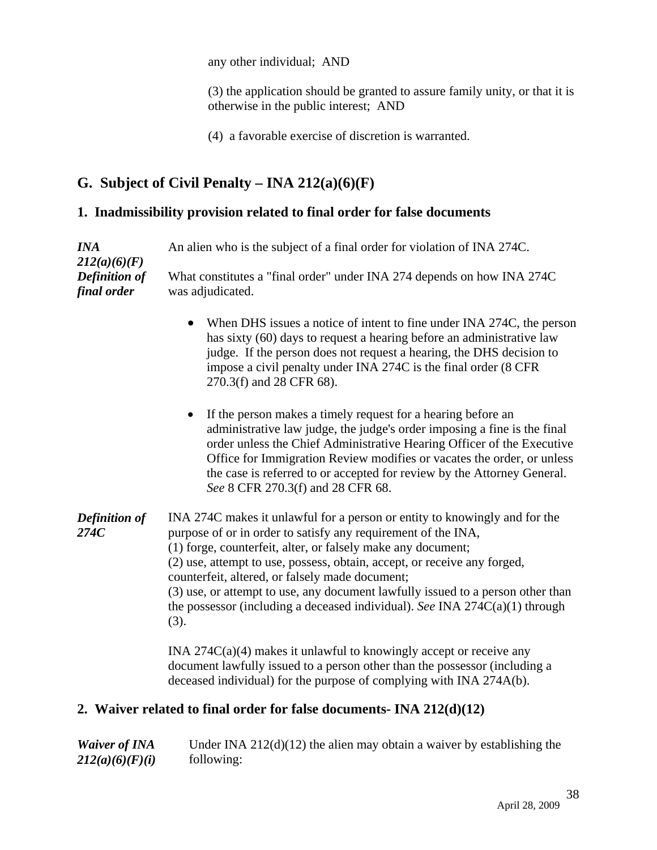any other individual; AND

(3) the application should be granted to assure family unity, or that it is otherwise in the public interest; AND

(4) a favorable exercise of discretion is warranted.

# **G. Subject of Civil Penalty – INA 212(a)(6)(F)**

### **1. Inadmissibility provision related to final order for false documents**

| <b>INA</b><br>212(a)(6)(F)<br><b>Definition of</b><br>final order | An alien who is the subject of a final order for violation of INA 274C.                                                                                                                                                                                                                                                                                                                                                                                                                                                |  |
|-------------------------------------------------------------------|------------------------------------------------------------------------------------------------------------------------------------------------------------------------------------------------------------------------------------------------------------------------------------------------------------------------------------------------------------------------------------------------------------------------------------------------------------------------------------------------------------------------|--|
|                                                                   | What constitutes a "final order" under INA 274 depends on how INA 274C<br>was adjudicated.                                                                                                                                                                                                                                                                                                                                                                                                                             |  |
|                                                                   | When DHS issues a notice of intent to fine under INA 274C, the person<br>$\bullet$<br>has sixty (60) days to request a hearing before an administrative law<br>judge. If the person does not request a hearing, the DHS decision to<br>impose a civil penalty under INA 274C is the final order (8 CFR<br>270.3(f) and 28 CFR 68).                                                                                                                                                                                     |  |
|                                                                   | If the person makes a timely request for a hearing before an<br>administrative law judge, the judge's order imposing a fine is the final<br>order unless the Chief Administrative Hearing Officer of the Executive<br>Office for Immigration Review modifies or vacates the order, or unless<br>the case is referred to or accepted for review by the Attorney General.<br>See 8 CFR 270.3(f) and 28 CFR 68.                                                                                                           |  |
| <b>Definition of</b><br>274C                                      | INA 274C makes it unlawful for a person or entity to knowingly and for the<br>purpose of or in order to satisfy any requirement of the INA,<br>(1) forge, counterfeit, alter, or falsely make any document;<br>(2) use, attempt to use, possess, obtain, accept, or receive any forged,<br>counterfeit, altered, or falsely made document;<br>(3) use, or attempt to use, any document lawfully issued to a person other than<br>the possessor (including a deceased individual). See INA $274C(a)(1)$ through<br>(3). |  |
|                                                                   | INA $274C(a)(4)$ makes it unlawful to knowingly accept or receive any<br>document lawfully issued to a person other than the possessor (including a<br>deceased individual) for the purpose of complying with INA 274A(b).                                                                                                                                                                                                                                                                                             |  |

## **2. Waiver related to final order for false documents- INA 212(d)(12)**

| <b>Waiver of INA</b> | Under INA $212(d)(12)$ the alien may obtain a waiver by establishing the |
|----------------------|--------------------------------------------------------------------------|
| 212(a)(6)(F)(i)      | following:                                                               |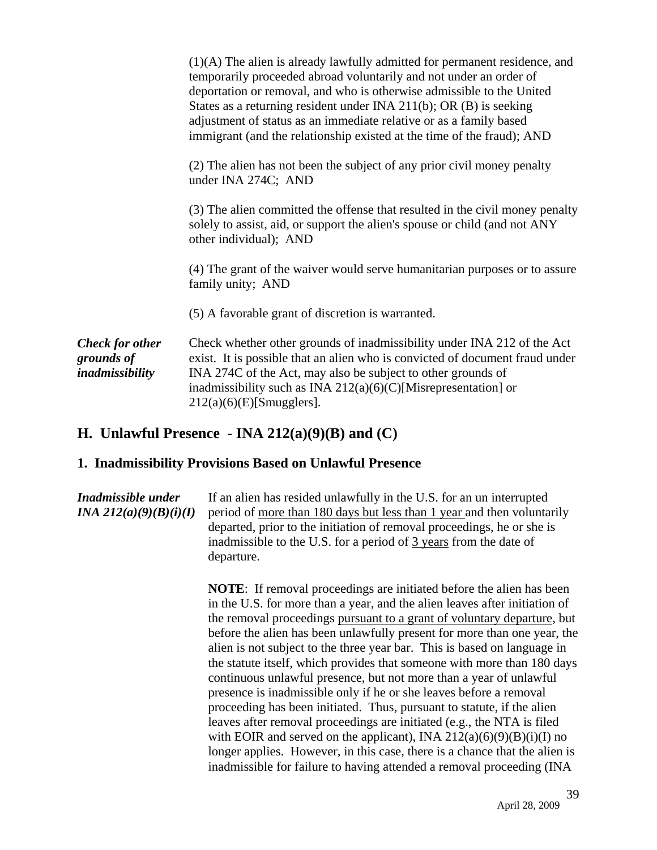| $(1)(A)$ The alien is already lawfully admitted for permanent residence, and<br>temporarily proceeded abroad voluntarily and not under an order of<br>deportation or removal, and who is otherwise admissible to the United<br>States as a returning resident under INA $211(b)$ ; OR (B) is seeking<br>adjustment of status as an immediate relative or as a family based<br>immigrant (and the relationship existed at the time of the fraud); AND |
|------------------------------------------------------------------------------------------------------------------------------------------------------------------------------------------------------------------------------------------------------------------------------------------------------------------------------------------------------------------------------------------------------------------------------------------------------|
| (2) The alien has not been the subject of any prior civil money penalty<br>under INA 274C; AND                                                                                                                                                                                                                                                                                                                                                       |
| (3) The alien committed the offense that resulted in the civil money penalty<br>solely to assist, aid, or support the alien's spouse or child (and not ANY<br>other individual); AND                                                                                                                                                                                                                                                                 |
| (4) The grant of the waiver would serve humanitarian purposes or to assure<br>family unity; AND                                                                                                                                                                                                                                                                                                                                                      |
| (5) A favorable grant of discretion is warranted.                                                                                                                                                                                                                                                                                                                                                                                                    |
| Check whether other grounds of inadmissibility under INA 212 of the Act<br>exist. It is possible that an alien who is convicted of document fraud under<br>INA 274C of the Act, may also be subject to other grounds of<br>inadmissibility such as INA $212(a)(6)(C)$ [Misrepresentation] or<br>$212(a)(6)(E)$ [Smugglers].                                                                                                                          |
|                                                                                                                                                                                                                                                                                                                                                                                                                                                      |

#### **H. Unlawful Presence - INA 212(a)(9)(B) and (C)**

#### **1. Inadmissibility Provisions Based on Unlawful Presence**

*Inadmissible under INA 212(a)(9)(B)(i)(I)* If an alien has resided unlawfully in the U.S. for an un interrupted period of more than 180 days but less than 1 year and then voluntarily departed, prior to the initiation of removal proceedings, he or she is inadmissible to the U.S. for a period of 3 years from the date of departure.

**NOTE**: If removal proceedings are initiated before the alien has been in the U.S. for more than a year, and the alien leaves after initiation of the removal proceedings pursuant to a grant of voluntary departure, but before the alien has been unlawfully present for more than one year, the alien is not subject to the three year bar. This is based on language in the statute itself, which provides that someone with more than 180 days continuous unlawful presence, but not more than a year of unlawful presence is inadmissible only if he or she leaves before a removal proceeding has been initiated. Thus, pursuant to statute, if the alien leaves after removal proceedings are initiated (e.g., the NTA is filed with EOIR and served on the applicant), INA  $212(a)(6)(9)(B)(i)(I)$  no longer applies. However, in this case, there is a chance that the alien is inadmissible for failure to having attended a removal proceeding (INA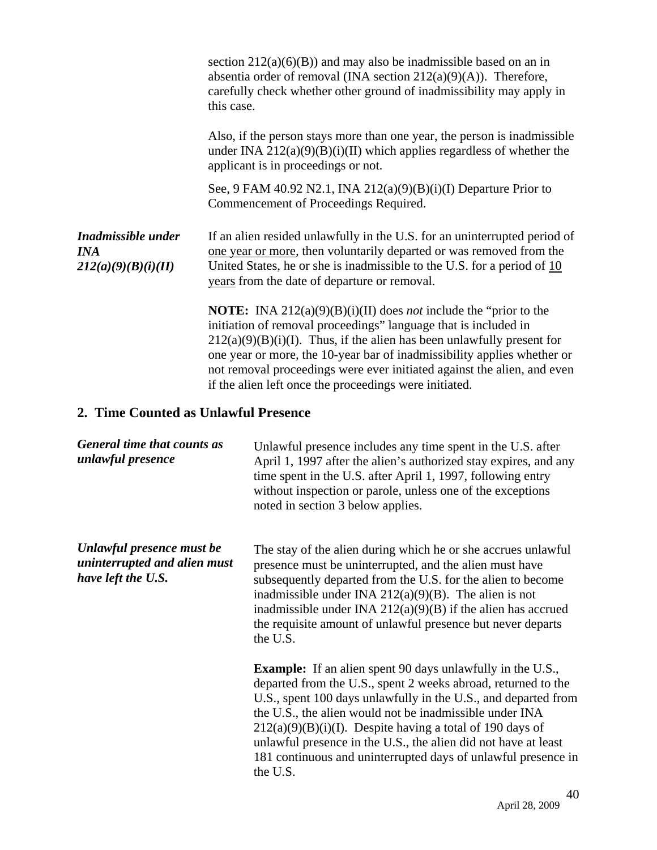|                                                         | this case. | section $212(a)(6)(B)$ and may also be inadmissible based on an in<br>absentia order of removal (INA section $212(a)(9)(A)$ ). Therefore,<br>carefully check whether other ground of inadmissibility may apply in                                                                                                                                                                                                                              |
|---------------------------------------------------------|------------|------------------------------------------------------------------------------------------------------------------------------------------------------------------------------------------------------------------------------------------------------------------------------------------------------------------------------------------------------------------------------------------------------------------------------------------------|
|                                                         |            | Also, if the person stays more than one year, the person is inadmissible<br>under INA $212(a)(9)(B)(i)(II)$ which applies regardless of whether the<br>applicant is in proceedings or not.                                                                                                                                                                                                                                                     |
|                                                         |            | See, 9 FAM 40.92 N2.1, INA 212(a)(9)(B)(i)(I) Departure Prior to<br>Commencement of Proceedings Required.                                                                                                                                                                                                                                                                                                                                      |
| Inadmissible under<br><b>INA</b><br>212(a)(9)(B)(i)(II) |            | If an alien resided unlawfully in the U.S. for an uninterrupted period of<br>one year or more, then voluntarily departed or was removed from the<br>United States, he or she is inadmissible to the U.S. for a period of $10$<br>years from the date of departure or removal.                                                                                                                                                                  |
|                                                         |            | <b>NOTE:</b> INA 212(a)(9)(B)(i)(II) does <i>not</i> include the "prior to the<br>initiation of removal proceedings" language that is included in<br>$212(a)(9)(B)(i)(I)$ . Thus, if the alien has been unlawfully present for<br>one year or more, the 10-year bar of inadmissibility applies whether or<br>not removal proceedings were ever initiated against the alien, and even<br>if the alien left once the proceedings were initiated. |
| 2. Time Counted as Unlawful Presence                    |            |                                                                                                                                                                                                                                                                                                                                                                                                                                                |
| General time that counts as<br>unlawful presence        |            | Unlawful presence includes any time spent in the U.S. after<br>April 1, 1997 after the alien's authorized stay expires, and any<br>time spent in the U.S. after April 1, 1997, following entry                                                                                                                                                                                                                                                 |

the U.S.

*Unlawful presence must be uninterrupted and alien must have left the U.S.* 

noted in section 3 below applies. The stay of the alien during which he or she accrues unlawful presence must be uninterrupted, and the alien must have subsequently departed from the U.S. for the alien to become inadmissible under INA  $212(a)(9)(B)$ . The alien is not inadmissible under INA  $212(a)(9)(B)$  if the alien has accrued the requisite amount of unlawful presence but never departs

without inspection or parole, unless one of the exceptions

**Example:** If an alien spent 90 days unlawfully in the U.S., departed from the U.S., spent 2 weeks abroad, returned to the U.S., spent 100 days unlawfully in the U.S., and departed from the U.S., the alien would not be inadmissible under INA  $212(a)(9)(B)(i)(I)$ . Despite having a total of 190 days of unlawful presence in the U.S., the alien did not have at least 181 continuous and uninterrupted days of unlawful presence in the U.S.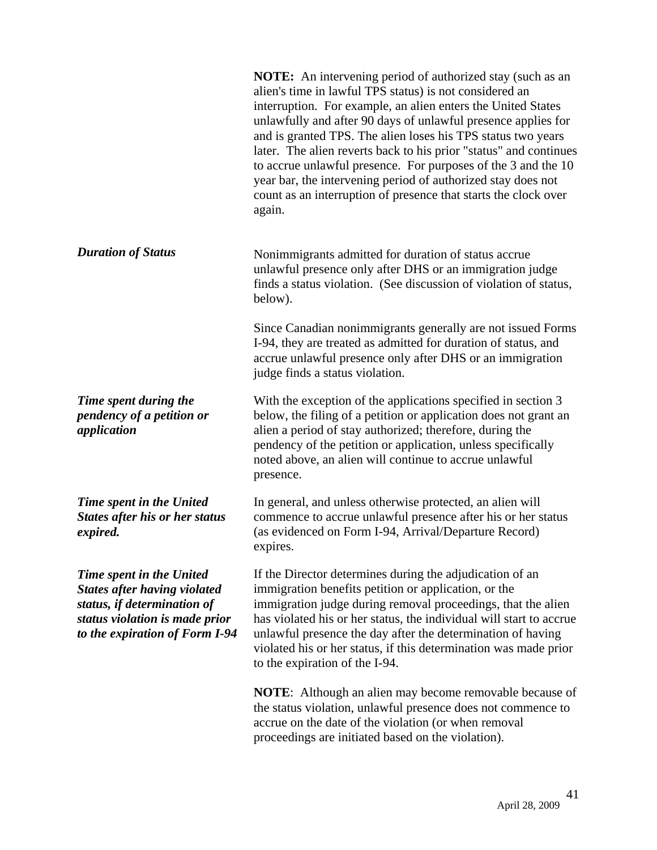**NOTE:** An intervening period of authorized stay (such as an alien's time in lawful TPS status) is not considered an interruption. For example, an alien enters the United States unlawfully and after 90 days of unlawful presence applies for and is granted TPS. The alien loses his TPS status two years later. The alien reverts back to his prior "status" and continues to accrue unlawful presence. For purposes of the 3 and the 10 year bar, the intervening period of authorized stay does not count as an interruption of presence that starts the clock over again.

**Duration of Status** Nonimmigrants admitted for duration of status accrue unlawful presence only after DHS or an immigration judge finds a status violation. (See discussion of violation of status, below).

> Since Canadian nonimmigrants generally are not issued Forms I-94, they are treated as admitted for duration of status, and accrue unlawful presence only after DHS or an immigration judge finds a status violation.

With the exception of the applications specified in section 3 below, the filing of a petition or application does not grant an alien a period of stay authorized; therefore, during the pendency of the petition or application, unless specifically noted above, an alien will continue to accrue unlawful presence.

In general, and unless otherwise protected, an alien will commence to accrue unlawful presence after his or her status (as evidenced on Form I-94, Arrival/Departure Record) expires.

If the Director determines during the adjudication of an immigration benefits petition or application, or the immigration judge during removal proceedings, that the alien has violated his or her status, the individual will start to accrue unlawful presence the day after the determination of having violated his or her status, if this determination was made prior to the expiration of the I-94.

**NOTE**: Although an alien may become removable because of the status violation, unlawful presence does not commence to accrue on the date of the violation (or when removal proceedings are initiated based on the violation).

*Time spent during the pendency of a petition or application* 

*Time spent in the United States after his or her status expired.* 

*Time spent in the United States after having violated status, if determination of status violation is made prior to the expiration of Form I-94*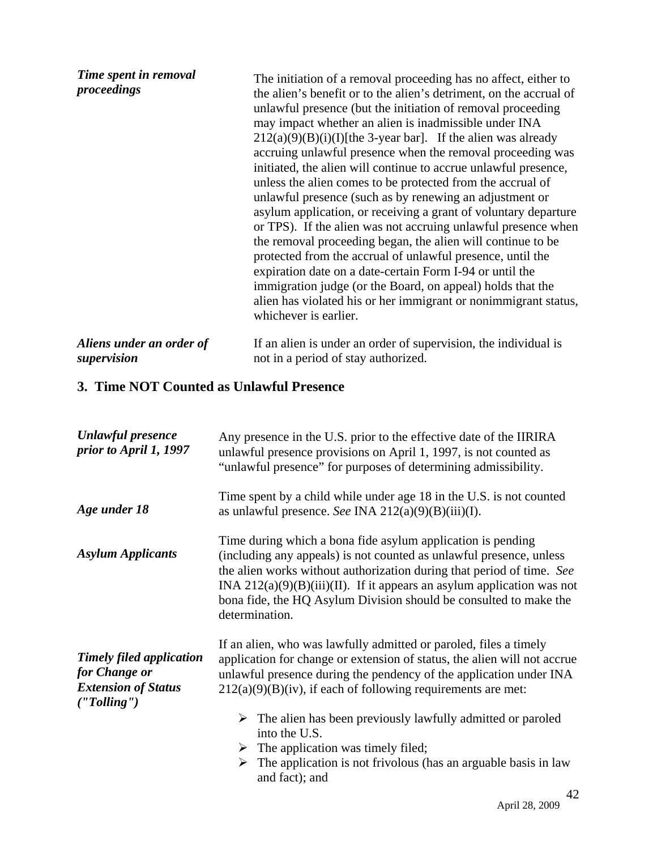| Time spent in removal<br>proceedings | The initiation of a removal proceeding has no affect, either to<br>the alien's benefit or to the alien's detriment, on the accrual of<br>unlawful presence (but the initiation of removal proceeding<br>may impact whether an alien is inadmissible under INA<br>$212(a)(9)(B)(i)(I)$ [the 3-year bar]. If the alien was already<br>accruing unlawful presence when the removal proceeding was<br>initiated, the alien will continue to accrue unlawful presence,<br>unless the alien comes to be protected from the accrual of<br>unlawful presence (such as by renewing an adjustment or<br>asylum application, or receiving a grant of voluntary departure<br>or TPS). If the alien was not accruing unlawful presence when<br>the removal proceeding began, the alien will continue to be<br>protected from the accrual of unlawful presence, until the<br>expiration date on a date-certain Form I-94 or until the<br>immigration judge (or the Board, on appeal) holds that the<br>alien has violated his or her immigrant or nonimmigrant status,<br>whichever is earlier. |
|--------------------------------------|-----------------------------------------------------------------------------------------------------------------------------------------------------------------------------------------------------------------------------------------------------------------------------------------------------------------------------------------------------------------------------------------------------------------------------------------------------------------------------------------------------------------------------------------------------------------------------------------------------------------------------------------------------------------------------------------------------------------------------------------------------------------------------------------------------------------------------------------------------------------------------------------------------------------------------------------------------------------------------------------------------------------------------------------------------------------------------------|
| Aliens under an order of             | If an alien is under an order of supervision, the individual is                                                                                                                                                                                                                                                                                                                                                                                                                                                                                                                                                                                                                                                                                                                                                                                                                                                                                                                                                                                                                   |
| supervision                          | not in a period of stay authorized.                                                                                                                                                                                                                                                                                                                                                                                                                                                                                                                                                                                                                                                                                                                                                                                                                                                                                                                                                                                                                                               |

# **3. Time NOT Counted as Unlawful Presence**

| <b>Unlawful presence</b><br>prior to April 1, 1997                                             | Any presence in the U.S. prior to the effective date of the IIRIRA<br>unlawful presence provisions on April 1, 1997, is not counted as<br>"unlawful presence" for purposes of determining admissibility.                                                                                                                                                                                                                                                                                                                                                       |
|------------------------------------------------------------------------------------------------|----------------------------------------------------------------------------------------------------------------------------------------------------------------------------------------------------------------------------------------------------------------------------------------------------------------------------------------------------------------------------------------------------------------------------------------------------------------------------------------------------------------------------------------------------------------|
| Age under 18                                                                                   | Time spent by a child while under age 18 in the U.S. is not counted<br>as unlawful presence. See INA $212(a)(9)(B)(iii)(I)$ .                                                                                                                                                                                                                                                                                                                                                                                                                                  |
| <b>Asylum Applicants</b>                                                                       | Time during which a bona fide asylum application is pending<br>(including any appeals) is not counted as unlawful presence, unless<br>the alien works without authorization during that period of time. See<br>INA $212(a)(9)(B)(iii)(II)$ . If it appears an asylum application was not<br>bona fide, the HQ Asylum Division should be consulted to make the<br>determination.                                                                                                                                                                                |
| <b>Timely filed application</b><br>for Change or<br><b>Extension of Status</b><br>('Tolling'') | If an alien, who was lawfully admitted or paroled, files a timely<br>application for change or extension of status, the alien will not accrue<br>unlawful presence during the pendency of the application under INA<br>$212(a)(9)(B)(iv)$ , if each of following requirements are met:<br>$\triangleright$ The alien has been previously lawfully admitted or paroled<br>into the U.S.<br>$\triangleright$ The application was timely filed;<br>$\triangleright$ The application is not frivolous (has an arguable basis in law<br>and fact); and<br>$\Lambda$ |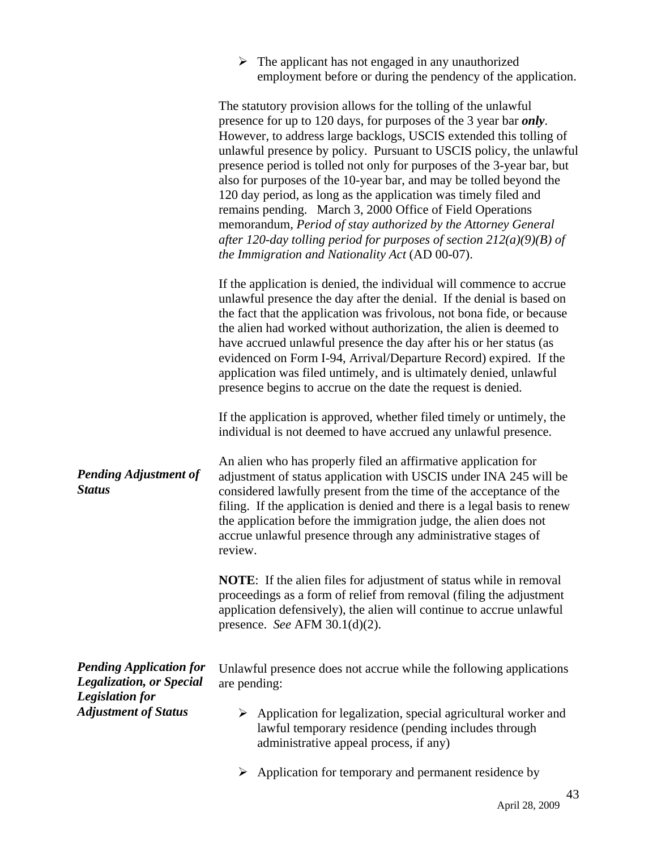| The applicant has not engaged in any unauthorized            |
|--------------------------------------------------------------|
| employment before or during the pendency of the application. |

|                                                                   | The statutory provision allows for the tolling of the unlawful<br>presence for up to 120 days, for purposes of the 3 year bar only.<br>However, to address large backlogs, USCIS extended this tolling of<br>unlawful presence by policy. Pursuant to USCIS policy, the unlawful<br>presence period is tolled not only for purposes of the 3-year bar, but<br>also for purposes of the 10-year bar, and may be tolled beyond the<br>120 day period, as long as the application was timely filed and<br>remains pending. March 3, 2000 Office of Field Operations<br>memorandum, Period of stay authorized by the Attorney General<br>after 120-day tolling period for purposes of section $212(a)(9)(B)$ of<br>the Immigration and Nationality Act (AD 00-07). |
|-------------------------------------------------------------------|----------------------------------------------------------------------------------------------------------------------------------------------------------------------------------------------------------------------------------------------------------------------------------------------------------------------------------------------------------------------------------------------------------------------------------------------------------------------------------------------------------------------------------------------------------------------------------------------------------------------------------------------------------------------------------------------------------------------------------------------------------------|
|                                                                   | If the application is denied, the individual will commence to accrue<br>unlawful presence the day after the denial. If the denial is based on<br>the fact that the application was frivolous, not bona fide, or because<br>the alien had worked without authorization, the alien is deemed to<br>have accrued unlawful presence the day after his or her status (as<br>evidenced on Form I-94, Arrival/Departure Record) expired. If the<br>application was filed untimely, and is ultimately denied, unlawful<br>presence begins to accrue on the date the request is denied.                                                                                                                                                                                 |
|                                                                   | If the application is approved, whether filed timely or untimely, the<br>individual is not deemed to have accrued any unlawful presence.                                                                                                                                                                                                                                                                                                                                                                                                                                                                                                                                                                                                                       |
| <b>Pending Adjustment of</b><br><b>Status</b>                     | An alien who has properly filed an affirmative application for<br>adjustment of status application with USCIS under INA 245 will be<br>considered lawfully present from the time of the acceptance of the<br>filing. If the application is denied and there is a legal basis to renew<br>the application before the immigration judge, the alien does not<br>accrue unlawful presence through any administrative stages of<br>review.                                                                                                                                                                                                                                                                                                                          |
|                                                                   | <b>NOTE:</b> If the alien files for adjustment of status while in removal<br>proceedings as a form of relief from removal (filing the adjustment<br>application defensively), the alien will continue to accrue unlawful<br>presence. See AFM $30.1(d)(2)$ .                                                                                                                                                                                                                                                                                                                                                                                                                                                                                                   |
| <b>Pending Application for</b><br><b>Legalization, or Special</b> | Unlawful presence does not accrue while the following applications<br>are pending:                                                                                                                                                                                                                                                                                                                                                                                                                                                                                                                                                                                                                                                                             |
| <b>Legislation for</b><br><b>Adjustment of Status</b>             | Application for legalization, special agricultural worker and<br>lawful temporary residence (pending includes through<br>administrative appeal process, if any)                                                                                                                                                                                                                                                                                                                                                                                                                                                                                                                                                                                                |
|                                                                   | Application for temporary and permanent residence by                                                                                                                                                                                                                                                                                                                                                                                                                                                                                                                                                                                                                                                                                                           |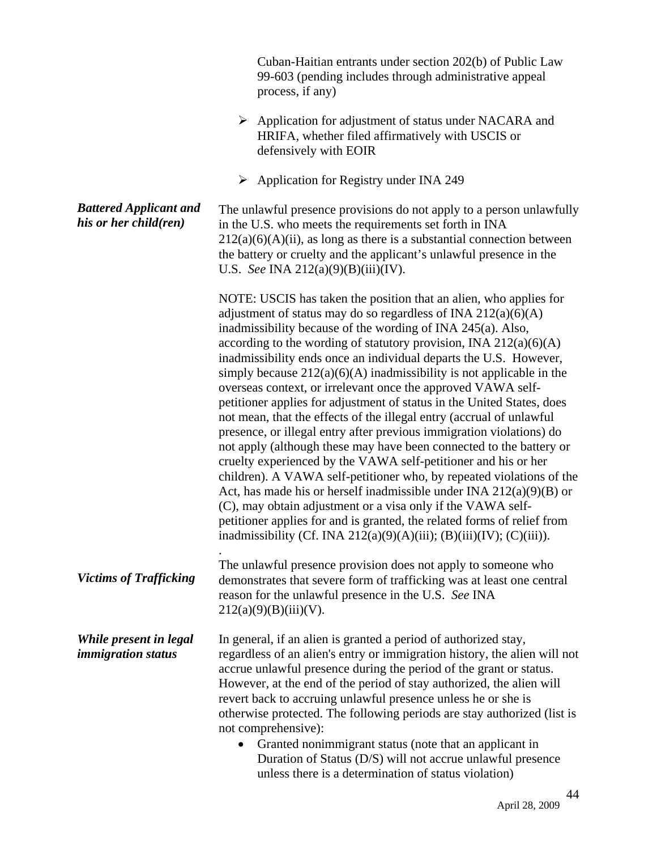|                                                        | Cuban-Haitian entrants under section 202(b) of Public Law<br>99-603 (pending includes through administrative appeal<br>process, if any)                                                                                                                                                                                                                                                                                                                                                                                                                                                                                                                                                                                                                                                                                                                                                                                                                                                                                                                                                                                                                                                                                         |
|--------------------------------------------------------|---------------------------------------------------------------------------------------------------------------------------------------------------------------------------------------------------------------------------------------------------------------------------------------------------------------------------------------------------------------------------------------------------------------------------------------------------------------------------------------------------------------------------------------------------------------------------------------------------------------------------------------------------------------------------------------------------------------------------------------------------------------------------------------------------------------------------------------------------------------------------------------------------------------------------------------------------------------------------------------------------------------------------------------------------------------------------------------------------------------------------------------------------------------------------------------------------------------------------------|
|                                                        | $\blacktriangleright$<br>Application for adjustment of status under NACARA and<br>HRIFA, whether filed affirmatively with USCIS or<br>defensively with EOIR                                                                                                                                                                                                                                                                                                                                                                                                                                                                                                                                                                                                                                                                                                                                                                                                                                                                                                                                                                                                                                                                     |
|                                                        | Application for Registry under INA 249<br>➤                                                                                                                                                                                                                                                                                                                                                                                                                                                                                                                                                                                                                                                                                                                                                                                                                                                                                                                                                                                                                                                                                                                                                                                     |
| <b>Battered Applicant and</b><br>his or her child(ren) | The unlawful presence provisions do not apply to a person unlawfully<br>in the U.S. who meets the requirements set forth in INA<br>$212(a)(6)(A)(ii)$ , as long as there is a substantial connection between<br>the battery or cruelty and the applicant's unlawful presence in the<br>U.S. See INA 212(a)(9)(B)(iii)(IV).                                                                                                                                                                                                                                                                                                                                                                                                                                                                                                                                                                                                                                                                                                                                                                                                                                                                                                      |
|                                                        | NOTE: USCIS has taken the position that an alien, who applies for<br>adjustment of status may do so regardless of INA $212(a)(6)(A)$<br>inadmissibility because of the wording of INA 245(a). Also,<br>according to the wording of statutory provision, INA $212(a)(6)(A)$<br>inadmissibility ends once an individual departs the U.S. However,<br>simply because $212(a)(6)(A)$ inadmissibility is not applicable in the<br>overseas context, or irrelevant once the approved VAWA self-<br>petitioner applies for adjustment of status in the United States, does<br>not mean, that the effects of the illegal entry (accrual of unlawful<br>presence, or illegal entry after previous immigration violations) do<br>not apply (although these may have been connected to the battery or<br>cruelty experienced by the VAWA self-petitioner and his or her<br>children). A VAWA self-petitioner who, by repeated violations of the<br>Act, has made his or herself inadmissible under INA $212(a)(9)(B)$ or<br>(C), may obtain adjustment or a visa only if the VAWA self-<br>petitioner applies for and is granted, the related forms of relief from<br>inadmissibility (Cf. INA 212(a)(9)(A)(iii); (B)(iii)(IV); (C)(iii)). |
| <b>Victims of Trafficking</b>                          | The unlawful presence provision does not apply to someone who<br>demonstrates that severe form of trafficking was at least one central<br>reason for the unlawful presence in the U.S. See INA<br>212(a)(9)(B)(iii)(V).                                                                                                                                                                                                                                                                                                                                                                                                                                                                                                                                                                                                                                                                                                                                                                                                                                                                                                                                                                                                         |
| While present in legal<br><i>immigration</i> status    | In general, if an alien is granted a period of authorized stay,<br>regardless of an alien's entry or immigration history, the alien will not<br>accrue unlawful presence during the period of the grant or status.<br>However, at the end of the period of stay authorized, the alien will<br>revert back to accruing unlawful presence unless he or she is<br>otherwise protected. The following periods are stay authorized (list is<br>not comprehensive):<br>Granted nonimmigrant status (note that an applicant in<br>$\bullet$<br>Duration of Status (D/S) will not accrue unlawful presence<br>unless there is a determination of status violation)                                                                                                                                                                                                                                                                                                                                                                                                                                                                                                                                                                      |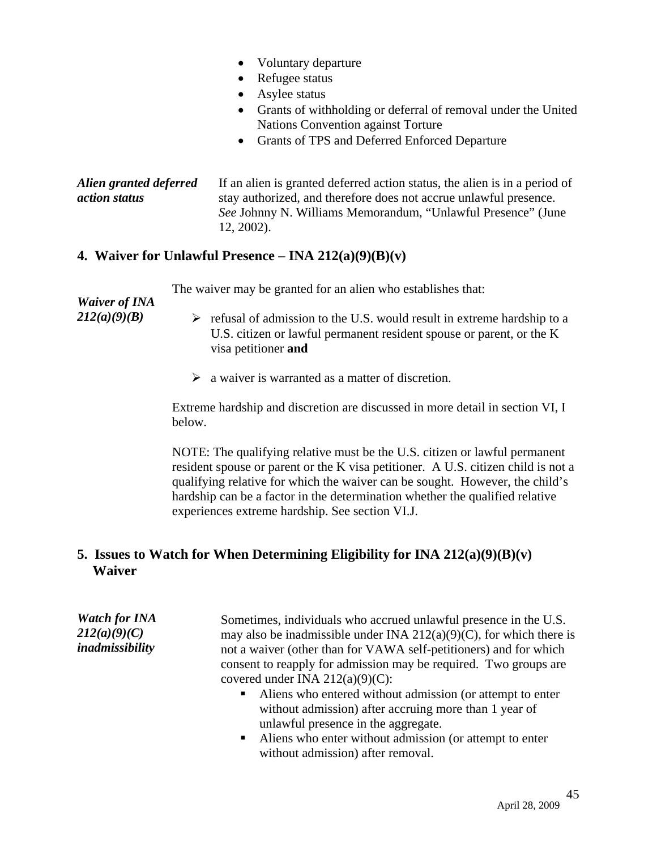|                                         | Voluntary departure<br>$\bullet$<br>Refugee status<br>$\bullet$<br>Asylee status<br>Grants of withholding or deferral of removal under the United<br>$\bullet$<br><b>Nations Convention against Torture</b><br>Grants of TPS and Deferred Enforced Departure<br>$\bullet$ |
|-----------------------------------------|---------------------------------------------------------------------------------------------------------------------------------------------------------------------------------------------------------------------------------------------------------------------------|
| Alien granted deferred<br>action status | If an alien is granted deferred action status, the alien is in a period of<br>stay authorized, and therefore does not accrue unlawful presence.<br>See Johnny N. Williams Memorandum, "Unlawful Presence" (June<br>12, 2002).                                             |

#### **4. Waiver for Unlawful Presence – INA 212(a)(9)(B)(v)**

The waiver may be granted for an alien who establishes that:

| <b>Waiver of INA</b><br>212(a)(9)(B) | refusal of admission to the U.S. would result in extreme hardship to a<br>➤                 |
|--------------------------------------|---------------------------------------------------------------------------------------------|
|                                      | U.S. citizen or lawful permanent resident spouse or parent, or the K<br>visa petitioner and |
|                                      | $\triangleright$ a waiver is warranted as a matter of discretion.                           |
|                                      | Extreme hardship and discretion are discussed in more detail in section VI, I<br>helow.     |

NOTE: The qualifying relative must be the U.S. citizen or lawful permanent resident spouse or parent or the K visa petitioner. A U.S. citizen child is not a qualifying relative for which the waiver can be sought. However, the child's hardship can be a factor in the determination whether the qualified relative experiences extreme hardship. See section VI.J.

## **5. Issues to Watch for When Determining Eligibility for INA 212(a)(9)(B)(v) Waiver**

*Watch for INA 212(a)(9)(C) inadmissibility*  Sometimes, individuals who accrued unlawful presence in the U.S. may also be inadmissible under INA  $212(a)(9)(C)$ , for which there is not a waiver (other than for VAWA self-petitioners) and for which consent to reapply for admission may be required. Two groups are covered under INA  $212(a)(9)(C)$ : ■ Aliens who entered without admission (or attempt to enter without admission) after accruing more than 1 year of

> unlawful presence in the aggregate. Aliens who enter without admission (or attempt to enter without admission) after removal.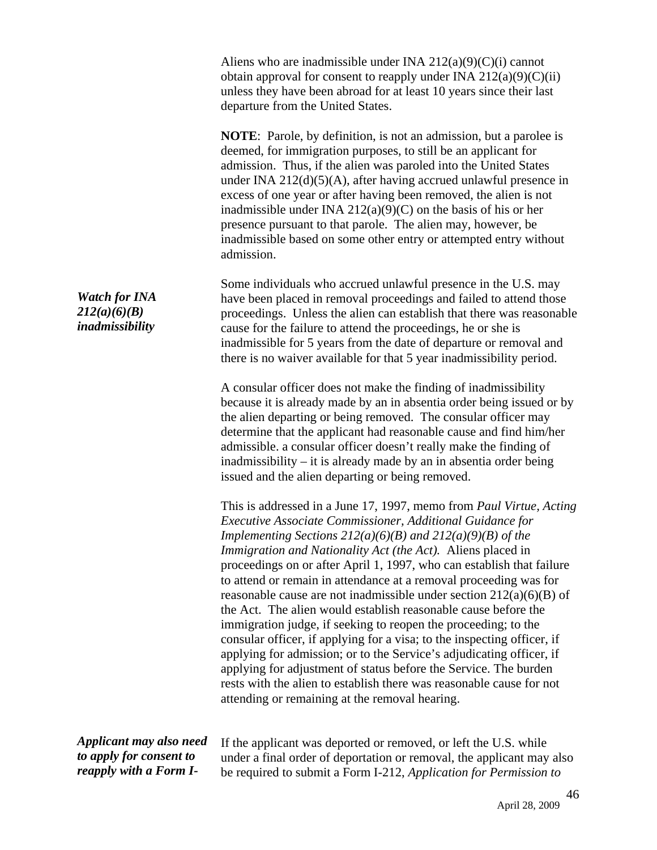Aliens who are inadmissible under INA 212(a)(9)(C)(i) cannot obtain approval for consent to reapply under INA  $212(a)(9)(C)(ii)$ unless they have been abroad for at least 10 years since their last departure from the United States.

**NOTE**: Parole, by definition, is not an admission, but a parolee is deemed, for immigration purposes, to still be an applicant for admission. Thus, if the alien was paroled into the United States under INA 212(d)(5)(A), after having accrued unlawful presence in excess of one year or after having been removed, the alien is not inadmissible under INA  $212(a)(9)(C)$  on the basis of his or her presence pursuant to that parole. The alien may, however, be inadmissible based on some other entry or attempted entry without admission.

Some individuals who accrued unlawful presence in the U.S. may have been placed in removal proceedings and failed to attend those proceedings. Unless the alien can establish that there was reasonable cause for the failure to attend the proceedings, he or she is inadmissible for 5 years from the date of departure or removal and there is no waiver available for that 5 year inadmissibility period.

> A consular officer does not make the finding of inadmissibility because it is already made by an in absentia order being issued or by the alien departing or being removed. The consular officer may determine that the applicant had reasonable cause and find him/her admissible. a consular officer doesn't really make the finding of inadmissibility – it is already made by an in absentia order being issued and the alien departing or being removed.

> This is addressed in a June 17, 1997, memo from *Paul Virtue, Acting Executive Associate Commissioner, Additional Guidance for Implementing Sections 212(a)(6)(B) and 212(a)(9)(B) of the Immigration and Nationality Act (the Act).* Aliens placed in proceedings on or after April 1, 1997, who can establish that failure to attend or remain in attendance at a removal proceeding was for reasonable cause are not inadmissible under section 212(a)(6)(B) of the Act. The alien would establish reasonable cause before the immigration judge, if seeking to reopen the proceeding; to the consular officer, if applying for a visa; to the inspecting officer, if applying for admission; or to the Service's adjudicating officer, if applying for adjustment of status before the Service. The burden rests with the alien to establish there was reasonable cause for not attending or remaining at the removal hearing.

*Applicant may also need to apply for consent to reapply with a Form I-*

If the applicant was deported or removed, or left the U.S. while under a final order of deportation or removal, the applicant may also be required to submit a Form I-212, *Application for Permission to* 

*Watch for INA 212(a)(6)(B) inadmissibility*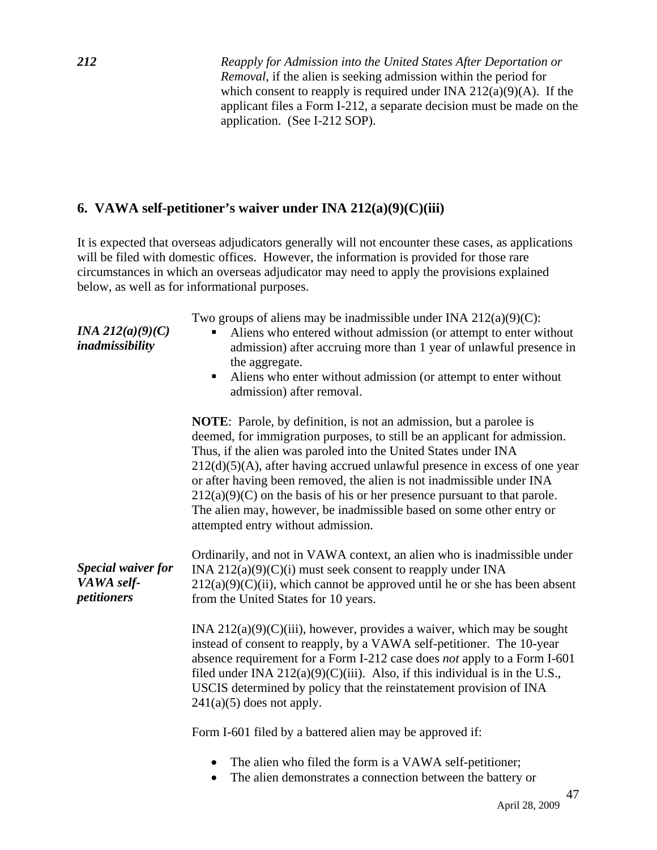*212 Reapply for Admission into the United States After Deportation or Removal*, if the alien is seeking admission within the period for which consent to reapply is required under INA  $212(a)(9)(A)$ . If the applicant files a Form I-212, a separate decision must be made on the application. (See I-212 SOP).

## **6. VAWA self-petitioner's waiver under INA 212(a)(9)(C)(iii)**

It is expected that overseas adjudicators generally will not encounter these cases, as applications will be filed with domestic offices. However, the information is provided for those rare circumstances in which an overseas adjudicator may need to apply the provisions explained below, as well as for informational purposes.

| <i>INA 212(a)(9)(C)</i><br>inadmissibility             | Two groups of aliens may be inadmissible under INA $212(a)(9)(C)$ :<br>Aliens who entered without admission (or attempt to enter without<br>admission) after accruing more than 1 year of unlawful presence in<br>the aggregate.<br>Aliens who enter without admission (or attempt to enter without<br>ш<br>admission) after removal.                                                                                                                                                                                                                                                                                                                                                                                                                                                                                                                |
|--------------------------------------------------------|------------------------------------------------------------------------------------------------------------------------------------------------------------------------------------------------------------------------------------------------------------------------------------------------------------------------------------------------------------------------------------------------------------------------------------------------------------------------------------------------------------------------------------------------------------------------------------------------------------------------------------------------------------------------------------------------------------------------------------------------------------------------------------------------------------------------------------------------------|
| <b>Special waiver for</b><br>VAWA self-<br>petitioners | <b>NOTE:</b> Parole, by definition, is not an admission, but a parolee is<br>deemed, for immigration purposes, to still be an applicant for admission.<br>Thus, if the alien was paroled into the United States under INA<br>$212(d)(5)(A)$ , after having accrued unlawful presence in excess of one year<br>or after having been removed, the alien is not inadmissible under INA<br>$212(a)(9)(C)$ on the basis of his or her presence pursuant to that parole.<br>The alien may, however, be inadmissible based on some other entry or<br>attempted entry without admission.<br>Ordinarily, and not in VAWA context, an alien who is inadmissible under<br>INA $212(a)(9)(C)(i)$ must seek consent to reapply under INA<br>$212(a)(9)(C)(ii)$ , which cannot be approved until he or she has been absent<br>from the United States for 10 years. |
|                                                        | INA $212(a)(9)(C)(iii)$ , however, provides a waiver, which may be sought<br>instead of consent to reapply, by a VAWA self-petitioner. The 10-year<br>absence requirement for a Form I-212 case does not apply to a Form I-601<br>filed under INA $212(a)(9)(C)(iii)$ . Also, if this individual is in the U.S.,<br>USCIS determined by policy that the reinstatement provision of INA<br>$241(a)(5)$ does not apply.                                                                                                                                                                                                                                                                                                                                                                                                                                |
|                                                        | Form I-601 filed by a battered alien may be approved if:                                                                                                                                                                                                                                                                                                                                                                                                                                                                                                                                                                                                                                                                                                                                                                                             |
|                                                        | The alien who filed the form is a VAWA self-petitioner;<br>The alien demonstrates a connection between the battery or<br>$\bullet$                                                                                                                                                                                                                                                                                                                                                                                                                                                                                                                                                                                                                                                                                                                   |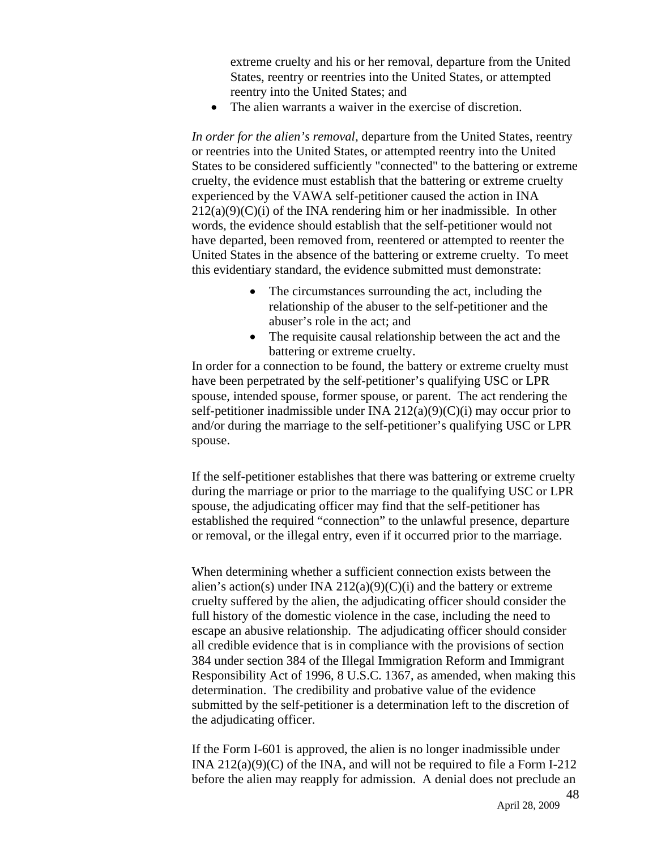extreme cruelty and his or her removal, departure from the United States, reentry or reentries into the United States, or attempted reentry into the United States; and

• The alien warrants a waiver in the exercise of discretion.

*In order for the alien's removal*, departure from the United States, reentry or reentries into the United States, or attempted reentry into the United States to be considered sufficiently "connected" to the battering or extreme cruelty, the evidence must establish that the battering or extreme cruelty experienced by the VAWA self-petitioner caused the action in INA  $212(a)(9)(C)(i)$  of the INA rendering him or her inadmissible. In other words, the evidence should establish that the self-petitioner would not have departed, been removed from, reentered or attempted to reenter the United States in the absence of the battering or extreme cruelty. To meet this evidentiary standard, the evidence submitted must demonstrate:

- The circumstances surrounding the act, including the relationship of the abuser to the self-petitioner and the abuser's role in the act; and
- The requisite causal relationship between the act and the battering or extreme cruelty.

In order for a connection to be found, the battery or extreme cruelty must have been perpetrated by the self-petitioner's qualifying USC or LPR spouse, intended spouse, former spouse, or parent. The act rendering the self-petitioner inadmissible under INA  $212(a)(9)(C)(i)$  may occur prior to and/or during the marriage to the self-petitioner's qualifying USC or LPR spouse.

If the self-petitioner establishes that there was battering or extreme cruelty during the marriage or prior to the marriage to the qualifying USC or LPR spouse, the adjudicating officer may find that the self-petitioner has established the required "connection" to the unlawful presence, departure or removal, or the illegal entry, even if it occurred prior to the marriage.

When determining whether a sufficient connection exists between the alien's action(s) under INA 212(a)(9)(C)(i) and the battery or extreme cruelty suffered by the alien, the adjudicating officer should consider the full history of the domestic violence in the case, including the need to escape an abusive relationship. The adjudicating officer should consider all credible evidence that is in compliance with the provisions of section 384 under section 384 of the Illegal Immigration Reform and Immigrant Responsibility Act of 1996, 8 U.S.C. 1367, as amended, when making this determination. The credibility and probative value of the evidence submitted by the self-petitioner is a determination left to the discretion of the adjudicating officer.

If the Form I-601 is approved, the alien is no longer inadmissible under INA 212(a)(9)(C) of the INA, and will not be required to file a Form I-212 before the alien may reapply for admission. A denial does not preclude an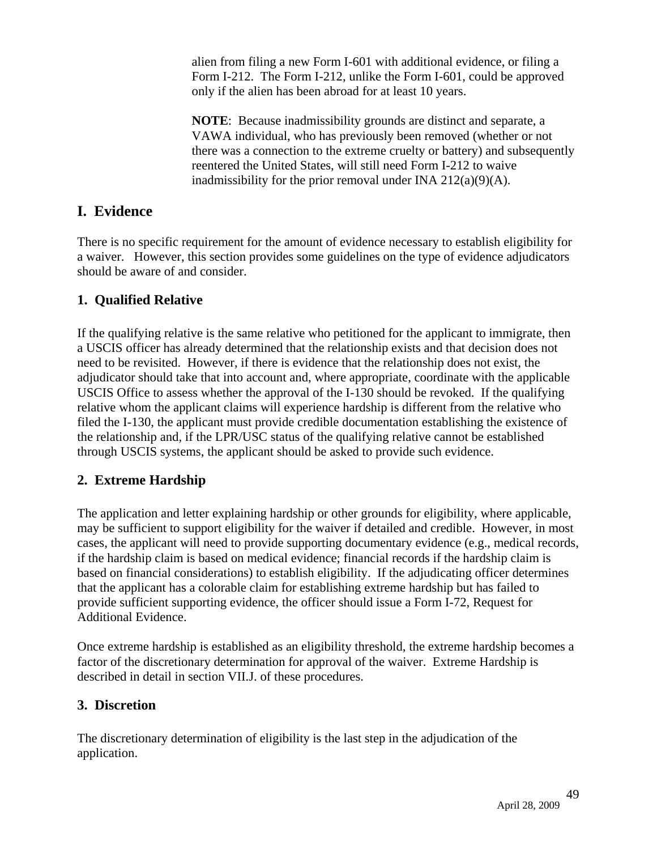alien from filing a new Form I-601 with additional evidence, or filing a Form I-212. The Form I-212, unlike the Form I-601, could be approved only if the alien has been abroad for at least 10 years.

**NOTE**: Because inadmissibility grounds are distinct and separate, a VAWA individual, who has previously been removed (whether or not there was a connection to the extreme cruelty or battery) and subsequently reentered the United States, will still need Form I-212 to waive inadmissibility for the prior removal under INA  $212(a)(9)(A)$ .

# **I. Evidence**

There is no specific requirement for the amount of evidence necessary to establish eligibility for a waiver. However, this section provides some guidelines on the type of evidence adjudicators should be aware of and consider.

## **1. Qualified Relative**

If the qualifying relative is the same relative who petitioned for the applicant to immigrate, then a USCIS officer has already determined that the relationship exists and that decision does not need to be revisited. However, if there is evidence that the relationship does not exist, the adjudicator should take that into account and, where appropriate, coordinate with the applicable USCIS Office to assess whether the approval of the I-130 should be revoked. If the qualifying relative whom the applicant claims will experience hardship is different from the relative who filed the I-130, the applicant must provide credible documentation establishing the existence of the relationship and, if the LPR/USC status of the qualifying relative cannot be established through USCIS systems, the applicant should be asked to provide such evidence.

# **2. Extreme Hardship**

The application and letter explaining hardship or other grounds for eligibility, where applicable, may be sufficient to support eligibility for the waiver if detailed and credible. However, in most cases, the applicant will need to provide supporting documentary evidence (e.g., medical records, if the hardship claim is based on medical evidence; financial records if the hardship claim is based on financial considerations) to establish eligibility. If the adjudicating officer determines that the applicant has a colorable claim for establishing extreme hardship but has failed to provide sufficient supporting evidence, the officer should issue a Form I-72, Request for Additional Evidence.

Once extreme hardship is established as an eligibility threshold, the extreme hardship becomes a factor of the discretionary determination for approval of the waiver. Extreme Hardship is described in detail in section VII.J. of these procedures.

## **3. Discretion**

The discretionary determination of eligibility is the last step in the adjudication of the application.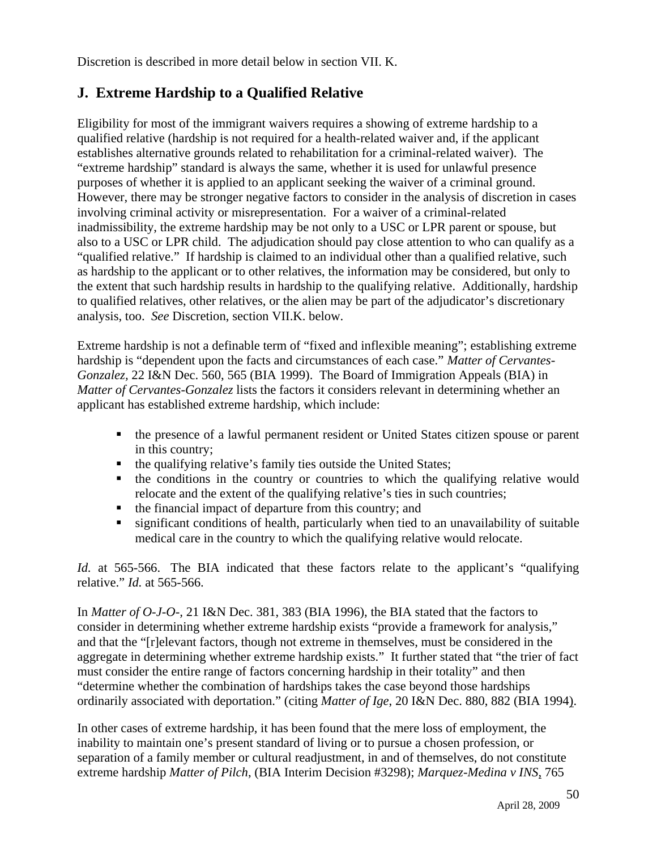Discretion is described in more detail below in section VII. K.

# **J. Extreme Hardship to a Qualified Relative**

Eligibility for most of the immigrant waivers requires a showing of extreme hardship to a qualified relative (hardship is not required for a health-related waiver and, if the applicant establishes alternative grounds related to rehabilitation for a criminal-related waiver). The "extreme hardship" standard is always the same, whether it is used for unlawful presence purposes of whether it is applied to an applicant seeking the waiver of a criminal ground. However, there may be stronger negative factors to consider in the analysis of discretion in cases involving criminal activity or misrepresentation. For a waiver of a criminal-related inadmissibility, the extreme hardship may be not only to a USC or LPR parent or spouse, but also to a USC or LPR child. The adjudication should pay close attention to who can qualify as a "qualified relative." If hardship is claimed to an individual other than a qualified relative, such as hardship to the applicant or to other relatives, the information may be considered, but only to the extent that such hardship results in hardship to the qualifying relative. Additionally, hardship to qualified relatives, other relatives, or the alien may be part of the adjudicator's discretionary analysis, too. *See* Discretion, section VII.K. below.

Extreme hardship is not a definable term of "fixed and inflexible meaning"; establishing extreme hardship is "dependent upon the facts and circumstances of each case." *Matter of Cervantes-Gonzalez,* 22 I&N Dec. 560, 565 (BIA 1999). The Board of Immigration Appeals (BIA) in *Matter of Cervantes-Gonzalez* lists the factors it considers relevant in determining whether an applicant has established extreme hardship, which include:

- the presence of a lawful permanent resident or United States citizen spouse or parent in this country;
- the qualifying relative's family ties outside the United States;
- the conditions in the country or countries to which the qualifying relative would relocate and the extent of the qualifying relative's ties in such countries;
- $\blacksquare$  the financial impact of departure from this country; and
- significant conditions of health, particularly when tied to an unavailability of suitable medical care in the country to which the qualifying relative would relocate.

*Id.* at 565-566. The BIA indicated that these factors relate to the applicant's "qualifying relative." *Id.* at 565-566.

In *Matter of O-J-O-,* 21 I&N Dec. 381, 383 (BIA 1996), the BIA stated that the factors to consider in determining whether extreme hardship exists "provide a framework for analysis," and that the "[r]elevant factors, though not extreme in themselves, must be considered in the aggregate in determining whether extreme hardship exists." It further stated that "the trier of fact must consider the entire range of factors concerning hardship in their totality" and then "determine whether the combination of hardships takes the case beyond those hardships ordinarily associated with deportation." (citing *Matter of Ige*, 20 I&N Dec. 880, 882 (BIA 1994).

In other cases of extreme hardship, it has been found that the mere loss of employment, the inability to maintain one's present standard of living or to pursue a chosen profession, or separation of a family member or cultural readjustment, in and of themselves, do not constitute extreme hardship *Matter of Pilch*, (BIA Interim Decision #3298); *Marquez-Medina v INS*, 765

50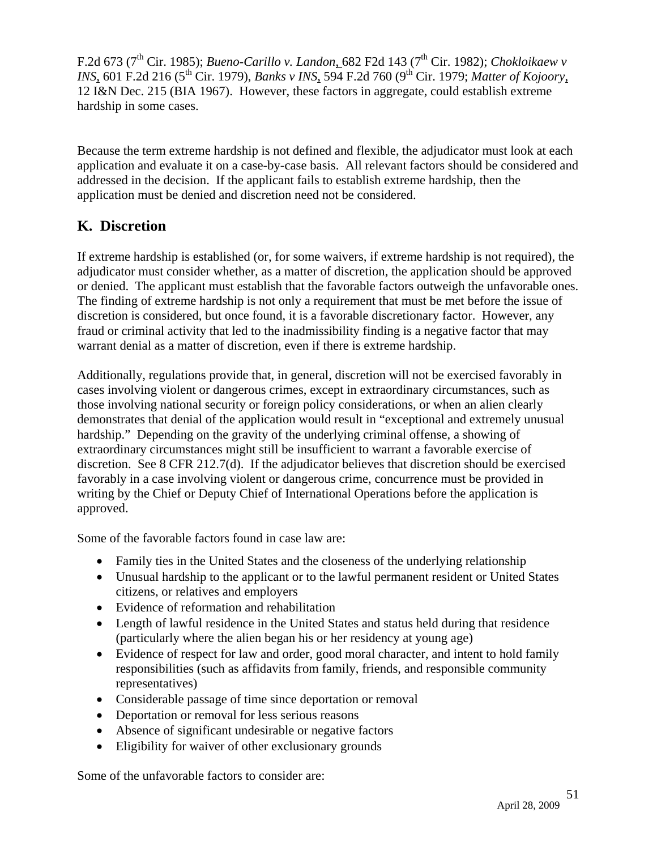F.2d 673 (7<sup>th</sup> Cir. 1985); *Bueno-Carillo v. Landon*, 682 F2d 143 (7<sup>th</sup> Cir. 1982); *Chokloikaew v INS*, 601 F.2d 216 (5<sup>th</sup> Cir. 1979), *Banks v INS*, 594 F.2d 760 (9<sup>th</sup> Cir. 1979; *Matter of Kojoory*, 12 I&N Dec. 215 (BIA 1967). However, these factors in aggregate, could establish extreme hardship in some cases.

Because the term extreme hardship is not defined and flexible, the adjudicator must look at each application and evaluate it on a case-by-case basis. All relevant factors should be considered and addressed in the decision. If the applicant fails to establish extreme hardship, then the application must be denied and discretion need not be considered.

# **K. Discretion**

If extreme hardship is established (or, for some waivers, if extreme hardship is not required), the adjudicator must consider whether, as a matter of discretion, the application should be approved or denied. The applicant must establish that the favorable factors outweigh the unfavorable ones. The finding of extreme hardship is not only a requirement that must be met before the issue of discretion is considered, but once found, it is a favorable discretionary factor. However, any fraud or criminal activity that led to the inadmissibility finding is a negative factor that may warrant denial as a matter of discretion, even if there is extreme hardship.

Additionally, regulations provide that, in general, discretion will not be exercised favorably in cases involving violent or dangerous crimes, except in extraordinary circumstances, such as those involving national security or foreign policy considerations, or when an alien clearly demonstrates that denial of the application would result in "exceptional and extremely unusual hardship." Depending on the gravity of the underlying criminal offense, a showing of extraordinary circumstances might still be insufficient to warrant a favorable exercise of discretion. See 8 CFR 212.7(d). If the adjudicator believes that discretion should be exercised favorably in a case involving violent or dangerous crime, concurrence must be provided in writing by the Chief or Deputy Chief of International Operations before the application is approved.

Some of the favorable factors found in case law are:

- Family ties in the United States and the closeness of the underlying relationship
- Unusual hardship to the applicant or to the lawful permanent resident or United States citizens, or relatives and employers
- Evidence of reformation and rehabilitation
- Length of lawful residence in the United States and status held during that residence (particularly where the alien began his or her residency at young age)
- Evidence of respect for law and order, good moral character, and intent to hold family responsibilities (such as affidavits from family, friends, and responsible community representatives)
- Considerable passage of time since deportation or removal
- Deportation or removal for less serious reasons
- Absence of significant undesirable or negative factors
- Eligibility for waiver of other exclusionary grounds

Some of the unfavorable factors to consider are: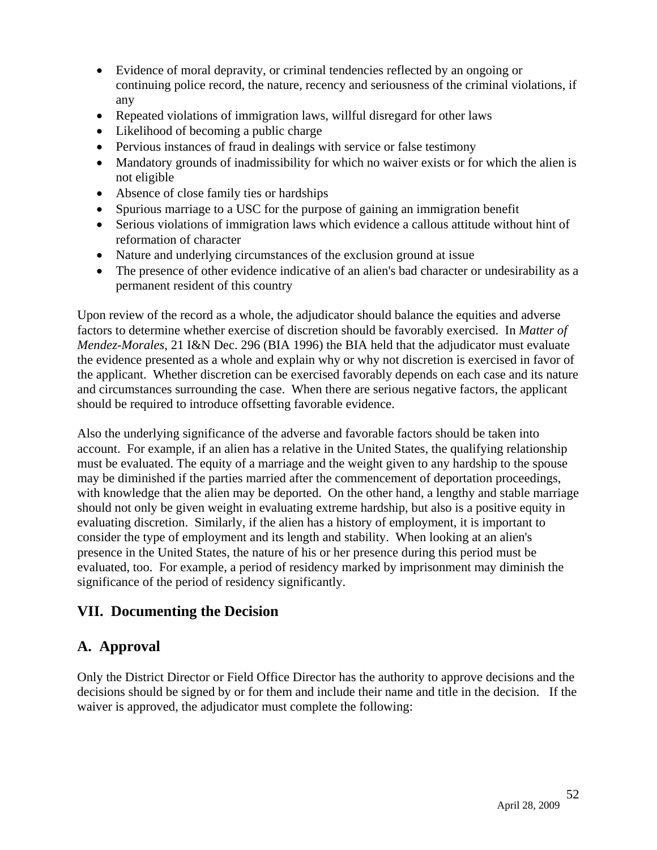- Evidence of moral depravity, or criminal tendencies reflected by an ongoing or continuing police record, the nature, recency and seriousness of the criminal violations, if any
- Repeated violations of immigration laws, willful disregard for other laws
- Likelihood of becoming a public charge
- Pervious instances of fraud in dealings with service or false testimony
- Mandatory grounds of inadmissibility for which no waiver exists or for which the alien is not eligible
- Absence of close family ties or hardships
- Spurious marriage to a USC for the purpose of gaining an immigration benefit
- Serious violations of immigration laws which evidence a callous attitude without hint of reformation of character
- Nature and underlying circumstances of the exclusion ground at issue
- The presence of other evidence indicative of an alien's bad character or undesirability as a permanent resident of this country

Upon review of the record as a whole, the adjudicator should balance the equities and adverse factors to determine whether exercise of discretion should be favorably exercised. In *Matter of Mendez-Morales*, 21 I&N Dec. 296 (BIA 1996) the BIA held that the adjudicator must evaluate the evidence presented as a whole and explain why or why not discretion is exercised in favor of the applicant. Whether discretion can be exercised favorably depends on each case and its nature and circumstances surrounding the case. When there are serious negative factors, the applicant should be required to introduce offsetting favorable evidence.

Also the underlying significance of the adverse and favorable factors should be taken into account. For example, if an alien has a relative in the United States, the qualifying relationship must be evaluated. The equity of a marriage and the weight given to any hardship to the spouse may be diminished if the parties married after the commencement of deportation proceedings, with knowledge that the alien may be deported. On the other hand, a lengthy and stable marriage should not only be given weight in evaluating extreme hardship, but also is a positive equity in evaluating discretion. Similarly, if the alien has a history of employment, it is important to consider the type of employment and its length and stability. When looking at an alien's presence in the United States, the nature of his or her presence during this period must be evaluated, too. For example, a period of residency marked by imprisonment may diminish the significance of the period of residency significantly.

# **VII. Documenting the Decision**

# **A. Approval**

Only the District Director or Field Office Director has the authority to approve decisions and the decisions should be signed by or for them and include their name and title in the decision. If the waiver is approved, the adjudicator must complete the following: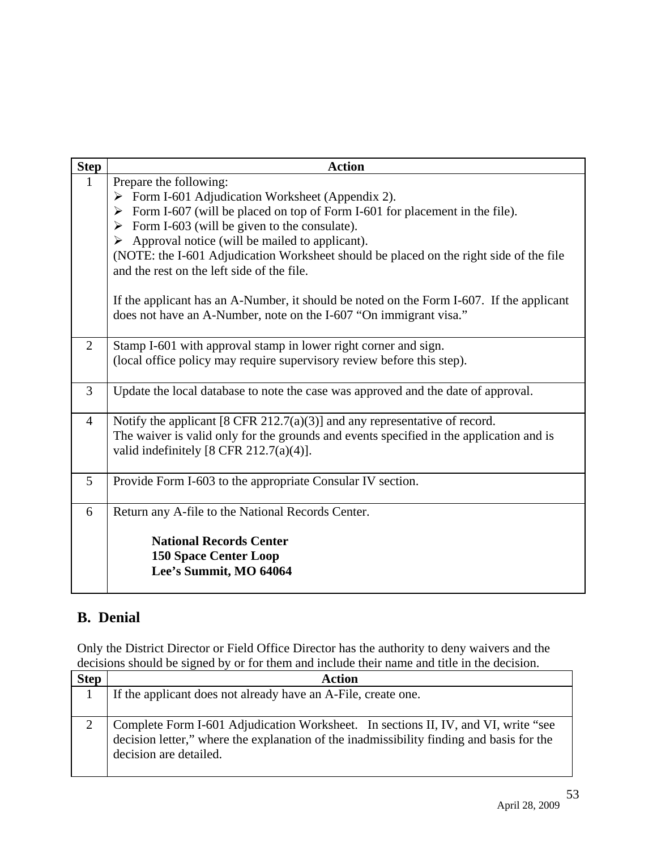| <b>Step</b>    | <b>Action</b>                                                                                                                                                 |
|----------------|---------------------------------------------------------------------------------------------------------------------------------------------------------------|
| $\mathbf{1}$   | Prepare the following:                                                                                                                                        |
|                | $\triangleright$ Form I-601 Adjudication Worksheet (Appendix 2).                                                                                              |
|                | $\triangleright$ Form I-607 (will be placed on top of Form I-601 for placement in the file).                                                                  |
|                | Form I-603 (will be given to the consulate).<br>➤                                                                                                             |
|                | $\triangleright$ Approval notice (will be mailed to applicant).                                                                                               |
|                | (NOTE: the I-601 Adjudication Worksheet should be placed on the right side of the file<br>and the rest on the left side of the file.                          |
|                | If the applicant has an A-Number, it should be noted on the Form I-607. If the applicant<br>does not have an A-Number, note on the I-607 "On immigrant visa." |
| 2              | Stamp I-601 with approval stamp in lower right corner and sign.                                                                                               |
|                | (local office policy may require supervisory review before this step).                                                                                        |
| $\overline{3}$ | Update the local database to note the case was approved and the date of approval.                                                                             |
| $\overline{4}$ | Notify the applicant $[8 \text{ CFR } 212.7(a)(3)]$ and any representative of record.                                                                         |
|                | The waiver is valid only for the grounds and events specified in the application and is                                                                       |
|                | valid indefinitely $[8 \text{ CFR } 212.7(a)(4)].$                                                                                                            |
| 5              | Provide Form I-603 to the appropriate Consular IV section.                                                                                                    |
| 6              | Return any A-file to the National Records Center.                                                                                                             |
|                | <b>National Records Center</b><br><b>150 Space Center Loop</b><br>Lee's Summit, MO 64064                                                                      |

# **B. Denial**

Only the District Director or Field Office Director has the authority to deny waivers and the decisions should be signed by or for them and include their name and title in the decision.

| <b>Step</b> | <b>Action</b>                                                                                                                                                                                            |
|-------------|----------------------------------------------------------------------------------------------------------------------------------------------------------------------------------------------------------|
|             | If the applicant does not already have an A-File, create one.                                                                                                                                            |
|             | Complete Form I-601 Adjudication Worksheet. In sections II, IV, and VI, write "see<br>decision letter," where the explanation of the inadmissibility finding and basis for the<br>decision are detailed. |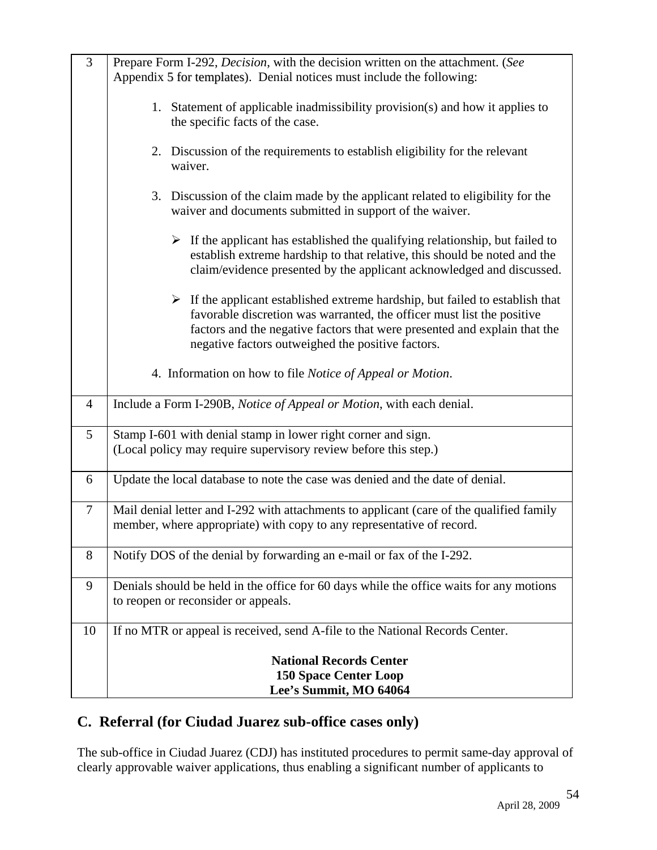| 3              | Prepare Form I-292, Decision, with the decision written on the attachment. (See<br>Appendix 5 for templates). Denial notices must include the following:                                                                                                                                                 |
|----------------|----------------------------------------------------------------------------------------------------------------------------------------------------------------------------------------------------------------------------------------------------------------------------------------------------------|
|                | 1. Statement of applicable inadmissibility provision(s) and how it applies to<br>the specific facts of the case.                                                                                                                                                                                         |
|                | Discussion of the requirements to establish eligibility for the relevant<br>2.<br>waiver.                                                                                                                                                                                                                |
|                | 3. Discussion of the claim made by the applicant related to eligibility for the<br>waiver and documents submitted in support of the waiver.                                                                                                                                                              |
|                | $\triangleright$ If the applicant has established the qualifying relationship, but failed to<br>establish extreme hardship to that relative, this should be noted and the<br>claim/evidence presented by the applicant acknowledged and discussed.                                                       |
|                | $\triangleright$ If the applicant established extreme hardship, but failed to establish that<br>favorable discretion was warranted, the officer must list the positive<br>factors and the negative factors that were presented and explain that the<br>negative factors outweighed the positive factors. |
|                | 4. Information on how to file Notice of Appeal or Motion.                                                                                                                                                                                                                                                |
| $\overline{4}$ | Include a Form I-290B, Notice of Appeal or Motion, with each denial.                                                                                                                                                                                                                                     |
| 5              | Stamp I-601 with denial stamp in lower right corner and sign.<br>(Local policy may require supervisory review before this step.)                                                                                                                                                                         |
| 6              | Update the local database to note the case was denied and the date of denial.                                                                                                                                                                                                                            |
| $\overline{7}$ | Mail denial letter and I-292 with attachments to applicant (care of the qualified family<br>member, where appropriate) with copy to any representative of record.                                                                                                                                        |
| 8              | Notify DOS of the denial by forwarding an e-mail or fax of the I-292.                                                                                                                                                                                                                                    |
| 9              | Denials should be held in the office for 60 days while the office waits for any motions<br>to reopen or reconsider or appeals.                                                                                                                                                                           |
| 10             | If no MTR or appeal is received, send A-file to the National Records Center.                                                                                                                                                                                                                             |
|                | <b>National Records Center</b><br><b>150 Space Center Loop</b><br>Lee's Summit, MO 64064                                                                                                                                                                                                                 |

# **C. Referral (for Ciudad Juarez sub-office cases only)**

The sub-office in Ciudad Juarez (CDJ) has instituted procedures to permit same-day approval of clearly approvable waiver applications, thus enabling a significant number of applicants to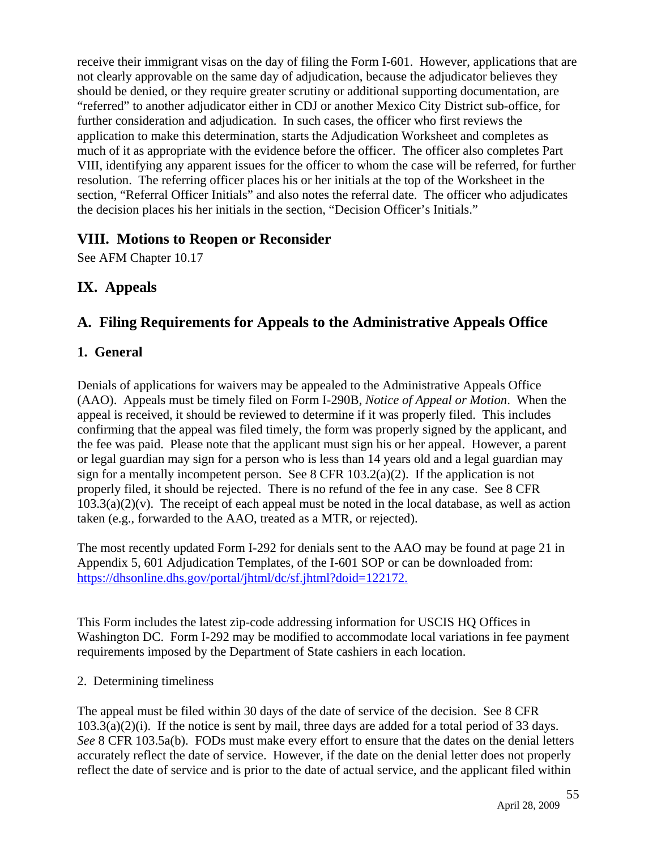receive their immigrant visas on the day of filing the Form I-601. However, applications that are not clearly approvable on the same day of adjudication, because the adjudicator believes they should be denied, or they require greater scrutiny or additional supporting documentation, are "referred" to another adjudicator either in CDJ or another Mexico City District sub-office, for further consideration and adjudication. In such cases, the officer who first reviews the application to make this determination, starts the Adjudication Worksheet and completes as much of it as appropriate with the evidence before the officer. The officer also completes Part VIII, identifying any apparent issues for the officer to whom the case will be referred, for further resolution. The referring officer places his or her initials at the top of the Worksheet in the section, "Referral Officer Initials" and also notes the referral date. The officer who adjudicates the decision places his her initials in the section, "Decision Officer's Initials."

## **VIII. Motions to Reopen or Reconsider**

See AFM Chapter 10.17

## **IX. Appeals**

# **A. Filing Requirements for Appeals to the Administrative Appeals Office**

#### **1. General**

Denials of applications for waivers may be appealed to the Administrative Appeals Office (AAO). Appeals must be timely filed on Form I-290B, *Notice of Appeal or Motion*. When the appeal is received, it should be reviewed to determine if it was properly filed. This includes confirming that the appeal was filed timely, the form was properly signed by the applicant, and the fee was paid. Please note that the applicant must sign his or her appeal. However, a parent or legal guardian may sign for a person who is less than 14 years old and a legal guardian may sign for a mentally incompetent person. See 8 CFR  $103.2(a)(2)$ . If the application is not properly filed, it should be rejected. There is no refund of the fee in any case. See 8 CFR  $103.3(a)(2)(v)$ . The receipt of each appeal must be noted in the local database, as well as action taken (e.g., forwarded to the AAO, treated as a MTR, or rejected).

The most recently updated Form I-292 for denials sent to the AAO may be found at page 21 in Appendix 5, 601 Adjudication Templates, of the I-601 SOP or can be downloaded from: https://dhsonline.dhs.gov/portal/jhtml/dc/sf.jhtml?doid=122172.

This Form includes the latest zip-code addressing information for USCIS HQ Offices in Washington DC. Form I-292 may be modified to accommodate local variations in fee payment requirements imposed by the Department of State cashiers in each location.

#### 2. Determining timeliness

The appeal must be filed within 30 days of the date of service of the decision. See 8 CFR 103.3(a)(2)(i). If the notice is sent by mail, three days are added for a total period of 33 days. *See* 8 CFR 103.5a(b). FODs must make every effort to ensure that the dates on the denial letters accurately reflect the date of service. However, if the date on the denial letter does not properly reflect the date of service and is prior to the date of actual service, and the applicant filed within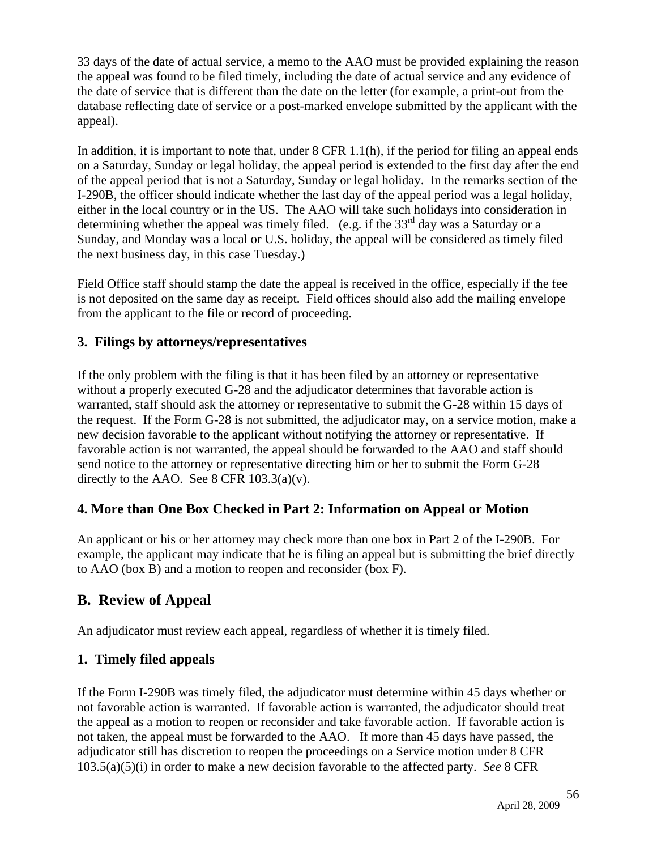33 days of the date of actual service, a memo to the AAO must be provided explaining the reason the appeal was found to be filed timely, including the date of actual service and any evidence of the date of service that is different than the date on the letter (for example, a print-out from the database reflecting date of service or a post-marked envelope submitted by the applicant with the appeal).

In addition, it is important to note that, under 8 CFR 1.1(h), if the period for filing an appeal ends on a Saturday, Sunday or legal holiday, the appeal period is extended to the first day after the end of the appeal period that is not a Saturday, Sunday or legal holiday. In the remarks section of the I-290B, the officer should indicate whether the last day of the appeal period was a legal holiday, either in the local country or in the US. The AAO will take such holidays into consideration in determining whether the appeal was timely filed. (e.g. if the  $33<sup>rd</sup>$  day was a Saturday or a Sunday, and Monday was a local or U.S. holiday, the appeal will be considered as timely filed the next business day, in this case Tuesday.)

Field Office staff should stamp the date the appeal is received in the office, especially if the fee is not deposited on the same day as receipt. Field offices should also add the mailing envelope from the applicant to the file or record of proceeding.

## **3. Filings by attorneys/representatives**

If the only problem with the filing is that it has been filed by an attorney or representative without a properly executed G-28 and the adjudicator determines that favorable action is warranted, staff should ask the attorney or representative to submit the G-28 within 15 days of the request. If the Form G-28 is not submitted, the adjudicator may, on a service motion, make a new decision favorable to the applicant without notifying the attorney or representative. If favorable action is not warranted, the appeal should be forwarded to the AAO and staff should send notice to the attorney or representative directing him or her to submit the Form G-28 directly to the AAO. See 8 CFR  $103.3(a)(v)$ .

## **4. More than One Box Checked in Part 2: Information on Appeal or Motion**

An applicant or his or her attorney may check more than one box in Part 2 of the I-290B. For example, the applicant may indicate that he is filing an appeal but is submitting the brief directly to AAO (box B) and a motion to reopen and reconsider (box F).

# **B. Review of Appeal**

An adjudicator must review each appeal, regardless of whether it is timely filed.

## **1. Timely filed appeals**

If the Form I-290B was timely filed, the adjudicator must determine within 45 days whether or not favorable action is warranted. If favorable action is warranted, the adjudicator should treat the appeal as a motion to reopen or reconsider and take favorable action. If favorable action is not taken, the appeal must be forwarded to the AAO. If more than 45 days have passed, the adjudicator still has discretion to reopen the proceedings on a Service motion under 8 CFR 103.5(a)(5)(i) in order to make a new decision favorable to the affected party. *See* 8 CFR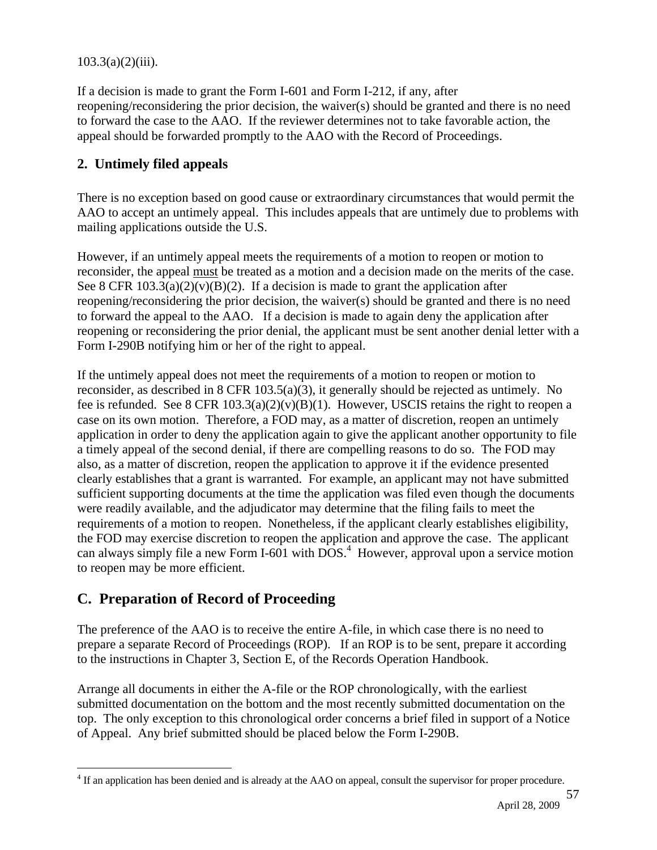$103.3(a)(2)(iii)$ .

If a decision is made to grant the Form I-601 and Form I-212, if any, after reopening/reconsidering the prior decision, the waiver(s) should be granted and there is no need to forward the case to the AAO. If the reviewer determines not to take favorable action, the appeal should be forwarded promptly to the AAO with the Record of Proceedings.

### **2. Untimely filed appeals**

There is no exception based on good cause or extraordinary circumstances that would permit the AAO to accept an untimely appeal. This includes appeals that are untimely due to problems with mailing applications outside the U.S.

However, if an untimely appeal meets the requirements of a motion to reopen or motion to reconsider, the appeal must be treated as a motion and a decision made on the merits of the case. See 8 CFR  $103.3(a)(2)(v)(B)(2)$ . If a decision is made to grant the application after reopening/reconsidering the prior decision, the waiver(s) should be granted and there is no need to forward the appeal to the AAO. If a decision is made to again deny the application after reopening or reconsidering the prior denial, the applicant must be sent another denial letter with a Form I-290B notifying him or her of the right to appeal.

If the untimely appeal does not meet the requirements of a motion to reopen or motion to reconsider, as described in 8 CFR 103.5(a)(3), it generally should be rejected as untimely. No fee is refunded. See 8 CFR  $103.3(a)(2)(v)(B)(1)$ . However, USCIS retains the right to reopen a case on its own motion. Therefore, a FOD may, as a matter of discretion, reopen an untimely application in order to deny the application again to give the applicant another opportunity to file a timely appeal of the second denial, if there are compelling reasons to do so. The FOD may also, as a matter of discretion, reopen the application to approve it if the evidence presented clearly establishes that a grant is warranted. For example, an applicant may not have submitted sufficient supporting documents at the time the application was filed even though the documents were readily available, and the adjudicator may determine that the filing fails to meet the requirements of a motion to reopen. Nonetheless, if the applicant clearly establishes eligibility, the FOD may exercise discretion to reopen the application and approve the case. The applicant can always simply file a new Form I-601 with  $DOS<sup>4</sup>$ . However, approval upon a service motion to reopen may be more efficient.

# **C. Preparation of Record of Proceeding**

The preference of the AAO is to receive the entire A-file, in which case there is no need to prepare a separate Record of Proceedings (ROP). If an ROP is to be sent, prepare it according to the instructions in Chapter 3, Section E, of the Records Operation Handbook.

Arrange all documents in either the A-file or the ROP chronologically, with the earliest submitted documentation on the bottom and the most recently submitted documentation on the top. The only exception to this chronological order concerns a brief filed in support of a Notice of Appeal. Any brief submitted should be placed below the Form I-290B.

 $\overline{a}$ <sup>4</sup> If an application has been denied and is already at the AAO on appeal, consult the supervisor for proper procedure.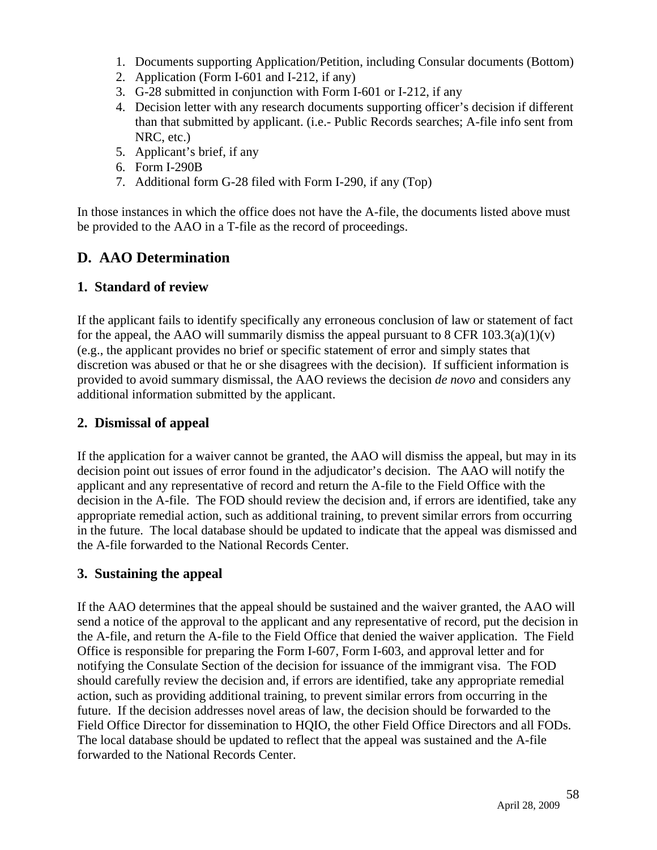- 1. Documents supporting Application/Petition, including Consular documents (Bottom)
- 2. Application (Form I-601 and I-212, if any)
- 3. G-28 submitted in conjunction with Form I-601 or I-212, if any
- 4. Decision letter with any research documents supporting officer's decision if different than that submitted by applicant. (i.e.- Public Records searches; A-file info sent from NRC, etc.)
- 5. Applicant's brief, if any
- 6. Form I-290B
- 7. Additional form G-28 filed with Form I-290, if any (Top)

In those instances in which the office does not have the A-file, the documents listed above must be provided to the AAO in a T-file as the record of proceedings.

# **D. AAO Determination**

#### **1. Standard of review**

If the applicant fails to identify specifically any erroneous conclusion of law or statement of fact for the appeal, the AAO will summarily dismiss the appeal pursuant to 8 CFR  $103.3(a)(1)(v)$ (e.g., the applicant provides no brief or specific statement of error and simply states that discretion was abused or that he or she disagrees with the decision). If sufficient information is provided to avoid summary dismissal, the AAO reviews the decision *de novo* and considers any additional information submitted by the applicant.

#### **2. Dismissal of appeal**

If the application for a waiver cannot be granted, the AAO will dismiss the appeal, but may in its decision point out issues of error found in the adjudicator's decision. The AAO will notify the applicant and any representative of record and return the A-file to the Field Office with the decision in the A-file. The FOD should review the decision and, if errors are identified, take any appropriate remedial action, such as additional training, to prevent similar errors from occurring in the future. The local database should be updated to indicate that the appeal was dismissed and the A-file forwarded to the National Records Center.

#### **3. Sustaining the appeal**

If the AAO determines that the appeal should be sustained and the waiver granted, the AAO will send a notice of the approval to the applicant and any representative of record, put the decision in the A-file, and return the A-file to the Field Office that denied the waiver application. The Field Office is responsible for preparing the Form I-607, Form I-603, and approval letter and for notifying the Consulate Section of the decision for issuance of the immigrant visa. The FOD should carefully review the decision and, if errors are identified, take any appropriate remedial action, such as providing additional training, to prevent similar errors from occurring in the future. If the decision addresses novel areas of law, the decision should be forwarded to the Field Office Director for dissemination to HQIO, the other Field Office Directors and all FODs. The local database should be updated to reflect that the appeal was sustained and the A-file forwarded to the National Records Center.